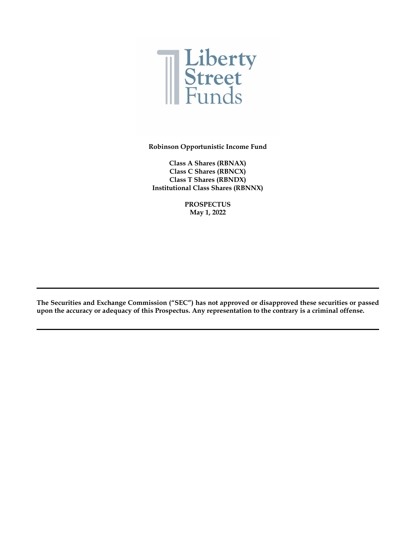

**Robinson Opportunistic Income Fund**

**Class A Shares (RBNAX) Class C Shares (RBNCX) Class T Shares (RBNDX) Institutional Class Shares (RBNNX)**

> **PROSPECTUS May 1, 2022**

**The Securities and Exchange Commission ("SEC") has not approved or disapproved these securities or passed upon the accuracy or adequacy of this Prospectus. Any representation to the contrary is a criminal offense.**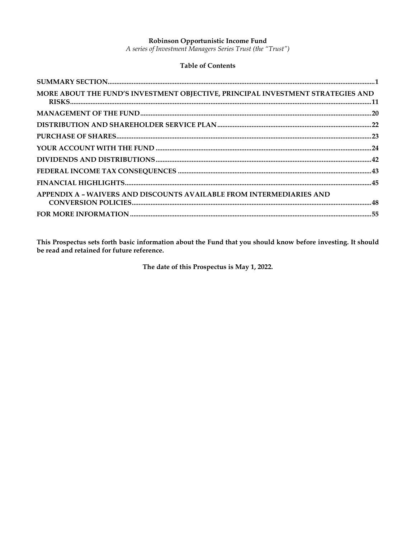### Robinson Opportunistic Income Fund

A series of Investment Managers Series Trust (the "Trust")

## **Table of Contents**

| MORE ABOUT THE FUND'S INVESTMENT OBJECTIVE, PRINCIPAL INVESTMENT STRATEGIES AND |  |
|---------------------------------------------------------------------------------|--|
|                                                                                 |  |
|                                                                                 |  |
|                                                                                 |  |
|                                                                                 |  |
|                                                                                 |  |
|                                                                                 |  |
|                                                                                 |  |
| APPENDIX A - WAIVERS AND DISCOUNTS AVAILABLE FROM INTERMEDIARIES AND            |  |
|                                                                                 |  |

This Prospectus sets forth basic information about the Fund that you should know before investing. It should be read and retained for future reference.

The date of this Prospectus is May 1, 2022.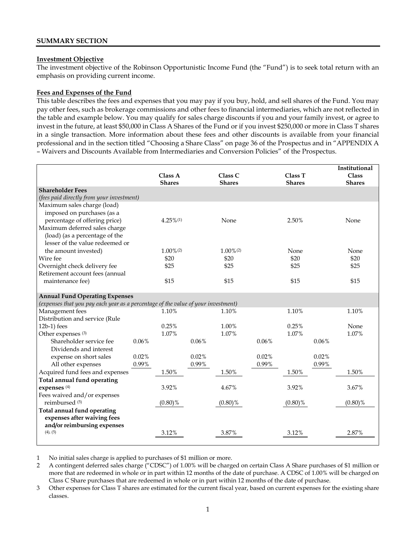#### <span id="page-2-0"></span>**Investment Objective**

The investment objective of the Robinson Opportunistic Income Fund (the "Fund") is to seek total return with an emphasis on providing current income.

#### **Fees and Expenses of the Fund**

This table describes the fees and expenses that you may pay if you buy, hold, and sell shares of the Fund. You may pay other fees, such as brokerage commissions and other fees to financial intermediaries, which are not reflected in the table and example below. You may qualify for sales charge discounts if you and your family invest, or agree to invest in the future, at least \$50,000 in Class A Shares of the Fund or if you invest \$250,000 or more in Class T shares in a single transaction. More information about these fees and other discounts is available from your financial professional and in the section titled "Choosing a Share Class" on page 36 of the Prospectus and in "APPENDIX A – Waivers and Discounts Available from Intermediaries and Conversion Policies" of the Prospectus.

|                                                                                   |       |                         |       |                         |       |               |       | Institutional |
|-----------------------------------------------------------------------------------|-------|-------------------------|-------|-------------------------|-------|---------------|-------|---------------|
|                                                                                   |       | Class A                 |       | Class C                 |       | Class T       |       | <b>Class</b>  |
|                                                                                   |       | <b>Shares</b>           |       | <b>Shares</b>           |       | <b>Shares</b> |       | <b>Shares</b> |
| <b>Shareholder Fees</b>                                                           |       |                         |       |                         |       |               |       |               |
| (fees paid directly from your investment)                                         |       |                         |       |                         |       |               |       |               |
| Maximum sales charge (load)                                                       |       |                         |       |                         |       |               |       |               |
| imposed on purchases (as a                                                        |       |                         |       |                         |       |               |       |               |
| percentage of offering price)                                                     |       | $4.25\%$ <sup>(1)</sup> |       | None                    |       | 2.50%         |       | None          |
| Maximum deferred sales charge                                                     |       |                         |       |                         |       |               |       |               |
| (load) (as a percentage of the                                                    |       |                         |       |                         |       |               |       |               |
| lesser of the value redeemed or                                                   |       |                         |       |                         |       |               |       |               |
| the amount invested)                                                              |       | $1.00\%$ <sup>(2)</sup> |       | $1.00\%$ <sup>(2)</sup> |       | None          |       | None          |
| Wire fee                                                                          |       | \$20                    |       | \$20                    |       | \$20          |       | \$20          |
| Overnight check delivery fee                                                      |       | \$25                    |       | \$25                    |       | \$25          |       | \$25          |
| Retirement account fees (annual                                                   |       |                         |       |                         |       |               |       |               |
| maintenance fee)                                                                  |       | \$15                    |       | \$15                    |       | \$15          |       | \$15          |
|                                                                                   |       |                         |       |                         |       |               |       |               |
| <b>Annual Fund Operating Expenses</b>                                             |       |                         |       |                         |       |               |       |               |
| (expenses that you pay each year as a percentage of the value of your investment) |       |                         |       |                         |       |               |       |               |
| Management fees                                                                   |       | 1.10%                   |       | 1.10%                   |       | 1.10%         |       | 1.10%         |
| Distribution and service (Rule                                                    |       |                         |       |                         |       |               |       |               |
| $12b-1$ ) fees                                                                    |       | 0.25%                   |       | 1.00%                   |       | 0.25%         |       | None          |
| Other expenses (3)                                                                |       | 1.07%                   |       | 1.07%                   |       | 1.07%         |       | 1.07%         |
| Shareholder service fee                                                           | 0.06% |                         | 0.06% |                         | 0.06% |               | 0.06% |               |
| Dividends and interest                                                            |       |                         |       |                         |       |               |       |               |
| expense on short sales                                                            | 0.02% |                         | 0.02% |                         | 0.02% |               | 0.02% |               |
| All other expenses                                                                | 0.99% |                         | 0.99% |                         | 0.99% |               | 0.99% |               |
| Acquired fund fees and expenses                                                   |       | 1.50%                   |       | 1.50%                   |       | 1.50%         |       | 1.50%         |
| Total annual fund operating                                                       |       |                         |       |                         |       |               |       |               |
| expenses <sup>(4)</sup>                                                           |       | 3.92%                   |       | 4.67%                   |       | 3.92%         |       | 3.67%         |
| Fees waived and/or expenses                                                       |       |                         |       |                         |       |               |       |               |
| reimbursed <sup>(5)</sup>                                                         |       | $(0.80)\%$              |       | $(0.80)\%$              |       | $(0.80)\%$    |       | $(0.80)\%$    |
| Total annual fund operating                                                       |       |                         |       |                         |       |               |       |               |
| expenses after waiving fees                                                       |       |                         |       |                         |       |               |       |               |
| and/or reimbursing expenses<br>$(4)$ , $(5)$                                      |       | 3.12%                   |       | 3.87%                   |       | 3.12%         |       | 2.87%         |
|                                                                                   |       |                         |       |                         |       |               |       |               |
|                                                                                   |       |                         |       |                         |       |               |       |               |

1 No initial sales charge is applied to purchases of \$1 million or more.

2 A contingent deferred sales charge ("CDSC") of 1.00% will be charged on certain Class A Share purchases of \$1 million or more that are redeemed in whole or in part within 12 months of the date of purchase. A CDSC of 1.00% will be charged on Class C Share purchases that are redeemed in whole or in part within 12 months of the date of purchase.

3 Other expenses for Class T shares are estimated for the current fiscal year, based on current expenses for the existing share classes.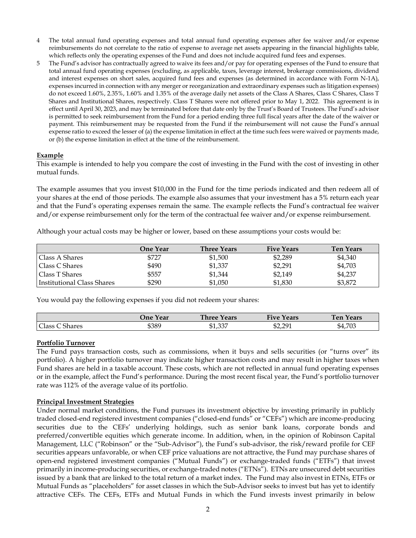- 4 The total annual fund operating expenses and total annual fund operating expenses after fee waiver and/or expense reimbursements do not correlate to the ratio of expense to average net assets appearing in the financial highlights table, which reflects only the operating expenses of the Fund and does not include acquired fund fees and expenses.
- 5 The Fund's advisor has contractually agreed to waive its fees and/or pay for operating expenses of the Fund to ensure that total annual fund operating expenses (excluding, as applicable, taxes, leverage interest, brokerage commissions, dividend and interest expenses on short sales, acquired fund fees and expenses (as determined in accordance with Form N-1A), expenses incurred in connection with any merger or reorganization and extraordinary expenses such as litigation expenses) do not exceed 1.60%, 2.35%, 1.60% and 1.35% of the average daily net assets of the Class A Shares, Class C Shares, Class T Shares and Institutional Shares, respectively. Class T Shares were not offered prior to May 1, 2022. This agreement is in effect until April 30, 2023, and may be terminated before that date only by the Trust's Board of Trustees. The Fund's advisor is permitted to seek reimbursement from the Fund for a period ending three full fiscal years after the date of the waiver or payment. This reimbursement may be requested from the Fund if the reimbursement will not cause the Fund's annual expense ratio to exceed the lesser of (a) the expense limitation in effect at the time such fees were waived or payments made, or (b) the expense limitation in effect at the time of the reimbursement.

#### **Example**

This example is intended to help you compare the cost of investing in the Fund with the cost of investing in other mutual funds.

The example assumes that you invest \$10,000 in the Fund for the time periods indicated and then redeem all of your shares at the end of those periods. The example also assumes that your investment has a 5% return each year and that the Fund's operating expenses remain the same. The example reflects the Fund's contractual fee waiver and/or expense reimbursement only for the term of the contractual fee waiver and/or expense reimbursement.

Although your actual costs may be higher or lower, based on these assumptions your costs would be:

|                            | One Year | <b>Three Years</b> | <b>Five Years</b> | <b>Ten Years</b> |
|----------------------------|----------|--------------------|-------------------|------------------|
| Class A Shares             | \$727    | \$1,500            | \$2,289           | \$4,340          |
| Class C Shares             | \$490    | \$1,337            | \$2,291           | \$4,703          |
| Class T Shares             | \$557    | \$1,344            | \$2,149           | \$4,237          |
| Institutional Class Shares | \$290    | \$1,050            | \$1,830           | \$3,872          |

You would pay the following expenses if you did not redeem your shares:

|                              | .Jne Year | <b>Three Years</b> | <b>Five Years</b> | Ten.<br>Years |
|------------------------------|-----------|--------------------|-------------------|---------------|
| $Class C$ .<br><b>Shares</b> | \$389     | \$1,337            | \$2,291           | \$4,703       |

#### **Portfolio Turnover**

The Fund pays transaction costs, such as commissions, when it buys and sells securities (or "turns over" its portfolio). A higher portfolio turnover may indicate higher transaction costs and may result in higher taxes when Fund shares are held in a taxable account. These costs, which are not reflected in annual fund operating expenses or in the example, affect the Fund's performance. During the most recent fiscal year, the Fund's portfolio turnover rate was 112% of the average value of its portfolio.

#### **Principal Investment Strategies**

Under normal market conditions, the Fund pursues its investment objective by investing primarily in publicly traded closed-end registered investment companies ("closed-end funds" or "CEFs") which are income-producing securities due to the CEFs' underlying holdings, such as senior bank loans, corporate bonds and preferred/convertible equities which generate income. In addition, when, in the opinion of Robinson Capital Management, LLC ("Robinson" or the "Sub-Advisor"), the Fund's sub-advisor, the risk/reward profile for CEF securities appears unfavorable, or when CEF price valuations are not attractive, the Fund may purchase shares of open-end registered investment companies ("Mutual Funds") or exchange-traded funds ("ETFs") that invest primarily in income-producing securities, or exchange-traded notes ("ETNs"). ETNs are unsecured debt securities issued by a bank that are linked to the total return of a market index. The Fund may also invest in ETNs, ETFs or Mutual Funds as "placeholders" for asset classes in which the Sub-Advisor seeks to invest but has yet to identify attractive CEFs. The CEFs, ETFs and Mutual Funds in which the Fund invests invest primarily in below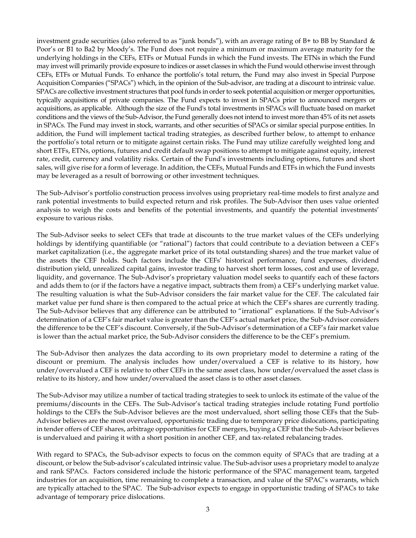investment grade securities (also referred to as "junk bonds"), with an average rating of B+ to BB by Standard & Poor's or B1 to Ba2 by Moody's. The Fund does not require a minimum or maximum average maturity for the underlying holdings in the CEFs, ETFs or Mutual Funds in which the Fund invests. The ETNs in which the Fund may invest will primarily provide exposure to indices or asset classes in which the Fund would otherwise invest through CEFs, ETFs or Mutual Funds. To enhance the portfolio's total return, the Fund may also invest in Special Purpose Acquisition Companies ("SPACs") which, in the opinion of the Sub-advisor, are trading at a discount to intrinsic value. SPACs are collective investment structures that pool funds in order to seek potential acquisition or merger opportunities, typically acquisitions of private companies. The Fund expects to invest in SPACs prior to announced mergers or acquisitions, as applicable. Although the size of the Fund's total investments in SPACs will fluctuate based on market conditions and the views of the Sub-Advisor, the Fund generally does not intend to invest more than 45% of its net assets in SPACs. The Fund may invest in stock, warrants, and other securities of SPACs or similar special purpose entities. In addition, the Fund will implement tactical trading strategies, as described further below, to attempt to enhance the portfolio's total return or to mitigate against certain risks. The Fund may utilize carefully weighted long and short ETFs, ETNs, options, futures and credit default swap positions to attempt to mitigate against equity, interest rate, credit, currency and volatility risks. Certain of the Fund's investments including options, futures and short sales, will give rise for a form of leverage. In addition, the CEFs, Mutual Funds and ETFs in which the Fund invests may be leveraged as a result of borrowing or other investment techniques.

The Sub-Advisor's portfolio construction process involves using proprietary real-time models to first analyze and rank potential investments to build expected return and risk profiles. The Sub-Advisor then uses value oriented analysis to weigh the costs and benefits of the potential investments, and quantify the potential investments' exposure to various risks.

The Sub-Advisor seeks to select CEFs that trade at discounts to the true market values of the CEFs underlying holdings by identifying quantifiable (or "rational") factors that could contribute to a deviation between a CEF's market capitalization (i.e., the aggregate market price of its total outstanding shares) and the true market value of the assets the CEF holds. Such factors include the CEFs' historical performance, fund expenses, dividend distribution yield, unrealized capital gains, investor trading to harvest short term losses, cost and use of leverage, liquidity, and governance. The Sub-Advisor's proprietary valuation model seeks to quantify each of these factors and adds them to (or if the factors have a negative impact, subtracts them from) a CEF's underlying market value. The resulting valuation is what the Sub-Advisor considers the fair market value for the CEF. The calculated fair market value per fund share is then compared to the actual price at which the CEF's shares are currently trading. The Sub-Advisor believes that any difference can be attributed to "irrational" explanations. If the Sub-Advisor's determination of a CEF's fair market value is greater than the CEF's actual market price, the Sub-Advisor considers the difference to be the CEF's discount. Conversely, if the Sub-Advisor's determination of a CEF's fair market value is lower than the actual market price, the Sub-Advisor considers the difference to be the CEF's premium.

The Sub-Advisor then analyzes the data according to its own proprietary model to determine a rating of the discount or premium. The analysis includes how under/overvalued a CEF is relative to its history, how under/overvalued a CEF is relative to other CEFs in the same asset class, how under/overvalued the asset class is relative to its history, and how under/overvalued the asset class is to other asset classes.

The Sub-Advisor may utilize a number of tactical trading strategies to seek to unlock its estimate of the value of the premiums/discounts in the CEFs. The Sub-Advisor's tactical trading strategies include rotating Fund portfolio holdings to the CEFs the Sub-Advisor believes are the most undervalued, short selling those CEFs that the Sub-Advisor believes are the most overvalued, opportunistic trading due to temporary price dislocations, participating in tender offers of CEF shares, arbitrage opportunities for CEF mergers, buying a CEF that the Sub-Advisor believes is undervalued and pairing it with a short position in another CEF, and tax-related rebalancing trades.

With regard to SPACs, the Sub-advisor expects to focus on the common equity of SPACs that are trading at a discount, or below the Sub-advisor's calculated intrinsic value. The Sub-advisor uses a proprietary model to analyze and rank SPACs. Factors considered include the historic performance of the SPAC management team, targeted industries for an acquisition, time remaining to complete a transaction, and value of the SPAC's warrants, which are typically attached to the SPAC. The Sub-advisor expects to engage in opportunistic trading of SPACs to take advantage of temporary price dislocations.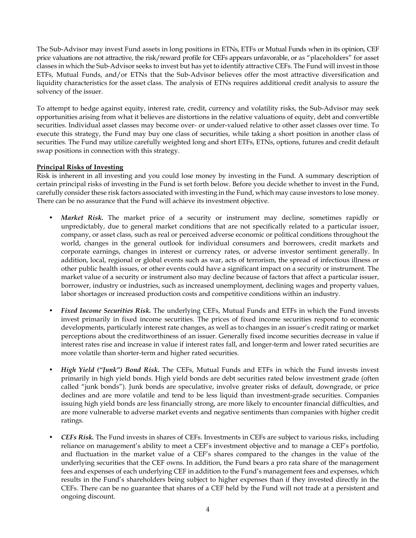The Sub-Advisor may invest Fund assets in long positions in ETNs, ETFs or Mutual Funds when in its opinion, CEF price valuations are not attractive, the risk/reward profile for CEFs appears unfavorable, or as "placeholders" for asset classes in which the Sub-Advisor seeks to invest but has yet to identify attractive CEFs. The Fund will invest in those ETFs, Mutual Funds, and/or ETNs that the Sub-Advisor believes offer the most attractive diversification and liquidity characteristics for the asset class. The analysis of ETNs requires additional credit analysis to assure the solvency of the issuer.

To attempt to hedge against equity, interest rate, credit, currency and volatility risks, the Sub-Advisor may seek opportunities arising from what it believes are distortions in the relative valuations of equity, debt and convertible securities. Individual asset classes may become over- or under-valued relative to other asset classes over time. To execute this strategy, the Fund may buy one class of securities, while taking a short position in another class of securities. The Fund may utilize carefully weighted long and short ETFs, ETNs, options, futures and credit default swap positions in connection with this strategy.

## **Principal Risks of Investing**

Risk is inherent in all investing and you could lose money by investing in the Fund. A summary description of certain principal risks of investing in the Fund is set forth below. Before you decide whether to invest in the Fund, carefully consider these risk factors associated with investing in the Fund, which may cause investors to lose money. There can be no assurance that the Fund will achieve its investment objective.

- *Market Risk.* The market price of a security or instrument may decline, sometimes rapidly or unpredictably, due to general market conditions that are not specifically related to a particular issuer, company, or asset class, such as real or perceived adverse economic or political conditions throughout the world, changes in the general outlook for individual consumers and borrowers, credit markets and corporate earnings, changes in interest or currency rates, or adverse investor sentiment generally. In addition, local, regional or global events such as war, acts of terrorism, the spread of infectious illness or other public health issues, or other events could have a significant impact on a security or instrument. The market value of a security or instrument also may decline because of factors that affect a particular issuer, borrower, industry or industries, such as increased unemployment, declining wages and property values, labor shortages or increased production costs and competitive conditions within an industry.
- *Fixed Income Securities Risk.* The underlying CEFs, Mutual Funds and ETFs in which the Fund invests invest primarily in fixed income securities. The prices of fixed income securities respond to economic developments, particularly interest rate changes, as well as to changes in an issuer's credit rating or market perceptions about the creditworthiness of an issuer. Generally fixed income securities decrease in value if interest rates rise and increase in value if interest rates fall, and longer-term and lower rated securities are more volatile than shorter-term and higher rated securities.
- *High Yield ("Junk") Bond Risk***.** The CEFs, Mutual Funds and ETFs in which the Fund invests invest primarily in high yield bonds. High yield bonds are debt securities rated below investment grade (often called "junk bonds"). Junk bonds are speculative, involve greater risks of default, downgrade, or price declines and are more volatile and tend to be less liquid than investment-grade securities. Companies issuing high yield bonds are less financially strong, are more likely to encounter financial difficulties, and are more vulnerable to adverse market events and negative sentiments than companies with higher credit ratings.
- *CEFs Risk.* The Fund invests in shares of CEFs. Investments in CEFs are subject to various risks, including reliance on management's ability to meet a CEF's investment objective and to manage a CEF's portfolio, and fluctuation in the market value of a CEF's shares compared to the changes in the value of the underlying securities that the CEF owns. In addition, the Fund bears a pro rata share of the management fees and expenses of each underlying CEF in addition to the Fund's management fees and expenses, which results in the Fund's shareholders being subject to higher expenses than if they invested directly in the CEFs. There can be no guarantee that shares of a CEF held by the Fund will not trade at a persistent and ongoing discount.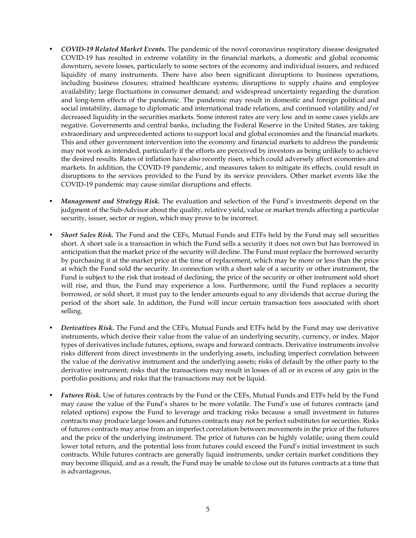- *COVID-19 Related Market Events.* The pandemic of the novel coronavirus respiratory disease designated COVID-19 has resulted in extreme volatility in the financial markets, a domestic and global economic downturn, severe losses, particularly to some sectors of the economy and individual issuers, and reduced liquidity of many instruments. There have also been significant disruptions to business operations, including business closures; strained healthcare systems; disruptions to supply chains and employee availability; large fluctuations in consumer demand; and widespread uncertainty regarding the duration and long-term effects of the pandemic. The pandemic may result in domestic and foreign political and social instability, damage to diplomatic and international trade relations, and continued volatility and/or decreased liquidity in the securities markets. Some interest rates are very low and in some cases yields are negative. Governments and central banks, including the Federal Reserve in the United States, are taking extraordinary and unprecedented actions to support local and global economies and the financial markets. This and other government intervention into the economy and financial markets to address the pandemic may not work as intended, particularly if the efforts are perceived by investors as being unlikely to achieve the desired results. Rates of inflation have also recently risen, which could adversely affect economies and markets. In addition, the COVID-19 pandemic, and measures taken to mitigate its effects, could result in disruptions to the services provided to the Fund by its service providers. Other market events like the COVID-19 pandemic may cause similar disruptions and effects.
- *Management and Strategy Risk.* The evaluation and selection of the Fund's investments depend on the judgment of the Sub-Advisor about the quality, relative yield, value or market trends affecting a particular security, issuer, sector or region, which may prove to be incorrect.
- *Short Sales Risk.* The Fund and the CEFs, Mutual Funds and ETFs held by the Fund may sell securities short. A short sale is a transaction in which the Fund sells a security it does not own but has borrowed in anticipation that the market price of the security will decline. The Fund must replace the borrowed security by purchasing it at the market price at the time of replacement, which may be more or less than the price at which the Fund sold the security. In connection with a short sale of a security or other instrument, the Fund is subject to the risk that instead of declining, the price of the security or other instrument sold short will rise, and thus, the Fund may experience a loss. Furthermore, until the Fund replaces a security borrowed, or sold short, it must pay to the lender amounts equal to any dividends that accrue during the period of the short sale. In addition, the Fund will incur certain transaction fees associated with short selling.
- *Derivatives Risk.* The Fund and the CEFs, Mutual Funds and ETFs held by the Fund may use derivative instruments, which derive their value from the value of an underlying security, currency, or index. Major types of derivatives include futures, options, swaps and forward contracts. Derivative instruments involve risks different from direct investments in the underlying assets, including imperfect correlation between the value of the derivative instrument and the underlying assets; risks of default by the other party to the derivative instrument; risks that the transactions may result in losses of all or in excess of any gain in the portfolio positions; and risks that the transactions may not be liquid.
- *Futures Risk.* Use of futures contracts by the Fund or the CEFs, Mutual Funds and ETFs held by the Fund may cause the value of the Fund's shares to be more volatile. The Fund's use of futures contracts (and related options) expose the Fund to leverage and tracking risks because a small investment in futures contracts may produce large losses and futures contracts may not be perfect substitutes for securities. Risks of futures contracts may arise from an imperfect correlation between movements in the price of the futures and the price of the underlying instrument. The price of futures can be highly volatile; using them could lower total return, and the potential loss from futures could exceed the Fund's initial investment in such contracts. While futures contracts are generally liquid instruments, under certain market conditions they may become illiquid, and as a result, the Fund may be unable to close out its futures contracts at a time that is advantageous.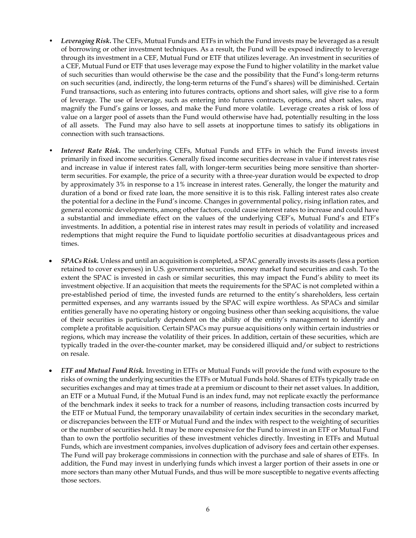- *Leveraging Risk***.** The CEFs, Mutual Funds and ETFs in which the Fund invests may be leveraged as a result of borrowing or other investment techniques. As a result, the Fund will be exposed indirectly to leverage through its investment in a CEF, Mutual Fund or ETF that utilizes leverage. An investment in securities of a CEF, Mutual Fund or ETF that uses leverage may expose the Fund to higher volatility in the market value of such securities than would otherwise be the case and the possibility that the Fund's long-term returns on such securities (and, indirectly, the long-term returns of the Fund's shares) will be diminished. Certain Fund transactions, such as entering into futures contracts, options and short sales, will give rise to a form of leverage. The use of leverage, such as entering into futures contracts, options, and short sales, may magnify the Fund's gains or losses, and make the Fund more volatile. Leverage creates a risk of loss of value on a larger pool of assets than the Fund would otherwise have had, potentially resulting in the loss of all assets. The Fund may also have to sell assets at inopportune times to satisfy its obligations in connection with such transactions.
- Interest Rate Risk. The underlying CEFs, Mutual Funds and ETFs in which the Fund invests invest primarily in fixed income securities. Generally fixed income securities decrease in value if interest rates rise and increase in value if interest rates fall, with longer-term securities being more sensitive than shorterterm securities. For example, the price of a security with a three-year duration would be expected to drop by approximately 3% in response to a 1% increase in interest rates. Generally, the longer the maturity and duration of a bond or fixed rate loan, the more sensitive it is to this risk. Falling interest rates also create the potential for a decline in the Fund's income. Changes in governmental policy, rising inflation rates, and general economic developments, among other factors, could cause interest rates to increase and could have a substantial and immediate effect on the values of the underlying CEF's, Mutual Fund's and ETF's investments. In addition, a potential rise in interest rates may result in periods of volatility and increased redemptions that might require the Fund to liquidate portfolio securities at disadvantageous prices and times.
- *SPACs Risk.* Unless and until an acquisition is completed, a SPAC generally invests its assets (less a portion retained to cover expenses) in U.S. government securities, money market fund securities and cash. To the extent the SPAC is invested in cash or similar securities, this may impact the Fund's ability to meet its investment objective. If an acquisition that meets the requirements for the SPAC is not completed within a pre-established period of time, the invested funds are returned to the entity's shareholders, less certain permitted expenses, and any warrants issued by the SPAC will expire worthless. As SPACs and similar entities generally have no operating history or ongoing business other than seeking acquisitions, the value of their securities is particularly dependent on the ability of the entity's management to identify and complete a profitable acquisition. Certain SPACs may pursue acquisitions only within certain industries or regions, which may increase the volatility of their prices. In addition, certain of these securities, which are typically traded in the over-the-counter market, may be considered illiquid and/or subject to restrictions on resale.
- *ETF and Mutual Fund Risk.* Investing in ETFs or Mutual Funds will provide the fund with exposure to the risks of owning the underlying securities the ETFs or Mutual Funds hold. Shares of ETFs typically trade on securities exchanges and may at times trade at a premium or discount to their net asset values. In addition, an ETF or a Mutual Fund, if the Mutual Fund is an index fund, may not replicate exactly the performance of the benchmark index it seeks to track for a number of reasons, including transaction costs incurred by the ETF or Mutual Fund, the temporary unavailability of certain index securities in the secondary market, or discrepancies between the ETF or Mutual Fund and the index with respect to the weighting of securities or the number of securities held. It may be more expensive for the Fund to invest in an ETF or Mutual Fund than to own the portfolio securities of these investment vehicles directly. Investing in ETFs and Mutual Funds, which are investment companies, involves duplication of advisory fees and certain other expenses. The Fund will pay brokerage commissions in connection with the purchase and sale of shares of ETFs. In addition, the Fund may invest in underlying funds which invest a larger portion of their assets in one or more sectors than many other Mutual Funds, and thus will be more susceptible to negative events affecting those sectors.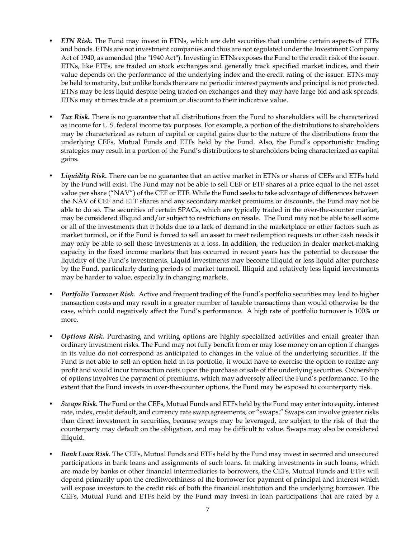- *ETN Risk.* The Fund may invest in ETNs, which are debt securities that combine certain aspects of ETFs and bonds. ETNs are not investment companies and thus are not regulated under the Investment Company Act of 1940, as amended (the "1940 Act"). Investing in ETNs exposes the Fund to the credit risk of the issuer. ETNs, like ETFs, are traded on stock exchanges and generally track specified market indices, and their value depends on the performance of the underlying index and the credit rating of the issuer. ETNs may be held to maturity, but unlike bonds there are no periodic interest payments and principal is not protected. ETNs may be less liquid despite being traded on exchanges and they may have large bid and ask spreads. ETNs may at times trade at a premium or discount to their indicative value.
- *Tax Risk.* There is no guarantee that all distributions from the Fund to shareholders will be characterized as income for U.S. federal income tax purposes. For example, a portion of the distributions to shareholders may be characterized as return of capital or capital gains due to the nature of the distributions from the underlying CEFs, Mutual Funds and ETFs held by the Fund. Also, the Fund's opportunistic trading strategies may result in a portion of the Fund's distributions to shareholders being characterized as capital gains.
- *Liquidity Risk.* There can be no guarantee that an active market in ETNs or shares of CEFs and ETFs held by the Fund will exist. The Fund may not be able to sell CEF or ETF shares at a price equal to the net asset value per share ("NAV") of the CEF or ETF. While the Fund seeks to take advantage of differences between the NAV of CEF and ETF shares and any secondary market premiums or discounts, the Fund may not be able to do so. The securities of certain SPACs, which are typically traded in the over-the-counter market, may be considered illiquid and/or subject to restrictions on resale. The Fund may not be able to sell some or all of the investments that it holds due to a lack of demand in the marketplace or other factors such as market turmoil, or if the Fund is forced to sell an asset to meet redemption requests or other cash needs it may only be able to sell those investments at a loss. In addition, the reduction in dealer market-making capacity in the fixed income markets that has occurred in recent years has the potential to decrease the liquidity of the Fund's investments. Liquid investments may become illiquid or less liquid after purchase by the Fund, particularly during periods of market turmoil. Illiquid and relatively less liquid investments may be harder to value, especially in changing markets.
- *Portfolio Turnover Risk*. Active and frequent trading of the Fund's portfolio securities may lead to higher transaction costs and may result in a greater number of taxable transactions than would otherwise be the case, which could negatively affect the Fund's performance. A high rate of portfolio turnover is 100% or more.
- *Options Risk.* Purchasing and writing options are highly specialized activities and entail greater than ordinary investment risks. The Fund may not fully benefit from or may lose money on an option if changes in its value do not correspond as anticipated to changes in the value of the underlying securities. If the Fund is not able to sell an option held in its portfolio, it would have to exercise the option to realize any profit and would incur transaction costs upon the purchase or sale of the underlying securities. Ownership of options involves the payment of premiums, which may adversely affect the Fund's performance. To the extent that the Fund invests in over-the-counter options, the Fund may be exposed to counterparty risk.
- *Swaps Risk.* The Fund or the CEFs, Mutual Funds and ETFs held by the Fund may enter into equity, interest rate, index, credit default, and currency rate swap agreements, or "swaps." Swaps can involve greater risks than direct investment in securities, because swaps may be leveraged, are subject to the risk of that the counterparty may default on the obligation, and may be difficult to value. Swaps may also be considered illiquid.
- *Bank Loan Risk.* The CEFs, Mutual Funds and ETFs held by the Fund may invest in secured and unsecured participations in bank loans and assignments of such loans. In making investments in such loans, which are made by banks or other financial intermediaries to borrowers, the CEFs, Mutual Funds and ETFs will depend primarily upon the creditworthiness of the borrower for payment of principal and interest which will expose investors to the credit risk of both the financial institution and the underlying borrower. The CEFs, Mutual Fund and ETFs held by the Fund may invest in loan participations that are rated by a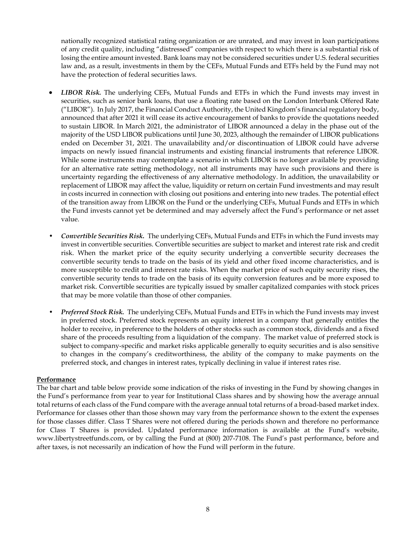nationally recognized statistical rating organization or are unrated, and may invest in loan participations of any credit quality, including "distressed" companies with respect to which there is a substantial risk of losing the entire amount invested. Bank loans may not be considered securities under U.S. federal securities law and, as a result, investments in them by the CEFs, Mutual Funds and ETFs held by the Fund may not have the protection of federal securities laws.

- *LIBOR Risk.* The underlying CEFs, Mutual Funds and ETFs in which the Fund invests may invest in securities, such as senior bank loans, that use a floating rate based on the London Interbank Offered Rate ("LIBOR"). In July 2017, the Financial Conduct Authority, the United Kingdom's financial regulatory body, announced that after 2021 it will cease its active encouragement of banks to provide the quotations needed to sustain LIBOR. In March 2021, the administrator of LIBOR announced a delay in the phase out of the majority of the USD LIBOR publications until June 30, 2023, although the remainder of LIBOR publications ended on December 31, 2021. The unavailability and/or discontinuation of LIBOR could have adverse impacts on newly issued financial instruments and existing financial instruments that reference LIBOR. While some instruments may contemplate a scenario in which LIBOR is no longer available by providing for an alternative rate setting methodology, not all instruments may have such provisions and there is uncertainty regarding the effectiveness of any alternative methodology. In addition, the unavailability or replacement of LIBOR may affect the value, liquidity or return on certain Fund investments and may result in costs incurred in connection with closing out positions and entering into new trades. The potential effect of the transition away from LIBOR on the Fund or the underlying CEFs, Mutual Funds and ETFs in which the Fund invests cannot yet be determined and may adversely affect the Fund's performance or net asset value.
- *Convertible Securities Risk.* The underlying CEFs, Mutual Funds and ETFs in which the Fund invests may invest in convertible securities. Convertible securities are subject to market and interest rate risk and credit risk. When the market price of the equity security underlying a convertible security decreases the convertible security tends to trade on the basis of its yield and other fixed income characteristics, and is more susceptible to credit and interest rate risks. When the market price of such equity security rises, the convertible security tends to trade on the basis of its equity conversion features and be more exposed to market risk. Convertible securities are typically issued by smaller capitalized companies with stock prices that may be more volatile than those of other companies.
- *Preferred Stock Risk.* The underlying CEFs, Mutual Funds and ETFs in which the Fund invests may invest in preferred stock. Preferred stock represents an equity interest in a company that generally entitles the holder to receive, in preference to the holders of other stocks such as common stock, dividends and a fixed share of the proceeds resulting from a liquidation of the company. The market value of preferred stock is subject to company-specific and market risks applicable generally to equity securities and is also sensitive to changes in the company's creditworthiness, the ability of the company to make payments on the preferred stock, and changes in interest rates, typically declining in value if interest rates rise.

## **Performance**

The bar chart and table below provide some indication of the risks of investing in the Fund by showing changes in the Fund's performance from year to year for Institutional Class shares and by showing how the average annual total returns of each class of the Fund compare with the average annual total returns of a broad-based market index. Performance for classes other than those shown may vary from the performance shown to the extent the expenses for those classes differ. Class T Shares were not offered during the periods shown and therefore no performance for Class T Shares is provided. Updated performance information is available at the Fund's website, www.libertystreetfunds.com, or by calling the Fund at (800) 207-7108. The Fund's past performance, before and after taxes, is not necessarily an indication of how the Fund will perform in the future.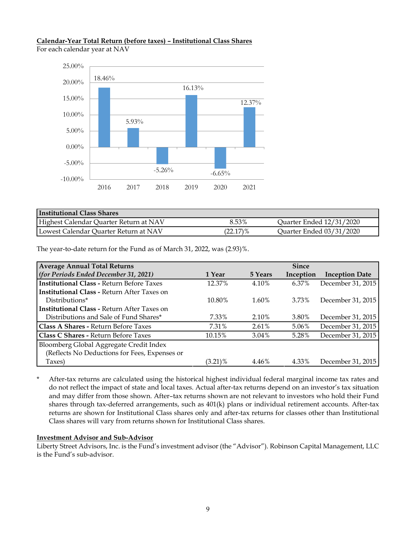# **Calendar-Year Total Return (before taxes) – Institutional Class Shares**

For each calendar year at NAV



| <b>Institutional Class Shares</b>      |             |                          |
|----------------------------------------|-------------|--------------------------|
| Highest Calendar Quarter Return at NAV | 8.53%       | Quarter Ended 12/31/2020 |
| Lowest Calendar Quarter Return at NAV  | $(22.17)\%$ | Quarter Ended 03/31/2020 |

The year-to-date return for the Fund as of March 31, 2022, was (2.93)%.

| <b>Average Annual Total Returns</b>                |            |          | <b>Since</b> |                       |
|----------------------------------------------------|------------|----------|--------------|-----------------------|
| (for Periods Ended December 31, 2021)              | 1 Year     | 5 Years  | Inception    | <b>Inception Date</b> |
| <b>Institutional Class - Return Before Taxes</b>   | 12.37%     | 4.10%    | 6.37%        | December 31, 2015     |
| <b>Institutional Class - Return After Taxes on</b> |            |          |              |                       |
| Distributions*                                     | 10.80%     | 1.60%    | 3.73%        | December 31, 2015     |
| <b>Institutional Class - Return After Taxes on</b> |            |          |              |                       |
| Distributions and Sale of Fund Shares*             | 7.33%      | 2.10%    | 3.80%        | December 31, 2015     |
| Class A Shares - Return Before Taxes               | 7.31%      | $2.61\%$ | 5.06%        | December 31, 2015     |
| Class C Shares - Return Before Taxes               | 10.15%     | 3.04%    | 5.28%        | December 31, 2015     |
| Bloomberg Global Aggregate Credit Index            |            |          |              |                       |
| (Reflects No Deductions for Fees, Expenses or      |            |          |              |                       |
| Taxes)                                             | $(3.21)\%$ | 4.46%    | 4.33%        | December 31, 2015     |

\* After-tax returns are calculated using the historical highest individual federal marginal income tax rates and do not reflect the impact of state and local taxes. Actual after-tax returns depend on an investor's tax situation and may differ from those shown. After–tax returns shown are not relevant to investors who hold their Fund shares through tax-deferred arrangements, such as 401(k) plans or individual retirement accounts. After-tax returns are shown for Institutional Class shares only and after-tax returns for classes other than Institutional Class shares will vary from returns shown for Institutional Class shares.

## **Investment Advisor and Sub-Advisor**

Liberty Street Advisors, Inc. is the Fund's investment advisor (the "Advisor"). Robinson Capital Management, LLC is the Fund's sub-advisor.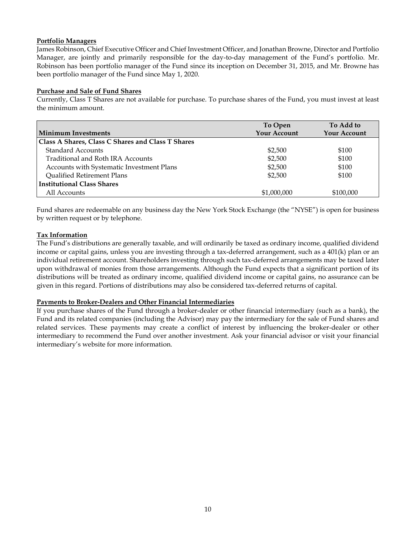### **Portfolio Managers**

James Robinson, Chief Executive Officer and Chief Investment Officer, and Jonathan Browne, Director and Portfolio Manager, are jointly and primarily responsible for the day-to-day management of the Fund's portfolio. Mr. Robinson has been portfolio manager of the Fund since its inception on December 31, 2015, and Mr. Browne has been portfolio manager of the Fund since May 1, 2020.

### **Purchase and Sale of Fund Shares**

Currently, Class T Shares are not available for purchase. To purchase shares of the Fund, you must invest at least the minimum amount.

|                                                   | To Open             | To Add to           |
|---------------------------------------------------|---------------------|---------------------|
| <b>Minimum Investments</b>                        | <b>Your Account</b> | <b>Your Account</b> |
| Class A Shares, Class C Shares and Class T Shares |                     |                     |
| <b>Standard Accounts</b>                          | \$2,500             | \$100               |
| Traditional and Roth IRA Accounts                 | \$2,500             | \$100               |
| Accounts with Systematic Investment Plans         | \$2,500             | \$100               |
| Qualified Retirement Plans                        | \$2,500             | \$100               |
| <b>Institutional Class Shares</b>                 |                     |                     |
| All Accounts                                      | \$1,000,000         | \$100,000           |

Fund shares are redeemable on any business day the New York Stock Exchange (the "NYSE") is open for business by written request or by telephone.

### **Tax Information**

The Fund's distributions are generally taxable, and will ordinarily be taxed as ordinary income, qualified dividend income or capital gains, unless you are investing through a tax-deferred arrangement, such as a 401(k) plan or an individual retirement account. Shareholders investing through such tax-deferred arrangements may be taxed later upon withdrawal of monies from those arrangements. Although the Fund expects that a significant portion of its distributions will be treated as ordinary income, qualified dividend income or capital gains, no assurance can be given in this regard. Portions of distributions may also be considered tax-deferred returns of capital.

#### **Payments to Broker-Dealers and Other Financial Intermediaries**

If you purchase shares of the Fund through a broker-dealer or other financial intermediary (such as a bank), the Fund and its related companies (including the Advisor) may pay the intermediary for the sale of Fund shares and related services. These payments may create a conflict of interest by influencing the broker-dealer or other intermediary to recommend the Fund over another investment. Ask your financial advisor or visit your financial intermediary's website for more information.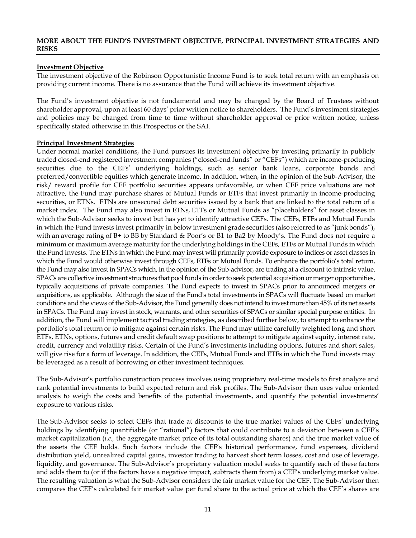#### <span id="page-12-0"></span>**MORE ABOUT THE FUND'S INVESTMENT OBJECTIVE, PRINCIPAL INVESTMENT STRATEGIES AND RISKS**

#### **Investment Objective**

The investment objective of the Robinson Opportunistic Income Fund is to seek total return with an emphasis on providing current income. There is no assurance that the Fund will achieve its investment objective.

The Fund's investment objective is not fundamental and may be changed by the Board of Trustees without shareholder approval, upon at least 60 days' prior written notice to shareholders. The Fund's investment strategies and policies may be changed from time to time without shareholder approval or prior written notice, unless specifically stated otherwise in this Prospectus or the SAI.

#### **Principal Investment Strategies**

Under normal market conditions, the Fund pursues its investment objective by investing primarily in publicly traded closed-end registered investment companies ("closed-end funds" or "CEFs") which are income-producing securities due to the CEFs' underlying holdings, such as senior bank loans, corporate bonds and preferred/convertible equities which generate income. In addition, when, in the opinion of the Sub-Advisor, the risk/ reward profile for CEF portfolio securities appears unfavorable, or when CEF price valuations are not attractive, the Fund may purchase shares of Mutual Funds or ETFs that invest primarily in income-producing securities, or ETNs. ETNs are unsecured debt securities issued by a bank that are linked to the total return of a market index. The Fund may also invest in ETNs, ETFs or Mutual Funds as "placeholders" for asset classes in which the Sub-Advisor seeks to invest but has yet to identify attractive CEFs. The CEFs, ETFs and Mutual Funds in which the Fund invests invest primarily in below investment grade securities (also referred to as "junk bonds"), with an average rating of B+ to BB by Standard & Poor's or B1 to Ba2 by Moody's. The Fund does not require a minimum or maximum average maturity for the underlying holdings in the CEFs, ETFs or Mutual Funds in which the Fund invests. The ETNs in which the Fund may invest will primarily provide exposure to indices or asset classes in which the Fund would otherwise invest through CEFs, ETFs or Mutual Funds. To enhance the portfolio's total return, the Fund may also invest in SPACs which, in the opinion of the Sub-advisor, are trading at a discount to intrinsic value. SPACs are collective investment structures that pool funds in order to seek potential acquisition or merger opportunities, typically acquisitions of private companies. The Fund expects to invest in SPACs prior to announced mergers or acquisitions, as applicable. Although the size of the Fund's total investments in SPACs will fluctuate based on market conditions and the views of the Sub-Advisor, the Fund generally does not intend to invest more than 45% of its net assets in SPACs. The Fund may invest in stock, warrants, and other securities of SPACs or similar special purpose entities. In addition, the Fund will implement tactical trading strategies, as described further below, to attempt to enhance the portfolio's total return or to mitigate against certain risks. The Fund may utilize carefully weighted long and short ETFs, ETNs, options, futures and credit default swap positions to attempt to mitigate against equity, interest rate, credit, currency and volatility risks. Certain of the Fund's investments including options, futures and short sales, will give rise for a form of leverage. In addition, the CEFs, Mutual Funds and ETFs in which the Fund invests may be leveraged as a result of borrowing or other investment techniques.

The Sub-Advisor's portfolio construction process involves using proprietary real-time models to first analyze and rank potential investments to build expected return and risk profiles. The Sub-Advisor then uses value oriented analysis to weigh the costs and benefits of the potential investments, and quantify the potential investments' exposure to various risks.

The Sub-Advisor seeks to select CEFs that trade at discounts to the true market values of the CEFs' underlying holdings by identifying quantifiable (or "rational") factors that could contribute to a deviation between a CEF's market capitalization (*i.e.,* the aggregate market price of its total outstanding shares) and the true market value of the assets the CEF holds. Such factors include the CEF's historical performance, fund expenses, dividend distribution yield, unrealized capital gains, investor trading to harvest short term losses, cost and use of leverage, liquidity, and governance. The Sub-Advisor's proprietary valuation model seeks to quantify each of these factors and adds them to (or if the factors have a negative impact, subtracts them from) a CEF's underlying market value. The resulting valuation is what the Sub-Advisor considers the fair market value for the CEF. The Sub-Advisor then compares the CEF's calculated fair market value per fund share to the actual price at which the CEF's shares are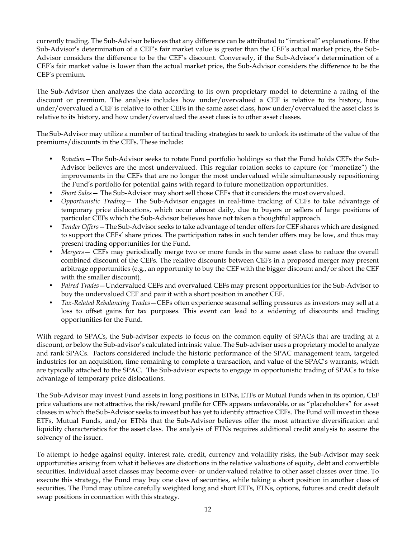currently trading. The Sub-Advisor believes that any difference can be attributed to "irrational" explanations. If the Sub-Advisor's determination of a CEF's fair market value is greater than the CEF's actual market price, the Sub-Advisor considers the difference to be the CEF's discount. Conversely, if the Sub-Advisor's determination of a CEF's fair market value is lower than the actual market price, the Sub-Advisor considers the difference to be the CEF's premium.

The Sub-Advisor then analyzes the data according to its own proprietary model to determine a rating of the discount or premium. The analysis includes how under/overvalued a CEF is relative to its history, how under/overvalued a CEF is relative to other CEFs in the same asset class, how under/overvalued the asset class is relative to its history, and how under/overvalued the asset class is to other asset classes.

The Sub-Advisor may utilize a number of tactical trading strategies to seek to unlock its estimate of the value of the premiums/discounts in the CEFs. These include:

- *Rotation*—The Sub-Advisor seeks to rotate Fund portfolio holdings so that the Fund holds CEFs the Sub-Advisor believes are the most undervalued. This regular rotation seeks to capture (or "monetize") the improvements in the CEFs that are no longer the most undervalued while simultaneously repositioning the Fund's portfolio for potential gains with regard to future monetization opportunities.
- *Short Sales* The Sub-Advisor may short sell those CEFs that it considers the most overvalued.
- *Opportunistic Trading* The Sub-Advisor engages in real-time tracking of CEFs to take advantage of temporary price dislocations, which occur almost daily, due to buyers or sellers of large positions of particular CEFs which the Sub-Advisor believes have not taken a thoughtful approach.
- *Tender Offers*—The Sub-Advisor seeks to take advantage of tender offers for CEF shares which are designed to support the CEFs' share prices. The participation rates in such tender offers may be low, and thus may present trading opportunities for the Fund.
- *Mergers* CEFs may periodically merge two or more funds in the same asset class to reduce the overall combined discount of the CEFs. The relative discounts between CEFs in a proposed merger may present arbitrage opportunities (e.g., an opportunity to buy the CEF with the bigger discount and/or short the CEF with the smaller discount).
- *Paired Trades*—Undervalued CEFs and overvalued CEFs may present opportunities for the Sub-Advisor to buy the undervalued CEF and pair it with a short position in another CEF.
- *Tax-Related Rebalancing Trades*—CEFs often experience seasonal selling pressures as investors may sell at a loss to offset gains for tax purposes. This event can lead to a widening of discounts and trading opportunities for the Fund.

With regard to SPACs, the Sub-advisor expects to focus on the common equity of SPACs that are trading at a discount, or below the Sub-advisor's calculated intrinsic value. The Sub-advisor uses a proprietary model to analyze and rank SPACs. Factors considered include the historic performance of the SPAC management team, targeted industries for an acquisition, time remaining to complete a transaction, and value of the SPAC's warrants, which are typically attached to the SPAC. The Sub-advisor expects to engage in opportunistic trading of SPACs to take advantage of temporary price dislocations.

The Sub-Advisor may invest Fund assets in long positions in ETNs, ETFs or Mutual Funds when in its opinion, CEF price valuations are not attractive, the risk/reward profile for CEFs appears unfavorable, or as "placeholders" for asset classes in which the Sub-Advisor seeks to invest but has yet to identify attractive CEFs. The Fund will invest in those ETFs, Mutual Funds, and/or ETNs that the Sub-Advisor believes offer the most attractive diversification and liquidity characteristics for the asset class. The analysis of ETNs requires additional credit analysis to assure the solvency of the issuer.

To attempt to hedge against equity, interest rate, credit, currency and volatility risks, the Sub-Advisor may seek opportunities arising from what it believes are distortions in the relative valuations of equity, debt and convertible securities. Individual asset classes may become over- or under-valued relative to other asset classes over time. To execute this strategy, the Fund may buy one class of securities, while taking a short position in another class of securities. The Fund may utilize carefully weighted long and short ETFs, ETNs, options, futures and credit default swap positions in connection with this strategy.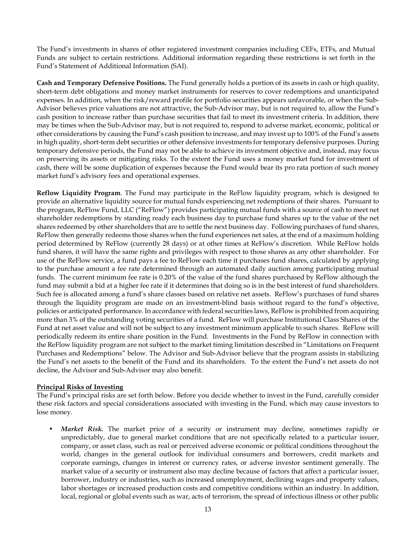The Fund's investments in shares of other registered investment companies including CEFs, ETFs, and Mutual Funds are subject to certain restrictions. Additional information regarding these restrictions is set forth in the Fund's Statement of Additional Information (SAI).

**Cash and Temporary Defensive Positions.** The Fund generally holds a portion of its assets in cash or high quality, short-term debt obligations and money market instruments for reserves to cover redemptions and unanticipated expenses. In addition, when the risk/reward profile for portfolio securities appears unfavorable, or when the Sub-Advisor believes price valuations are not attractive, the Sub-Advisor may, but is not required to, allow the Fund's cash position to increase rather than purchase securities that fail to meet its investment criteria. In addition, there may be times when the Sub-Advisor may, but is not required to, respond to adverse market, economic, political or other considerations by causing the Fund's cash position to increase, and may invest up to 100% of the Fund's assets in high quality, short-term debt securities or other defensive investments for temporary defensive purposes. During temporary defensive periods, the Fund may not be able to achieve its investment objective and, instead, may focus on preserving its assets or mitigating risks. To the extent the Fund uses a money market fund for investment of cash, there will be some duplication of expenses because the Fund would bear its pro rata portion of such money market fund's advisory fees and operational expenses.

**Reflow Liquidity Program**. The Fund may participate in the ReFlow liquidity program, which is designed to provide an alternative liquidity source for mutual funds experiencing net redemptions of their shares. Pursuant to the program, ReFlow Fund, LLC ("ReFlow") provides participating mutual funds with a source of cash to meet net shareholder redemptions by standing ready each business day to purchase fund shares up to the value of the net shares redeemed by other shareholders that are to settle the next business day. Following purchases of fund shares, ReFlow then generally redeems those shares when the fund experiences net sales, at the end of a maximum holding period determined by ReFlow (currently 28 days) or at other times at ReFlow's discretion. While ReFlow holds fund shares, it will have the same rights and privileges with respect to those shares as any other shareholder. For use of the ReFlow service, a fund pays a fee to ReFlow each time it purchases fund shares, calculated by applying to the purchase amount a fee rate determined through an automated daily auction among participating mutual funds. The current minimum fee rate is 0.20% of the value of the fund shares purchased by ReFlow although the fund may submit a bid at a higher fee rate if it determines that doing so is in the best interest of fund shareholders. Such fee is allocated among a fund's share classes based on relative net assets. ReFlow's purchases of fund shares through the liquidity program are made on an investment-blind basis without regard to the fund's objective, policies or anticipated performance. In accordance with federal securities laws, ReFlow is prohibited from acquiring more than 3% of the outstanding voting securities of a fund. ReFlow will purchase Institutional Class Shares of the Fund at net asset value and will not be subject to any investment minimum applicable to such shares. ReFlow will periodically redeem its entire share position in the Fund. Investments in the Fund by ReFlow in connection with the ReFlow liquidity program are not subject to the market timing limitation described in "Limitations on Frequent Purchases and Redemptions" below. The Advisor and Sub-Advisor believe that the program assists in stabilizing the Fund's net assets to the benefit of the Fund and its shareholders. To the extent the Fund's net assets do not decline, the Advisor and Sub-Advisor may also benefit.

## **Principal Risks of Investing**

The Fund's principal risks are set forth below. Before you decide whether to invest in the Fund, carefully consider these risk factors and special considerations associated with investing in the Fund, which may cause investors to lose money.

• *Market Risk.* The market price of a security or instrument may decline, sometimes rapidly or unpredictably, due to general market conditions that are not specifically related to a particular issuer, company, or asset class, such as real or perceived adverse economic or political conditions throughout the world, changes in the general outlook for individual consumers and borrowers, credit markets and corporate earnings, changes in interest or currency rates, or adverse investor sentiment generally. The market value of a security or instrument also may decline because of factors that affect a particular issuer, borrower, industry or industries, such as increased unemployment, declining wages and property values, labor shortages or increased production costs and competitive conditions within an industry. In addition, local, regional or global events such as war, acts of terrorism, the spread of infectious illness or other public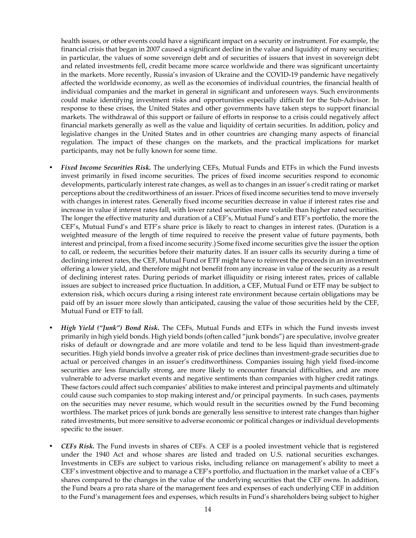health issues, or other events could have a significant impact on a security or instrument. For example, the financial crisis that began in 2007 caused a significant decline in the value and liquidity of many securities; in particular, the values of some sovereign debt and of securities of issuers that invest in sovereign debt and related investments fell, credit became more scarce worldwide and there was significant uncertainty in the markets. More recently, Russia's invasion of Ukraine and the COVID-19 pandemic have negatively affected the worldwide economy, as well as the economies of individual countries, the financial health of individual companies and the market in general in significant and unforeseen ways. Such environments could make identifying investment risks and opportunities especially difficult for the Sub-Advisor. In response to these crises, the United States and other governments have taken steps to support financial markets. The withdrawal of this support or failure of efforts in response to a crisis could negatively affect financial markets generally as well as the value and liquidity of certain securities. In addition, policy and legislative changes in the United States and in other countries are changing many aspects of financial regulation. The impact of these changes on the markets, and the practical implications for market participants, may not be fully known for some time.

- *Fixed Income Securities Risk.* The underlying CEFs, Mutual Funds and ETFs in which the Fund invests invest primarily in fixed income securities. The prices of fixed income securities respond to economic developments, particularly interest rate changes, as well as to changes in an issuer's credit rating or market perceptions about the creditworthiness of an issuer. Prices of fixed income securities tend to move inversely with changes in interest rates. Generally fixed income securities decrease in value if interest rates rise and increase in value if interest rates fall, with lower rated securities more volatile than higher rated securities. The longer the effective maturity and duration of a CEF's, Mutual Fund's and ETF's portfolio, the more the CEF's, Mutual Fund's and ETF's share price is likely to react to changes in interest rates. (Duration is a weighted measure of the length of time required to receive the present value of future payments, both interest and principal, from a fixed income security.) Some fixed income securities give the issuer the option to call, or redeem, the securities before their maturity dates. If an issuer calls its security during a time of declining interest rates, the CEF, Mutual Fund or ETF might have to reinvest the proceeds in an investment offering a lower yield, and therefore might not benefit from any increase in value of the security as a result of declining interest rates. During periods of market illiquidity or rising interest rates, prices of callable issues are subject to increased price fluctuation. In addition, a CEF, Mutual Fund or ETF may be subject to extension risk, which occurs during a rising interest rate environment because certain obligations may be paid off by an issuer more slowly than anticipated, causing the value of those securities held by the CEF, Mutual Fund or ETF to fall.
- *High Yield ("Junk") Bond Risk***.** The CEFs, Mutual Funds and ETFs in which the Fund invests invest primarily in high yield bonds. High yield bonds (often called "junk bonds") are speculative, involve greater risks of default or downgrade and are more volatile and tend to be less liquid than investment-grade securities. High yield bonds involve a greater risk of price declines than investment-grade securities due to actual or perceived changes in an issuer's creditworthiness. Companies issuing high yield fixed-income securities are less financially strong, are more likely to encounter financial difficulties, and are more vulnerable to adverse market events and negative sentiments than companies with higher credit ratings. These factors could affect such companies' abilities to make interest and principal payments and ultimately could cause such companies to stop making interest and/or principal payments. In such cases, payments on the securities may never resume, which would result in the securities owned by the Fund becoming worthless. The market prices of junk bonds are generally less sensitive to interest rate changes than higher rated investments, but more sensitive to adverse economic or political changes or individual developments specific to the issuer.
- *CEFs Risk.* The Fund invests in shares of CEFs. A CEF is a pooled investment vehicle that is registered under the 1940 Act and whose shares are listed and traded on U.S. national securities exchanges. Investments in CEFs are subject to various risks, including reliance on management's ability to meet a CEF's investment objective and to manage a CEF's portfolio, and fluctuation in the market value of a CEF's shares compared to the changes in the value of the underlying securities that the CEF owns. In addition, the Fund bears a pro rata share of the management fees and expenses of each underlying CEF in addition to the Fund's management fees and expenses, which results in Fund's shareholders being subject to higher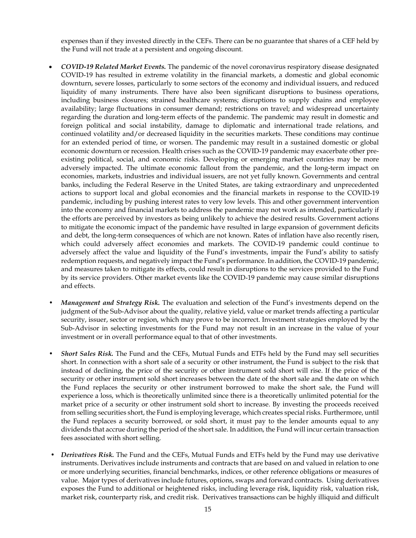expenses than if they invested directly in the CEFs. There can be no guarantee that shares of a CEF held by the Fund will not trade at a persistent and ongoing discount.

- *COVID-19 Related Market Events.* The pandemic of the novel coronavirus respiratory disease designated COVID-19 has resulted in extreme volatility in the financial markets, a domestic and global economic downturn, severe losses, particularly to some sectors of the economy and individual issuers, and reduced liquidity of many instruments. There have also been significant disruptions to business operations, including business closures; strained healthcare systems; disruptions to supply chains and employee availability; large fluctuations in consumer demand; restrictions on travel; and widespread uncertainty regarding the duration and long-term effects of the pandemic. The pandemic may result in domestic and foreign political and social instability, damage to diplomatic and international trade relations, and continued volatility and/or decreased liquidity in the securities markets. These conditions may continue for an extended period of time, or worsen. The pandemic may result in a sustained domestic or global economic downturn or recession. Health crises such as the COVID-19 pandemic may exacerbate other preexisting political, social, and economic risks. Developing or emerging market countries may be more adversely impacted. The ultimate economic fallout from the pandemic, and the long-term impact on economies, markets, industries and individual issuers, are not yet fully known. Governments and central banks, including the Federal Reserve in the United States, are taking extraordinary and unprecedented actions to support local and global economies and the financial markets in response to the COVID-19 pandemic, including by pushing interest rates to very low levels. This and other government intervention into the economy and financial markets to address the pandemic may not work as intended, particularly if the efforts are perceived by investors as being unlikely to achieve the desired results. Government actions to mitigate the economic impact of the pandemic have resulted in large expansion of government deficits and debt, the long-term consequences of which are not known. Rates of inflation have also recently risen, which could adversely affect economies and markets. The COVID-19 pandemic could continue to adversely affect the value and liquidity of the Fund's investments, impair the Fund's ability to satisfy redemption requests, and negatively impact the Fund's performance. In addition, the COVID-19 pandemic, and measures taken to mitigate its effects, could result in disruptions to the services provided to the Fund by its service providers. Other market events like the COVID-19 pandemic may cause similar disruptions and effects.
- *Management and Strategy Risk.* The evaluation and selection of the Fund's investments depend on the judgment of the Sub-Advisor about the quality, relative yield, value or market trends affecting a particular security, issuer, sector or region, which may prove to be incorrect. Investment strategies employed by the Sub-Advisor in selecting investments for the Fund may not result in an increase in the value of your investment or in overall performance equal to that of other investments.
- *Short Sales Risk.* The Fund and the CEFs, Mutual Funds and ETFs held by the Fund may sell securities short. In connection with a short sale of a security or other instrument, the Fund is subject to the risk that instead of declining, the price of the security or other instrument sold short will rise. If the price of the security or other instrument sold short increases between the date of the short sale and the date on which the Fund replaces the security or other instrument borrowed to make the short sale, the Fund will experience a loss, which is theoretically unlimited since there is a theoretically unlimited potential for the market price of a security or other instrument sold short to increase. By investing the proceeds received from selling securities short, the Fund is employing leverage, which creates special risks. Furthermore, until the Fund replaces a security borrowed, or sold short, it must pay to the lender amounts equal to any dividends that accrue during the period of the short sale. In addition, the Fund will incur certain transaction fees associated with short selling.
- *Derivatives Risk.* The Fund and the CEFs, Mutual Funds and ETFs held by the Fund may use derivative instruments. Derivatives include instruments and contracts that are based on and valued in relation to one or more underlying securities, financial benchmarks, indices, or other reference obligations or measures of value. Major types of derivatives include futures, options, swaps and forward contracts. Using derivatives exposes the Fund to additional or heightened risks, including leverage risk, liquidity risk, valuation risk, market risk, counterparty risk, and credit risk. Derivatives transactions can be highly illiquid and difficult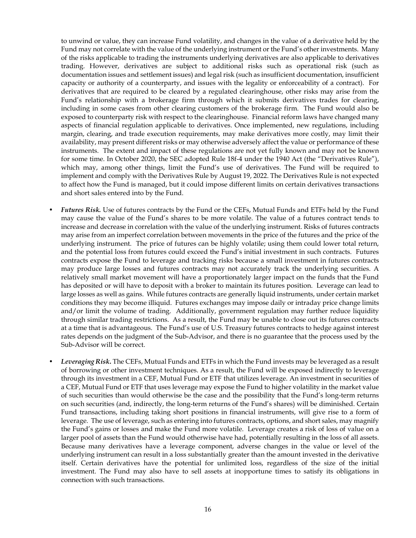to unwind or value, they can increase Fund volatility, and changes in the value of a derivative held by the Fund may not correlate with the value of the underlying instrument or the Fund's other investments. Many of the risks applicable to trading the instruments underlying derivatives are also applicable to derivatives trading. However, derivatives are subject to additional risks such as operational risk (such as documentation issues and settlement issues) and legal risk (such as insufficient documentation, insufficient capacity or authority of a counterparty, and issues with the legality or enforceability of a contract). For derivatives that are required to be cleared by a regulated clearinghouse, other risks may arise from the Fund's relationship with a brokerage firm through which it submits derivatives trades for clearing, including in some cases from other clearing customers of the brokerage firm. The Fund would also be exposed to counterparty risk with respect to the clearinghouse. Financial reform laws have changed many aspects of financial regulation applicable to derivatives. Once implemented, new regulations, including margin, clearing, and trade execution requirements, may make derivatives more costly, may limit their availability, may present different risks or may otherwise adversely affect the value or performance of these instruments. The extent and impact of these regulations are not yet fully known and may not be known for some time. In October 2020, the SEC adopted Rule 18f-4 under the 1940 Act (the "Derivatives Rule"), which may, among other things, limit the Fund's use of derivatives. The Fund will be required to implement and comply with the Derivatives Rule by August 19, 2022. The Derivatives Rule is not expected to affect how the Fund is managed, but it could impose different limits on certain derivatives transactions and short sales entered into by the Fund.

- *Futures Risk.* Use of futures contracts by the Fund or the CEFs, Mutual Funds and ETFs held by the Fund may cause the value of the Fund's shares to be more volatile. The value of a futures contract tends to increase and decrease in correlation with the value of the underlying instrument. Risks of futures contracts may arise from an imperfect correlation between movements in the price of the futures and the price of the underlying instrument. The price of futures can be highly volatile; using them could lower total return, and the potential loss from futures could exceed the Fund's initial investment in such contracts. Futures contracts expose the Fund to leverage and tracking risks because a small investment in futures contracts may produce large losses and futures contracts may not accurately track the underlying securities. A relatively small market movement will have a proportionately larger impact on the funds that the Fund has deposited or will have to deposit with a broker to maintain its futures position. Leverage can lead to large losses as well as gains. While futures contracts are generally liquid instruments, under certain market conditions they may become illiquid. Futures exchanges may impose daily or intraday price change limits and/or limit the volume of trading. Additionally, government regulation may further reduce liquidity through similar trading restrictions. As a result, the Fund may be unable to close out its futures contracts at a time that is advantageous. The Fund's use of U.S. Treasury futures contracts to hedge against interest rates depends on the judgment of the Sub-Advisor, and there is no guarantee that the process used by the Sub-Advisor will be correct.
- *Leveraging Risk***.** The CEFs, Mutual Funds and ETFs in which the Fund invests may be leveraged as a result of borrowing or other investment techniques. As a result, the Fund will be exposed indirectly to leverage through its investment in a CEF, Mutual Fund or ETF that utilizes leverage. An investment in securities of a CEF, Mutual Fund or ETF that uses leverage may expose the Fund to higher volatility in the market value of such securities than would otherwise be the case and the possibility that the Fund's long-term returns on such securities (and, indirectly, the long-term returns of the Fund's shares) will be diminished. Certain Fund transactions, including taking short positions in financial instruments, will give rise to a form of leverage. The use of leverage, such as entering into futures contracts, options, and short sales, may magnify the Fund's gains or losses and make the Fund more volatile. Leverage creates a risk of loss of value on a larger pool of assets than the Fund would otherwise have had, potentially resulting in the loss of all assets. Because many derivatives have a leverage component, adverse changes in the value or level of the underlying instrument can result in a loss substantially greater than the amount invested in the derivative itself. Certain derivatives have the potential for unlimited loss, regardless of the size of the initial investment. The Fund may also have to sell assets at inopportune times to satisfy its obligations in connection with such transactions.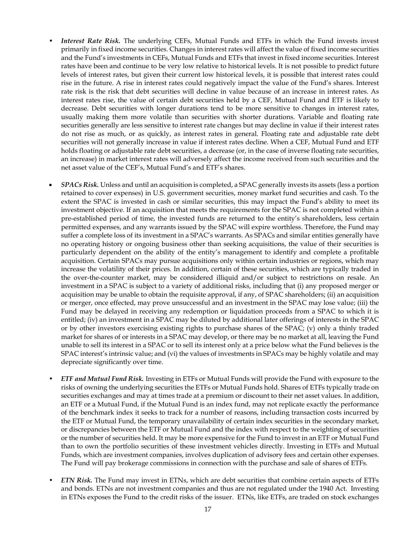- Interest Rate Risk. The underlying CEFs, Mutual Funds and ETFs in which the Fund invests invest primarily in fixed income securities. Changes in interest rates will affect the value of fixed income securities and the Fund's investments in CEFs, Mutual Funds and ETFs that invest in fixed income securities. Interest rates have been and continue to be very low relative to historical levels. It is not possible to predict future levels of interest rates, but given their current low historical levels, it is possible that interest rates could rise in the future. A rise in interest rates could negatively impact the value of the Fund's shares. Interest rate risk is the risk that debt securities will decline in value because of an increase in interest rates. As interest rates rise, the value of certain debt securities held by a CEF, Mutual Fund and ETF is likely to decrease. Debt securities with longer durations tend to be more sensitive to changes in interest rates, usually making them more volatile than securities with shorter durations. Variable and floating rate securities generally are less sensitive to interest rate changes but may decline in value if their interest rates do not rise as much, or as quickly, as interest rates in general. Floating rate and adjustable rate debt securities will not generally increase in value if interest rates decline. When a CEF, Mutual Fund and ETF holds floating or adjustable rate debt securities, a decrease (or, in the case of inverse floating rate securities, an increase) in market interest rates will adversely affect the income received from such securities and the net asset value of the CEF's, Mutual Fund's and ETF's shares.
- *SPACs Risk.* Unless and until an acquisition is completed, a SPAC generally invests its assets (less a portion retained to cover expenses) in U.S. government securities, money market fund securities and cash. To the extent the SPAC is invested in cash or similar securities, this may impact the Fund's ability to meet its investment objective. If an acquisition that meets the requirements for the SPAC is not completed within a pre-established period of time, the invested funds are returned to the entity's shareholders, less certain permitted expenses, and any warrants issued by the SPAC will expire worthless. Therefore, the Fund may suffer a complete loss of its investment in a SPAC's warrants. As SPACs and similar entities generally have no operating history or ongoing business other than seeking acquisitions, the value of their securities is particularly dependent on the ability of the entity's management to identify and complete a profitable acquisition. Certain SPACs may pursue acquisitions only within certain industries or regions, which may increase the volatility of their prices. In addition, certain of these securities, which are typically traded in the over-the-counter market, may be considered illiquid and/or subject to restrictions on resale. An investment in a SPAC is subject to a variety of additional risks, including that (i) any proposed merger or acquisition may be unable to obtain the requisite approval, if any, of SPAC shareholders; (ii) an acquisition or merger, once effected, may prove unsuccessful and an investment in the SPAC may lose value; (iii) the Fund may be delayed in receiving any redemption or liquidation proceeds from a SPAC to which it is entitled; (iv) an investment in a SPAC may be diluted by additional later offerings of interests in the SPAC or by other investors exercising existing rights to purchase shares of the SPAC; (v) only a thinly traded market for shares of or interests in a SPAC may develop, or there may be no market at all, leaving the Fund unable to sell its interest in a SPAC or to sell its interest only at a price below what the Fund believes is the SPAC interest's intrinsic value; and (vi) the values of investments in SPACs may be highly volatile and may depreciate significantly over time.
- *ETF and Mutual Fund Risk.* Investing in ETFs or Mutual Funds will provide the Fund with exposure to the risks of owning the underlying securities the ETFs or Mutual Funds hold. Shares of ETFs typically trade on securities exchanges and may at times trade at a premium or discount to their net asset values. In addition, an ETF or a Mutual Fund, if the Mutual Fund is an index fund, may not replicate exactly the performance of the benchmark index it seeks to track for a number of reasons, including transaction costs incurred by the ETF or Mutual Fund, the temporary unavailability of certain index securities in the secondary market, or discrepancies between the ETF or Mutual Fund and the index with respect to the weighting of securities or the number of securities held. It may be more expensive for the Fund to invest in an ETF or Mutual Fund than to own the portfolio securities of these investment vehicles directly. Investing in ETFs and Mutual Funds, which are investment companies, involves duplication of advisory fees and certain other expenses. The Fund will pay brokerage commissions in connection with the purchase and sale of shares of ETFs.
- *ETN Risk.* The Fund may invest in ETNs, which are debt securities that combine certain aspects of ETFs and bonds. ETNs are not investment companies and thus are not regulated under the 1940 Act. Investing in ETNs exposes the Fund to the credit risks of the issuer. ETNs, like ETFs, are traded on stock exchanges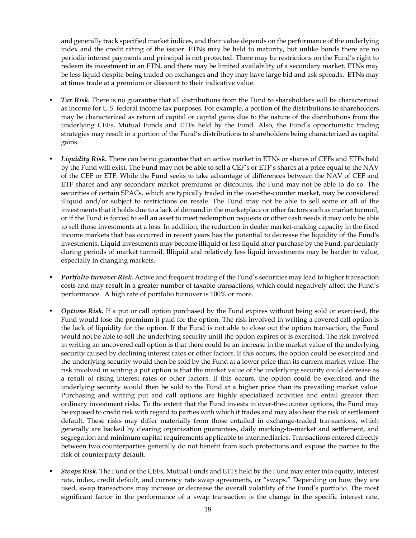and generally track specified market indices, and their value depends on the performance of the underlying index and the credit rating of the issuer. ETNs may be held to maturity, but unlike bonds there are no periodic interest payments and principal is not protected. There may be restrictions on the Fund's right to redeem its investment in an ETN, and there may be limited availability of a secondary market. ETNs may be less liquid despite being traded on exchanges and they may have large bid and ask spreads. ETNs may at times trade at a premium or discount to their indicative value.

- *Tax Risk.* There is no guarantee that all distributions from the Fund to shareholders will be characterized as income for U.S. federal income tax purposes. For example, a portion of the distributions to shareholders may be characterized as return of capital or capital gains due to the nature of the distributions from the underlying CEFs, Mutual Funds and ETFs held by the Fund. Also, the Fund's opportunistic trading strategies may result in a portion of the Fund's distributions to shareholders being characterized as capital gains.
- *Liquidity Risk.* There can be no guarantee that an active market in ETNs or shares of CEFs and ETFs held by the Fund will exist. The Fund may not be able to sell a CEF's or ETF's shares at a price equal to the NAV of the CEF or ETF. While the Fund seeks to take advantage of differences between the NAV of CEF and ETF shares and any secondary market premiums or discounts, the Fund may not be able to do so. The securities of certain SPACs, which are typically traded in the over-the-counter market, may be considered illiquid and/or subject to restrictions on resale. The Fund may not be able to sell some or all of the investments that it holds due to a lack of demand in the marketplace or other factors such as market turmoil, or if the Fund is forced to sell an asset to meet redemption requests or other cash needs it may only be able to sell those investments at a loss. In addition, the reduction in dealer market-making capacity in the fixed income markets that has occurred in recent years has the potential to decrease the liquidity of the Fund's investments. Liquid investments may become illiquid or less liquid after purchase by the Fund, particularly during periods of market turmoil. Illiquid and relatively less liquid investments may be harder to value, especially in changing markets.
- *Portfolio turnover Risk.* Active and frequent trading of the Fund's securities may lead to higher transaction costs and may result in a greater number of taxable transactions, which could negatively affect the Fund's performance. A high rate of portfolio turnover is 100% or more.
- *Options Risk.* If a put or call option purchased by the Fund expires without being sold or exercised, the Fund would lose the premium it paid for the option. The risk involved in writing a covered call option is the lack of liquidity for the option. If the Fund is not able to close out the option transaction, the Fund would not be able to sell the underlying security until the option expires or is exercised. The risk involved in writing an uncovered call option is that there could be an increase in the market value of the underlying security caused by declining interest rates or other factors. If this occurs, the option could be exercised and the underlying security would then be sold by the Fund at a lower price than its current market value. The risk involved in writing a put option is that the market value of the underlying security could decrease as a result of rising interest rates or other factors. If this occurs, the option could be exercised and the underlying security would then be sold to the Fund at a higher price than its prevailing market value. Purchasing and writing put and call options are highly specialized activities and entail greater than ordinary investment risks. To the extent that the Fund invests in over-the-counter options, the Fund may be exposed to credit risk with regard to parties with which it trades and may also bear the risk of settlement default. These risks may differ materially from those entailed in exchange-traded transactions, which generally are backed by clearing organization guarantees, daily marking-to-market and settlement, and segregation and minimum capital requirements applicable to intermediaries. Transactions entered directly between two counterparties generally do not benefit from such protections and expose the parties to the risk of counterparty default.
- *Swaps Risk.* The Fund or the CEFs, Mutual Funds and ETFs held by the Fund may enter into equity, interest rate, index, credit default, and currency rate swap agreements, or "swaps." Depending on how they are used, swap transactions may increase or decrease the overall volatility of the Fund's portfolio. The most significant factor in the performance of a swap transaction is the change in the specific interest rate,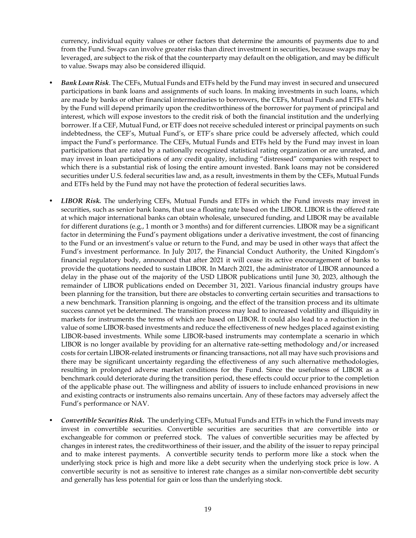currency, individual equity values or other factors that determine the amounts of payments due to and from the Fund. Swaps can involve greater risks than direct investment in securities, because swaps may be leveraged, are subject to the risk of that the counterparty may default on the obligation, and may be difficult to value. Swaps may also be considered illiquid.

- *Bank Loan Risk.* The CEFs, Mutual Funds and ETFs held by the Fund may invest in secured and unsecured participations in bank loans and assignments of such loans. In making investments in such loans, which are made by banks or other financial intermediaries to borrowers, the CEFs, Mutual Funds and ETFs held by the Fund will depend primarily upon the creditworthiness of the borrower for payment of principal and interest, which will expose investors to the credit risk of both the financial institution and the underlying borrower. If a CEF, Mutual Fund, or ETF does not receive scheduled interest or principal payments on such indebtedness, the CEF's, Mutual Fund's, or ETF's share price could be adversely affected, which could impact the Fund's performance. The CEFs, Mutual Funds and ETFs held by the Fund may invest in loan participations that are rated by a nationally recognized statistical rating organization or are unrated, and may invest in loan participations of any credit quality, including "distressed" companies with respect to which there is a substantial risk of losing the entire amount invested. Bank loans may not be considered securities under U.S. federal securities law and, as a result, investments in them by the CEFs, Mutual Funds and ETFs held by the Fund may not have the protection of federal securities laws.
- *LIBOR Risk.* The underlying CEFs, Mutual Funds and ETFs in which the Fund invests may invest in securities, such as senior bank loans, that use a floating rate based on the LIBOR. LIBOR is the offered rate at which major international banks can obtain wholesale, unsecured funding, and LIBOR may be available for different durations (e.g., 1 month or 3 months) and for different currencies. LIBOR may be a significant factor in determining the Fund's payment obligations under a derivative investment, the cost of financing to the Fund or an investment's value or return to the Fund, and may be used in other ways that affect the Fund's investment performance. In July 2017, the Financial Conduct Authority, the United Kingdom's financial regulatory body, announced that after 2021 it will cease its active encouragement of banks to provide the quotations needed to sustain LIBOR. In March 2021, the administrator of LIBOR announced a delay in the phase out of the majority of the USD LIBOR publications until June 30, 2023, although the remainder of LIBOR publications ended on December 31, 2021. Various financial industry groups have been planning for the transition, but there are obstacles to converting certain securities and transactions to a new benchmark. Transition planning is ongoing, and the effect of the transition process and its ultimate success cannot yet be determined. The transition process may lead to increased volatility and illiquidity in markets for instruments the terms of which are based on LIBOR. It could also lead to a reduction in the value of some LIBOR-based investments and reduce the effectiveness of new hedges placed against existing LIBOR-based investments. While some LIBOR-based instruments may contemplate a scenario in which LIBOR is no longer available by providing for an alternative rate-setting methodology and/or increased costs for certain LIBOR-related instruments or financing transactions, not all may have such provisions and there may be significant uncertainty regarding the effectiveness of any such alternative methodologies, resulting in prolonged adverse market conditions for the Fund. Since the usefulness of LIBOR as a benchmark could deteriorate during the transition period, these effects could occur prior to the completion of the applicable phase out. The willingness and ability of issuers to include enhanced provisions in new and existing contracts or instruments also remains uncertain. Any of these factors may adversely affect the Fund's performance or NAV.
- *Convertible Securities Risk.* The underlying CEFs, Mutual Funds and ETFs in which the Fund invests may invest in convertible securities. Convertible securities are securities that are convertible into or exchangeable for common or preferred stock. The values of convertible securities may be affected by changes in interest rates, the creditworthiness of their issuer, and the ability of the issuer to repay principal and to make interest payments. A convertible security tends to perform more like a stock when the underlying stock price is high and more like a debt security when the underlying stock price is low. A convertible security is not as sensitive to interest rate changes as a similar non-convertible debt security and generally has less potential for gain or loss than the underlying stock.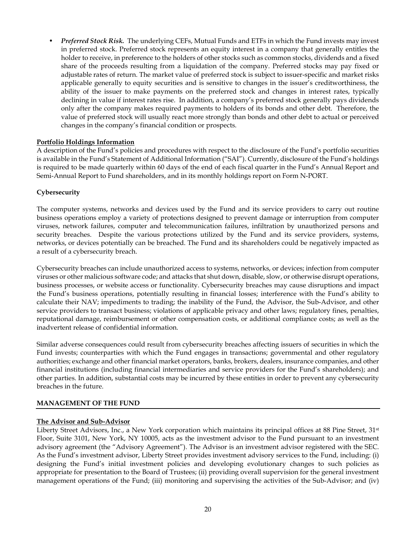• *Preferred Stock Risk.* The underlying CEFs, Mutual Funds and ETFs in which the Fund invests may invest in preferred stock. Preferred stock represents an equity interest in a company that generally entitles the holder to receive, in preference to the holders of other stocks such as common stocks, dividends and a fixed share of the proceeds resulting from a liquidation of the company. Preferred stocks may pay fixed or adjustable rates of return. The market value of preferred stock is subject to issuer-specific and market risks applicable generally to equity securities and is sensitive to changes in the issuer's creditworthiness, the ability of the issuer to make payments on the preferred stock and changes in interest rates, typically declining in value if interest rates rise. In addition, a company's preferred stock generally pays dividends only after the company makes required payments to holders of its bonds and other debt. Therefore, the value of preferred stock will usually react more strongly than bonds and other debt to actual or perceived changes in the company's financial condition or prospects.

## **Portfolio Holdings Information**

A description of the Fund's policies and procedures with respect to the disclosure of the Fund's portfolio securities is available in the Fund's Statement of Additional Information ("SAI"). Currently, disclosure of the Fund's holdings is required to be made quarterly within 60 days of the end of each fiscal quarter in the Fund's Annual Report and Semi-Annual Report to Fund shareholders, and in its monthly holdings report on Form N-PORT.

## **Cybersecurity**

The computer systems, networks and devices used by the Fund and its service providers to carry out routine business operations employ a variety of protections designed to prevent damage or interruption from computer viruses, network failures, computer and telecommunication failures, infiltration by unauthorized persons and security breaches. Despite the various protections utilized by the Fund and its service providers, systems, networks, or devices potentially can be breached. The Fund and its shareholders could be negatively impacted as a result of a cybersecurity breach.

Cybersecurity breaches can include unauthorized access to systems, networks, or devices; infection from computer viruses or other malicious software code; and attacks that shut down, disable, slow, or otherwise disrupt operations, business processes, or website access or functionality. Cybersecurity breaches may cause disruptions and impact the Fund's business operations, potentially resulting in financial losses; interference with the Fund's ability to calculate their NAV; impediments to trading; the inability of the Fund, the Advisor, the Sub-Advisor, and other service providers to transact business; violations of applicable privacy and other laws; regulatory fines, penalties, reputational damage, reimbursement or other compensation costs, or additional compliance costs; as well as the inadvertent release of confidential information.

Similar adverse consequences could result from cybersecurity breaches affecting issuers of securities in which the Fund invests; counterparties with which the Fund engages in transactions; governmental and other regulatory authorities; exchange and other financial market operators, banks, brokers, dealers, insurance companies, and other financial institutions (including financial intermediaries and service providers for the Fund's shareholders); and other parties. In addition, substantial costs may be incurred by these entities in order to prevent any cybersecurity breaches in the future.

## <span id="page-21-0"></span>**MANAGEMENT OF THE FUND**

#### **The Advisor and Sub-Advisor**

Liberty Street Advisors, Inc., a New York corporation which maintains its principal offices at 88 Pine Street, 31<sup>st</sup> Floor, Suite 3101, New York, NY 10005, acts as the investment advisor to the Fund pursuant to an investment advisory agreement (the "Advisory Agreement"). The Advisor is an investment advisor registered with the SEC. As the Fund's investment advisor, Liberty Street provides investment advisory services to the Fund, including: (i) designing the Fund's initial investment policies and developing evolutionary changes to such policies as appropriate for presentation to the Board of Trustees; (ii) providing overall supervision for the general investment management operations of the Fund; (iii) monitoring and supervising the activities of the Sub-Advisor; and (iv)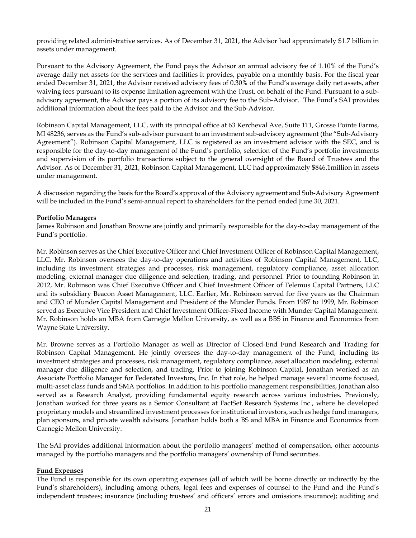providing related administrative services. As of December 31, 2021, the Advisor had approximately \$1.7 billion in assets under management.

Pursuant to the Advisory Agreement, the Fund pays the Advisor an annual advisory fee of 1.10% of the Fund's average daily net assets for the services and facilities it provides, payable on a monthly basis. For the fiscal year ended December 31, 2021, the Advisor received advisory fees of 0.30% of the Fund's average daily net assets, after waiving fees pursuant to its expense limitation agreement with the Trust, on behalf of the Fund. Pursuant to a subadvisory agreement, the Advisor pays a portion of its advisory fee to the Sub-Advisor. The Fund's SAI provides additional information about the fees paid to the Advisor and the Sub-Advisor.

Robinson Capital Management, LLC, with its principal office at 63 Kercheval Ave, Suite 111, Grosse Pointe Farms, MI 48236, serves as the Fund's sub-advisor pursuant to an investment sub-advisory agreement (the "Sub-Advisory Agreement"). Robinson Capital Management, LLC is registered as an investment advisor with the SEC, and is responsible for the day-to-day management of the Fund's portfolio, selection of the Fund's portfolio investments and supervision of its portfolio transactions subject to the general oversight of the Board of Trustees and the Advisor. As of December 31, 2021, Robinson Capital Management, LLC had approximately \$846.1million in assets under management.

A discussion regarding the basis for the Board's approval of the Advisory agreement and Sub-Advisory Agreement will be included in the Fund's semi-annual report to shareholders for the period ended June 30, 2021.

#### **Portfolio Managers**

James Robinson and Jonathan Browne are jointly and primarily responsible for the day-to-day management of the Fund's portfolio.

Mr. Robinson serves as the Chief Executive Officer and Chief Investment Officer of Robinson Capital Management, LLC. Mr. Robinson oversees the day-to-day operations and activities of Robinson Capital Management, LLC, including its investment strategies and processes, risk management, regulatory compliance, asset allocation modeling, external manager due diligence and selection, trading, and personnel. Prior to founding Robinson in 2012, Mr. Robinson was Chief Executive Officer and Chief Investment Officer of Telemus Capital Partners, LLC and its subsidiary Beacon Asset Management, LLC. Earlier, Mr. Robinson served for five years as the Chairman and CEO of Munder Capital Management and President of the Munder Funds. From 1987 to 1999, Mr. Robinson served as Executive Vice President and Chief Investment Officer-Fixed Income with Munder Capital Management. Mr. Robinson holds an MBA from Carnegie Mellon University, as well as a BBS in Finance and Economics from Wayne State University.

Mr. Browne serves as a Portfolio Manager as well as Director of Closed-End Fund Research and Trading for Robinson Capital Management. He jointly oversees the day-to-day management of the Fund, including its investment strategies and processes, risk management, regulatory compliance, asset allocation modeling, external manager due diligence and selection, and trading. Prior to joining Robinson Capital, Jonathan worked as an Associate Portfolio Manager for Federated Investors, Inc. In that role, he helped manage several income focused, multi-asset class funds and SMA portfolios. In addition to his portfolio management responsibilities, Jonathan also served as a Research Analyst, providing fundamental equity research across various industries. Previously, Jonathan worked for three years as a Senior Consultant at FactSet Research Systems Inc., where he developed proprietary models and streamlined investment processes for institutional investors, such as hedge fund managers, plan sponsors, and private wealth advisors. Jonathan holds both a BS and MBA in Finance and Economics from Carnegie Mellon University.

The SAI provides additional information about the portfolio managers' method of compensation, other accounts managed by the portfolio managers and the portfolio managers' ownership of Fund securities.

#### **Fund Expenses**

The Fund is responsible for its own operating expenses (all of which will be borne directly or indirectly by the Fund's shareholders), including among others, legal fees and expenses of counsel to the Fund and the Fund's independent trustees; insurance (including trustees' and officers' errors and omissions insurance); auditing and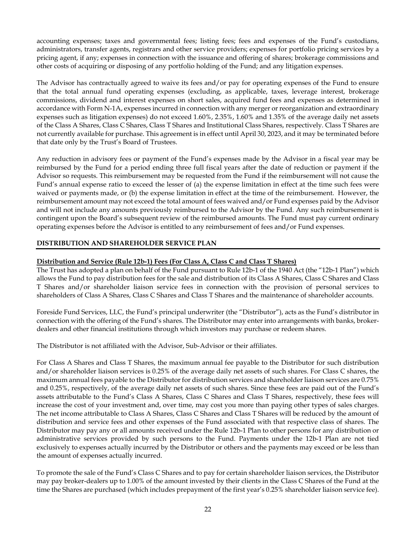accounting expenses; taxes and governmental fees; listing fees; fees and expenses of the Fund's custodians, administrators, transfer agents, registrars and other service providers; expenses for portfolio pricing services by a pricing agent, if any; expenses in connection with the issuance and offering of shares; brokerage commissions and other costs of acquiring or disposing of any portfolio holding of the Fund; and any litigation expenses.

The Advisor has contractually agreed to waive its fees and/or pay for operating expenses of the Fund to ensure that the total annual fund operating expenses (excluding, as applicable, taxes, leverage interest, brokerage commissions, dividend and interest expenses on short sales, acquired fund fees and expenses as determined in accordance with Form N-1A, expenses incurred in connection with any merger or reorganization and extraordinary expenses such as litigation expenses) do not exceed 1.60%, 2.35%, 1.60% and 1.35% of the average daily net assets of the Class A Shares, Class C Shares, Class T Shares and Institutional Class Shares, respectively. Class T Shares are not currently available for purchase. This agreement is in effect until April 30, 2023, and it may be terminated before that date only by the Trust's Board of Trustees.

Any reduction in advisory fees or payment of the Fund's expenses made by the Advisor in a fiscal year may be reimbursed by the Fund for a period ending three full fiscal years after the date of reduction or payment if the Advisor so requests. This reimbursement may be requested from the Fund if the reimbursement will not cause the Fund's annual expense ratio to exceed the lesser of (a) the expense limitation in effect at the time such fees were waived or payments made, or (b) the expense limitation in effect at the time of the reimbursement. However, the reimbursement amount may not exceed the total amount of fees waived and/or Fund expenses paid by the Advisor and will not include any amounts previously reimbursed to the Advisor by the Fund. Any such reimbursement is contingent upon the Board's subsequent review of the reimbursed amounts. The Fund must pay current ordinary operating expenses before the Advisor is entitled to any reimbursement of fees and/or Fund expenses.

## <span id="page-23-0"></span>**DISTRIBUTION AND SHAREHOLDER SERVICE PLAN**

## **Distribution and Service (Rule 12b-1) Fees (For Class A, Class C and Class T Shares)**

The Trust has adopted a plan on behalf of the Fund pursuant to Rule 12b-1 of the 1940 Act (the "12b-1 Plan") which allows the Fund to pay distribution fees for the sale and distribution of its Class A Shares, Class C Shares and Class T Shares and/or shareholder liaison service fees in connection with the provision of personal services to shareholders of Class A Shares, Class C Shares and Class T Shares and the maintenance of shareholder accounts.

Foreside Fund Services, LLC, the Fund's principal underwriter (the "Distributor"), acts as the Fund's distributor in connection with the offering of the Fund's shares. The Distributor may enter into arrangements with banks, brokerdealers and other financial institutions through which investors may purchase or redeem shares.

The Distributor is not affiliated with the Advisor, Sub-Advisor or their affiliates.

For Class A Shares and Class T Shares, the maximum annual fee payable to the Distributor for such distribution and/or shareholder liaison services is 0.25% of the average daily net assets of such shares. For Class C shares, the maximum annual fees payable to the Distributor for distribution services and shareholder liaison services are 0.75% and 0.25%, respectively, of the average daily net assets of such shares. Since these fees are paid out of the Fund's assets attributable to the Fund's Class A Shares, Class C Shares and Class T Shares, respectively, these fees will increase the cost of your investment and, over time, may cost you more than paying other types of sales charges. The net income attributable to Class A Shares, Class C Shares and Class T Shares will be reduced by the amount of distribution and service fees and other expenses of the Fund associated with that respective class of shares. The Distributor may pay any or all amounts received under the Rule 12b-1 Plan to other persons for any distribution or administrative services provided by such persons to the Fund. Payments under the 12b-1 Plan are not tied exclusively to expenses actually incurred by the Distributor or others and the payments may exceed or be less than the amount of expenses actually incurred.

To promote the sale of the Fund's Class C Shares and to pay for certain shareholder liaison services, the Distributor may pay broker-dealers up to 1.00% of the amount invested by their clients in the Class C Shares of the Fund at the time the Shares are purchased (which includes prepayment of the first year's 0.25% shareholder liaison service fee).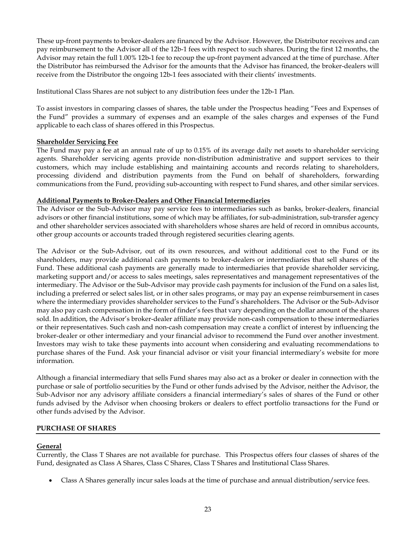These up-front payments to broker-dealers are financed by the Advisor. However, the Distributor receives and can pay reimbursement to the Advisor all of the 12b-1 fees with respect to such shares. During the first 12 months, the Advisor may retain the full 1.00% 12b-1 fee to recoup the up-front payment advanced at the time of purchase. After the Distributor has reimbursed the Advisor for the amounts that the Advisor has financed, the broker-dealers will receive from the Distributor the ongoing 12b-1 fees associated with their clients' investments.

Institutional Class Shares are not subject to any distribution fees under the 12b-1 Plan.

To assist investors in comparing classes of shares, the table under the Prospectus heading "Fees and Expenses of the Fund" provides a summary of expenses and an example of the sales charges and expenses of the Fund applicable to each class of shares offered in this Prospectus.

## **Shareholder Servicing Fee**

The Fund may pay a fee at an annual rate of up to 0.15% of its average daily net assets to shareholder servicing agents. Shareholder servicing agents provide non-distribution administrative and support services to their customers, which may include establishing and maintaining accounts and records relating to shareholders, processing dividend and distribution payments from the Fund on behalf of shareholders, forwarding communications from the Fund, providing sub-accounting with respect to Fund shares, and other similar services.

### **Additional Payments to Broker-Dealers and Other Financial Intermediaries**

The Advisor or the Sub-Advisor may pay service fees to intermediaries such as banks, broker-dealers, financial advisors or other financial institutions, some of which may be affiliates, for sub-administration, sub-transfer agency and other shareholder services associated with shareholders whose shares are held of record in omnibus accounts, other group accounts or accounts traded through registered securities clearing agents.

The Advisor or the Sub-Advisor, out of its own resources, and without additional cost to the Fund or its shareholders, may provide additional cash payments to broker-dealers or intermediaries that sell shares of the Fund. These additional cash payments are generally made to intermediaries that provide shareholder servicing, marketing support and/or access to sales meetings, sales representatives and management representatives of the intermediary. The Advisor or the Sub-Advisor may provide cash payments for inclusion of the Fund on a sales list, including a preferred or select sales list, or in other sales programs, or may pay an expense reimbursement in cases where the intermediary provides shareholder services to the Fund's shareholders. The Advisor or the Sub-Advisor may also pay cash compensation in the form of finder's fees that vary depending on the dollar amount of the shares sold. In addition, the Advisor's broker-dealer affiliate may provide non-cash compensation to these intermediaries or their representatives. Such cash and non-cash compensation may create a conflict of interest by influencing the broker-dealer or other intermediary and your financial advisor to recommend the Fund over another investment. Investors may wish to take these payments into account when considering and evaluating recommendations to purchase shares of the Fund. Ask your financial advisor or visit your financial intermediary's website for more information.

Although a financial intermediary that sells Fund shares may also act as a broker or dealer in connection with the purchase or sale of portfolio securities by the Fund or other funds advised by the Advisor, neither the Advisor, the Sub-Advisor nor any advisory affiliate considers a financial intermediary's sales of shares of the Fund or other funds advised by the Advisor when choosing brokers or dealers to effect portfolio transactions for the Fund or other funds advised by the Advisor.

## <span id="page-24-0"></span>**PURCHASE OF SHARES**

## **General**

Currently, the Class T Shares are not available for purchase. This Prospectus offers four classes of shares of the Fund, designated as Class A Shares, Class C Shares, Class T Shares and Institutional Class Shares.

• Class A Shares generally incur sales loads at the time of purchase and annual distribution/service fees.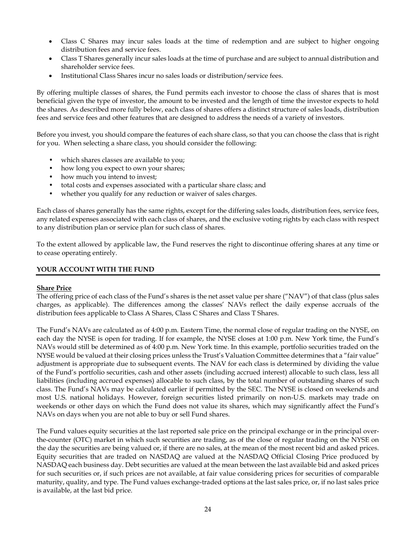- Class C Shares may incur sales loads at the time of redemption and are subject to higher ongoing distribution fees and service fees.
- Class T Shares generally incur sales loads at the time of purchase and are subject to annual distribution and shareholder service fees.
- Institutional Class Shares incur no sales loads or distribution/service fees.

By offering multiple classes of shares, the Fund permits each investor to choose the class of shares that is most beneficial given the type of investor, the amount to be invested and the length of time the investor expects to hold the shares. As described more fully below, each class of shares offers a distinct structure of sales loads, distribution fees and service fees and other features that are designed to address the needs of a variety of investors.

Before you invest, you should compare the features of each share class, so that you can choose the class that is right for you. When selecting a share class, you should consider the following:

- which shares classes are available to you;
- how long you expect to own your shares;
- how much you intend to invest;
- total costs and expenses associated with a particular share class; and
- whether you qualify for any reduction or waiver of sales charges.

Each class of shares generally has the same rights, except for the differing sales loads, distribution fees, service fees, any related expenses associated with each class of shares, and the exclusive voting rights by each class with respect to any distribution plan or service plan for such class of shares.

To the extent allowed by applicable law, the Fund reserves the right to discontinue offering shares at any time or to cease operating entirely.

## <span id="page-25-0"></span>**YOUR ACCOUNT WITH THE FUND**

## **Share Price**

The offering price of each class of the Fund's shares is the net asset value per share ("NAV") of that class (plus sales charges, as applicable). The differences among the classes' NAVs reflect the daily expense accruals of the distribution fees applicable to Class A Shares, Class C Shares and Class T Shares.

The Fund's NAVs are calculated as of 4:00 p.m. Eastern Time, the normal close of regular trading on the NYSE, on each day the NYSE is open for trading. If for example, the NYSE closes at 1:00 p.m. New York time, the Fund's NAVs would still be determined as of 4:00 p.m. New York time. In this example, portfolio securities traded on the NYSE would be valued at their closing prices unless the Trust's Valuation Committee determines that a "fair value" adjustment is appropriate due to subsequent events. The NAV for each class is determined by dividing the value of the Fund's portfolio securities, cash and other assets (including accrued interest) allocable to such class, less all liabilities (including accrued expenses) allocable to such class, by the total number of outstanding shares of such class. The Fund's NAVs may be calculated earlier if permitted by the SEC. The NYSE is closed on weekends and most U.S. national holidays. However, foreign securities listed primarily on non-U.S. markets may trade on weekends or other days on which the Fund does not value its shares, which may significantly affect the Fund's NAVs on days when you are not able to buy or sell Fund shares.

The Fund values equity securities at the last reported sale price on the principal exchange or in the principal overthe-counter (OTC) market in which such securities are trading, as of the close of regular trading on the NYSE on the day the securities are being valued or, if there are no sales, at the mean of the most recent bid and asked prices. Equity securities that are traded on NASDAQ are valued at the NASDAQ Official Closing Price produced by NASDAQ each business day. Debt securities are valued at the mean between the last available bid and asked prices for such securities or, if such prices are not available, at fair value considering prices for securities of comparable maturity, quality, and type. The Fund values exchange-traded options at the last sales price, or, if no last sales price is available, at the last bid price.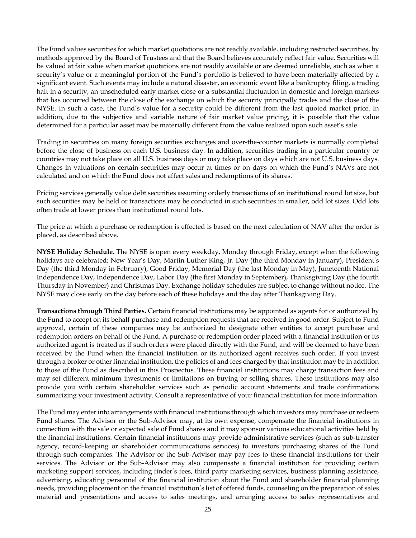The Fund values securities for which market quotations are not readily available, including restricted securities, by methods approved by the Board of Trustees and that the Board believes accurately reflect fair value. Securities will be valued at fair value when market quotations are not readily available or are deemed unreliable, such as when a security's value or a meaningful portion of the Fund's portfolio is believed to have been materially affected by a significant event. Such events may include a natural disaster, an economic event like a bankruptcy filing, a trading halt in a security, an unscheduled early market close or a substantial fluctuation in domestic and foreign markets that has occurred between the close of the exchange on which the security principally trades and the close of the NYSE. In such a case, the Fund's value for a security could be different from the last quoted market price. In addition, due to the subjective and variable nature of fair market value pricing, it is possible that the value determined for a particular asset may be materially different from the value realized upon such asset's sale.

Trading in securities on many foreign securities exchanges and over-the-counter markets is normally completed before the close of business on each U.S. business day. In addition, securities trading in a particular country or countries may not take place on all U.S. business days or may take place on days which are not U.S. business days. Changes in valuations on certain securities may occur at times or on days on which the Fund's NAVs are not calculated and on which the Fund does not affect sales and redemptions of its shares.

Pricing services generally value debt securities assuming orderly transactions of an institutional round lot size, but such securities may be held or transactions may be conducted in such securities in smaller, odd lot sizes. Odd lots often trade at lower prices than institutional round lots.

The price at which a purchase or redemption is effected is based on the next calculation of NAV after the order is placed, as described above.

**NYSE Holiday Schedule.** The NYSE is open every weekday, Monday through Friday, except when the following holidays are celebrated: New Year's Day, Martin Luther King, Jr. Day (the third Monday in January), President's Day (the third Monday in February), Good Friday, Memorial Day (the last Monday in May), Juneteenth National Independence Day, Independence Day, Labor Day (the first Monday in September), Thanksgiving Day (the fourth Thursday in November) and Christmas Day. Exchange holiday schedules are subject to change without notice. The NYSE may close early on the day before each of these holidays and the day after Thanksgiving Day.

**Transactions through Third Parties.** Certain financial institutions may be appointed as agents for or authorized by the Fund to accept on its behalf purchase and redemption requests that are received in good order. Subject to Fund approval, certain of these companies may be authorized to designate other entities to accept purchase and redemption orders on behalf of the Fund. A purchase or redemption order placed with a financial institution or its authorized agent is treated as if such orders were placed directly with the Fund, and will be deemed to have been received by the Fund when the financial institution or its authorized agent receives such order. If you invest through a broker or other financial institution, the policies of and fees charged by that institution may be in addition to those of the Fund as described in this Prospectus. These financial institutions may charge transaction fees and may set different minimum investments or limitations on buying or selling shares. These institutions may also provide you with certain shareholder services such as periodic account statements and trade confirmations summarizing your investment activity. Consult a representative of your financial institution for more information.

The Fund may enter into arrangements with financial institutions through which investors may purchase or redeem Fund shares. The Advisor or the Sub-Advisor may, at its own expense, compensate the financial institutions in connection with the sale or expected sale of Fund shares and it may sponsor various educational activities held by the financial institutions. Certain financial institutions may provide administrative services (such as sub-transfer agency, record-keeping or shareholder communications services) to investors purchasing shares of the Fund through such companies. The Advisor or the Sub-Advisor may pay fees to these financial institutions for their services. The Advisor or the Sub-Advisor may also compensate a financial institution for providing certain marketing support services, including finder's fees, third party marketing services, business planning assistance, advertising, educating personnel of the financial institution about the Fund and shareholder financial planning needs, providing placement on the financial institution's list of offered funds, counseling on the preparation of sales material and presentations and access to sales meetings, and arranging access to sales representatives and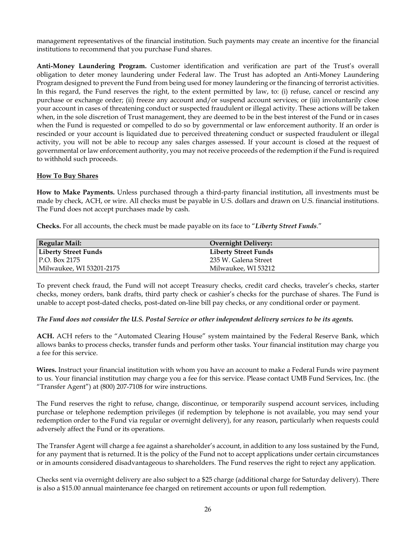management representatives of the financial institution. Such payments may create an incentive for the financial institutions to recommend that you purchase Fund shares.

**Anti-Money Laundering Program.** Customer identification and verification are part of the Trust's overall obligation to deter money laundering under Federal law. The Trust has adopted an Anti-Money Laundering Program designed to prevent the Fund from being used for money laundering or the financing of terrorist activities. In this regard, the Fund reserves the right, to the extent permitted by law, to: (i) refuse, cancel or rescind any purchase or exchange order; (ii) freeze any account and/or suspend account services; or (iii) involuntarily close your account in cases of threatening conduct or suspected fraudulent or illegal activity. These actions will be taken when, in the sole discretion of Trust management, they are deemed to be in the best interest of the Fund or in cases when the Fund is requested or compelled to do so by governmental or law enforcement authority. If an order is rescinded or your account is liquidated due to perceived threatening conduct or suspected fraudulent or illegal activity, you will not be able to recoup any sales charges assessed. If your account is closed at the request of governmental or law enforcement authority, you may not receive proceeds of the redemption if the Fund is required to withhold such proceeds.

### **How To Buy Shares**

**How to Make Payments.** Unless purchased through a third-party financial institution, all investments must be made by check, ACH, or wire. All checks must be payable in U.S. dollars and drawn on U.S. financial institutions. The Fund does not accept purchases made by cash.

**Checks.** For all accounts, the check must be made payable on its face to "*Liberty Street Funds*."

| <b>Regular Mail:</b>        | <b>Overnight Delivery:</b>  |
|-----------------------------|-----------------------------|
| <b>Liberty Street Funds</b> | <b>Liberty Street Funds</b> |
| P.O. Box 2175               | 235 W. Galena Street        |
| Milwaukee, WI 53201-2175    | Milwaukee, WI 53212         |

To prevent check fraud, the Fund will not accept Treasury checks, credit card checks, traveler's checks, starter checks, money orders, bank drafts, third party check or cashier's checks for the purchase of shares. The Fund is unable to accept post-dated checks, post-dated on-line bill pay checks, or any conditional order or payment.

#### *The Fund does not consider the U.S. Postal Service or other independent delivery services to be its agents.*

**ACH.** ACH refers to the "Automated Clearing House" system maintained by the Federal Reserve Bank, which allows banks to process checks, transfer funds and perform other tasks. Your financial institution may charge you a fee for this service.

**Wires.** Instruct your financial institution with whom you have an account to make a Federal Funds wire payment to us. Your financial institution may charge you a fee for this service. Please contact UMB Fund Services, Inc. (the "Transfer Agent") at (800) 207-7108 for wire instructions.

The Fund reserves the right to refuse, change, discontinue, or temporarily suspend account services, including purchase or telephone redemption privileges (if redemption by telephone is not available, you may send your redemption order to the Fund via regular or overnight delivery), for any reason, particularly when requests could adversely affect the Fund or its operations.

The Transfer Agent will charge a fee against a shareholder's account, in addition to any loss sustained by the Fund, for any payment that is returned. It is the policy of the Fund not to accept applications under certain circumstances or in amounts considered disadvantageous to shareholders. The Fund reserves the right to reject any application.

Checks sent via overnight delivery are also subject to a \$25 charge (additional charge for Saturday delivery). There is also a \$15.00 annual maintenance fee charged on retirement accounts or upon full redemption.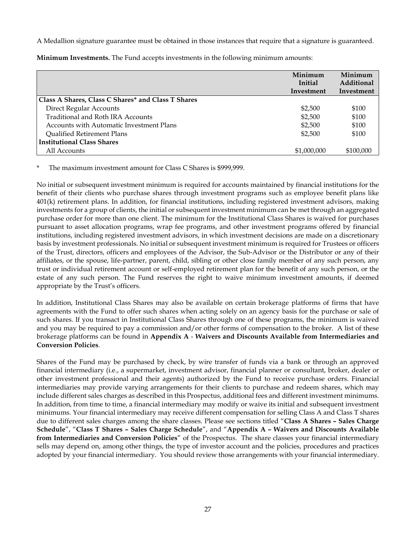A Medallion signature guarantee must be obtained in those instances that require that a signature is guaranteed.

|                                                    | Minimum<br>Initial<br>Investment | Minimum<br>Additional<br>Investment |
|----------------------------------------------------|----------------------------------|-------------------------------------|
| Class A Shares, Class C Shares* and Class T Shares |                                  |                                     |
| <b>Direct Regular Accounts</b>                     | \$2,500                          | \$100                               |
| Traditional and Roth IRA Accounts                  | \$2,500                          | \$100                               |
| Accounts with Automatic Investment Plans           | \$2,500                          | \$100                               |
| <b>Qualified Retirement Plans</b>                  | \$2,500                          | \$100                               |
| <b>Institutional Class Shares</b>                  |                                  |                                     |
| All Accounts                                       | \$1,000,000                      | \$100,000                           |

**Minimum Investments.** The Fund accepts investments in the following minimum amounts:

The maximum investment amount for Class C Shares is \$999,999.

No initial or subsequent investment minimum is required for accounts maintained by financial institutions for the benefit of their clients who purchase shares through investment programs such as employee benefit plans like 401(k) retirement plans. In addition, for financial institutions, including registered investment advisors, making investments for a group of clients, the initial or subsequent investment minimum can be met through an aggregated purchase order for more than one client. The minimum for the Institutional Class Shares is waived for purchases pursuant to asset allocation programs, wrap fee programs, and other investment programs offered by financial institutions, including registered investment advisors, in which investment decisions are made on a discretionary basis by investment professionals. No initial or subsequent investment minimum is required for Trustees or officers of the Trust, directors, officers and employees of the Advisor, the Sub-Advisor or the Distributor or any of their affiliates, or the spouse, life-partner, parent, child, sibling or other close family member of any such person, any trust or individual retirement account or self-employed retirement plan for the benefit of any such person, or the estate of any such person. The Fund reserves the right to waive minimum investment amounts, if deemed appropriate by the Trust's officers.

In addition, Institutional Class Shares may also be available on certain brokerage platforms of firms that have agreements with the Fund to offer such shares when acting solely on an agency basis for the purchase or sale of such shares. If you transact in Institutional Class Shares through one of these programs, the minimum is waived and you may be required to pay a commission and/or other forms of compensation to the broker. A list of these brokerage platforms can be found in **Appendix A** - **Waivers and Discounts Available from Intermediaries and Conversion Policies**.

Shares of the Fund may be purchased by check, by wire transfer of funds via a bank or through an approved financial intermediary (i.e., a supermarket, investment advisor, financial planner or consultant, broker, dealer or other investment professional and their agents) authorized by the Fund to receive purchase orders. Financial intermediaries may provide varying arrangements for their clients to purchase and redeem shares, which may include different sales charges as described in this Prospectus, additional fees and different investment minimums. In addition, from time to time, a financial intermediary may modify or waive its initial and subsequent investment minimums. Your financial intermediary may receive different compensation for selling Class A and Class T shares due to different sales charges among the share classes. Please see sections titled "**Class A Shares – Sales Charge Schedule**", "**Class T Shares – Sales Charge Schedule**", and "**Appendix A – Waivers and Discounts Available from Intermediaries and Conversion Policies**" of the Prospectus. The share classes your financial intermediary sells may depend on, among other things, the type of investor account and the policies, procedures and practices adopted by your financial intermediary. You should review those arrangements with your financial intermediary.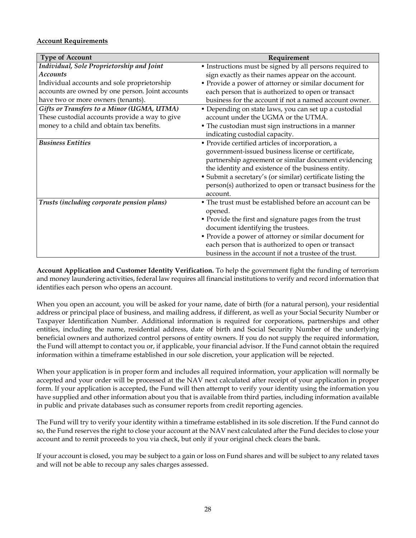## **Account Requirements**

| <b>Type of Account</b>                           | Requirement                                                 |
|--------------------------------------------------|-------------------------------------------------------------|
| Individual, Sole Proprietorship and Joint        | • Instructions must be signed by all persons required to    |
| <b>Accounts</b>                                  | sign exactly as their names appear on the account.          |
| Individual accounts and sole proprietorship      | • Provide a power of attorney or similar document for       |
| accounts are owned by one person. Joint accounts | each person that is authorized to open or transact          |
| have two or more owners (tenants).               | business for the account if not a named account owner.      |
| Gifts or Transfers to a Minor (UGMA, UTMA)       | • Depending on state laws, you can set up a custodial       |
| These custodial accounts provide a way to give   | account under the UGMA or the UTMA.                         |
| money to a child and obtain tax benefits.        | • The custodian must sign instructions in a manner          |
|                                                  | indicating custodial capacity.                              |
| <b>Business Entities</b>                         | · Provide certified articles of incorporation, a            |
|                                                  | government-issued business license or certificate,          |
|                                                  | partnership agreement or similar document evidencing        |
|                                                  | the identity and existence of the business entity.          |
|                                                  | • Submit a secretary's (or similar) certificate listing the |
|                                                  | person(s) authorized to open or transact business for the   |
|                                                  | account.                                                    |
| Trusts (including corporate pension plans)       | • The trust must be established before an account can be    |
|                                                  | opened.                                                     |
|                                                  | • Provide the first and signature pages from the trust      |
|                                                  | document identifying the trustees.                          |
|                                                  | • Provide a power of attorney or similar document for       |
|                                                  | each person that is authorized to open or transact          |
|                                                  | business in the account if not a trustee of the trust.      |

**Account Application and Customer Identity Verification.** To help the government fight the funding of terrorism and money laundering activities, federal law requires all financial institutions to verify and record information that identifies each person who opens an account.

When you open an account, you will be asked for your name, date of birth (for a natural person), your residential address or principal place of business, and mailing address, if different, as well as your Social Security Number or Taxpayer Identification Number. Additional information is required for corporations, partnerships and other entities, including the name, residential address, date of birth and Social Security Number of the underlying beneficial owners and authorized control persons of entity owners. If you do not supply the required information, the Fund will attempt to contact you or, if applicable, your financial advisor. If the Fund cannot obtain the required information within a timeframe established in our sole discretion, your application will be rejected.

When your application is in proper form and includes all required information, your application will normally be accepted and your order will be processed at the NAV next calculated after receipt of your application in proper form. If your application is accepted, the Fund will then attempt to verify your identity using the information you have supplied and other information about you that is available from third parties, including information available in public and private databases such as consumer reports from credit reporting agencies.

The Fund will try to verify your identity within a timeframe established in its sole discretion. If the Fund cannot do so, the Fund reserves the right to close your account at the NAV next calculated after the Fund decides to close your account and to remit proceeds to you via check, but only if your original check clears the bank.

If your account is closed, you may be subject to a gain or loss on Fund shares and will be subject to any related taxes and will not be able to recoup any sales charges assessed.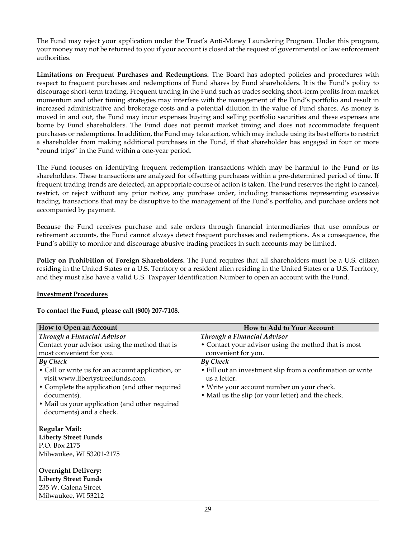The Fund may reject your application under the Trust's Anti-Money Laundering Program. Under this program, your money may not be returned to you if your account is closed at the request of governmental or law enforcement authorities.

**Limitations on Frequent Purchases and Redemptions.** The Board has adopted policies and procedures with respect to frequent purchases and redemptions of Fund shares by Fund shareholders. It is the Fund's policy to discourage short-term trading. Frequent trading in the Fund such as trades seeking short-term profits from market momentum and other timing strategies may interfere with the management of the Fund's portfolio and result in increased administrative and brokerage costs and a potential dilution in the value of Fund shares. As money is moved in and out, the Fund may incur expenses buying and selling portfolio securities and these expenses are borne by Fund shareholders. The Fund does not permit market timing and does not accommodate frequent purchases or redemptions. In addition, the Fund may take action, which may include using its best efforts to restrict a shareholder from making additional purchases in the Fund, if that shareholder has engaged in four or more "round trips" in the Fund within a one-year period.

The Fund focuses on identifying frequent redemption transactions which may be harmful to the Fund or its shareholders. These transactions are analyzed for offsetting purchases within a pre-determined period of time. If frequent trading trends are detected, an appropriate course of action is taken. The Fund reserves the right to cancel, restrict, or reject without any prior notice, any purchase order, including transactions representing excessive trading, transactions that may be disruptive to the management of the Fund's portfolio, and purchase orders not accompanied by payment.

Because the Fund receives purchase and sale orders through financial intermediaries that use omnibus or retirement accounts, the Fund cannot always detect frequent purchases and redemptions. As a consequence, the Fund's ability to monitor and discourage abusive trading practices in such accounts may be limited.

**Policy on Prohibition of Foreign Shareholders.** The Fund requires that all shareholders must be a U.S. citizen residing in the United States or a U.S. Territory or a resident alien residing in the United States or a U.S. Territory, and they must also have a valid U.S. Taxpayer Identification Number to open an account with the Fund.

#### **Investment Procedures**

| To contact the Fund, please call (800) 207-7108. |  |  |
|--------------------------------------------------|--|--|
|--------------------------------------------------|--|--|

| How to Open an Account                            | <b>How to Add to Your Account</b>                          |
|---------------------------------------------------|------------------------------------------------------------|
| Through a Financial Advisor                       | Through a Financial Advisor                                |
| Contact your advisor using the method that is     | • Contact your advisor using the method that is most       |
| most convenient for you.                          | convenient for you.                                        |
| <b>By Check</b>                                   | By Check                                                   |
| • Call or write us for an account application, or | • Fill out an investment slip from a confirmation or write |
| visit www.libertystreetfunds.com.                 | us a letter.                                               |
| • Complete the application (and other required    | • Write your account number on your check.                 |
| documents).                                       | • Mail us the slip (or your letter) and the check.         |
| • Mail us your application (and other required    |                                                            |
| documents) and a check.                           |                                                            |
| <b>Regular Mail:</b>                              |                                                            |
| <b>Liberty Street Funds</b>                       |                                                            |
| P.O. Box 2175                                     |                                                            |
| Milwaukee, WI 53201-2175                          |                                                            |
| <b>Overnight Delivery:</b>                        |                                                            |
| <b>Liberty Street Funds</b>                       |                                                            |
| 235 W. Galena Street                              |                                                            |
| Milwaukee, WI 53212                               |                                                            |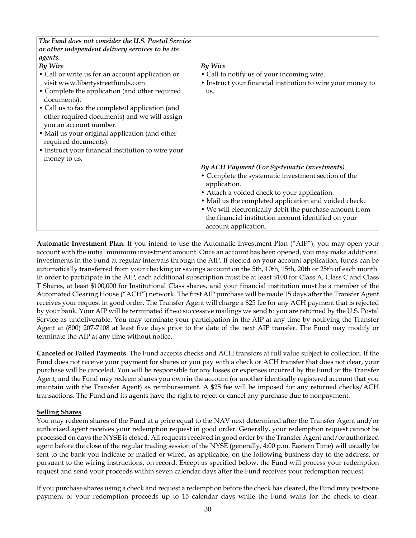| The Fund does not consider the U.S. Postal Service            |                                                                              |
|---------------------------------------------------------------|------------------------------------------------------------------------------|
| or other independent delivery services to be its              |                                                                              |
| agents.                                                       |                                                                              |
| By Wire                                                       | By Wire                                                                      |
| • Call or write us for an account application or              | • Call to notify us of your incoming wire.                                   |
| visit www.libertystreetfunds.com.                             | • Instruct your financial institution to wire your money to                  |
| • Complete the application (and other required<br>documents). | us.                                                                          |
| • Call us to fax the completed application (and               |                                                                              |
| other required documents) and we will assign                  |                                                                              |
| you an account number.                                        |                                                                              |
| • Mail us your original application (and other                |                                                                              |
| required documents).                                          |                                                                              |
| • Instruct your financial institution to wire your            |                                                                              |
| money to us.                                                  |                                                                              |
|                                                               | By ACH Payment (For Systematic Investments)                                  |
|                                                               | • Complete the systematic investment section of the<br>application.          |
|                                                               | • Attach a voided check to your application.                                 |
|                                                               | • Mail us the completed application and voided check.                        |
|                                                               | • We will electronically debit the purchase amount from                      |
|                                                               | the financial institution account identified on your<br>account application. |

**Automatic Investment Plan.** If you intend to use the Automatic Investment Plan ("AIP"), you may open your account with the initial minimum investment amount. Once an account has been opened, you may make additional investments in the Fund at regular intervals through the AIP. If elected on your account application, funds can be automatically transferred from your checking or savings account on the 5th, 10th, 15th, 20th or 25th of each month. In order to participate in the AIP, each additional subscription must be at least \$100 for Class A, Class C and Class T Shares, at least \$100,000 for Institutional Class shares, and your financial institution must be a member of the Automated Clearing House ("ACH") network. The first AIP purchase will be made 15 days after the Transfer Agent receives your request in good order. The Transfer Agent will charge a \$25 fee for any ACH payment that is rejected by your bank. Your AIP will be terminated if two successive mailings we send to you are returned by the U.S. Postal Service as undeliverable. You may terminate your participation in the AIP at any time by notifying the Transfer Agent at (800) 207-7108 at least five days prior to the date of the next AIP transfer. The Fund may modify or terminate the AIP at any time without notice.

**Canceled or Failed Payments.** The Fund accepts checks and ACH transfers at full value subject to collection. If the Fund does not receive your payment for shares or you pay with a check or ACH transfer that does not clear, your purchase will be canceled. You will be responsible for any losses or expenses incurred by the Fund or the Transfer Agent, and the Fund may redeem shares you own in the account (or another identically registered account that you maintain with the Transfer Agent) as reimbursement. A \$25 fee will be imposed for any returned checks/ACH transactions. The Fund and its agents have the right to reject or cancel any purchase due to nonpayment.

## **Selling Shares**

You may redeem shares of the Fund at a price equal to the NAV next determined after the Transfer Agent and/or authorized agent receives your redemption request in good order. Generally, your redemption request cannot be processed on days the NYSE is closed. All requests received in good order by the Transfer Agent and/or authorized agent before the close of the regular trading session of the NYSE (generally, 4:00 p.m. Eastern Time) will usually be sent to the bank you indicate or mailed or wired, as applicable, on the following business day to the address, or pursuant to the wiring instructions, on record. Except as specified below, the Fund will process your redemption request and send your proceeds within seven calendar days after the Fund receives your redemption request.

If you purchase shares using a check and request a redemption before the check has cleared, the Fund may postpone payment of your redemption proceeds up to 15 calendar days while the Fund waits for the check to clear.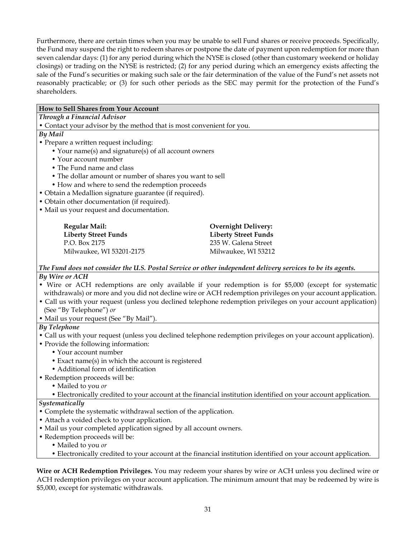Furthermore, there are certain times when you may be unable to sell Fund shares or receive proceeds. Specifically, the Fund may suspend the right to redeem shares or postpone the date of payment upon redemption for more than seven calendar days: (1) for any period during which the NYSE is closed (other than customary weekend or holiday closings) or trading on the NYSE is restricted; (2) for any period during which an emergency exists affecting the sale of the Fund's securities or making such sale or the fair determination of the value of the Fund's net assets not reasonably practicable; or (3) for such other periods as the SEC may permit for the protection of the Fund's shareholders.

#### **How to Sell Shares from Your Account** *Through a Financial Advisor* • Contact your advisor by the method that is most convenient for you. *By Mail* • Prepare a written request including: • Your name(s) and signature(s) of all account owners • Your account number • The Fund name and class • The dollar amount or number of shares you want to sell • How and where to send the redemption proceeds • Obtain a Medallion signature guarantee (if required). • Obtain other documentation (if required). • Mail us your request and documentation. **Regular Mail: Liberty Street Funds Overnight Delivery: Liberty Street Funds**

P.O. Box 2175 Milwaukee, WI 53201-2175

235 W. Galena Street Milwaukee, WI 53212

*The Fund does not consider the U.S. Postal Service or other independent delivery services to be its agents.*

## *By Wire or ACH*

- Wire or ACH redemptions are only available if your redemption is for \$5,000 (except for systematic withdrawals) or more and you did not decline wire or ACH redemption privileges on your account application.
- Call us with your request (unless you declined telephone redemption privileges on your account application) (See "By Telephone") *or* • Mail us your request (See "By Mail").

## *By Telephone*

- Call us with your request (unless you declined telephone redemption privileges on your account application).
- Provide the following information:
	- Your account number
	- Exact name(s) in which the account is registered
	- Additional form of identification
- Redemption proceeds will be:
	- Mailed to you *or*
	- Electronically credited to your account at the financial institution identified on your account application.

## *Systematically*

- Complete the systematic withdrawal section of the application.
- Attach a voided check to your application.
- Mail us your completed application signed by all account owners.
- Redemption proceeds will be:
	- Mailed to you *or*
	- Electronically credited to your account at the financial institution identified on your account application.

**Wire or ACH Redemption Privileges.** You may redeem your shares by wire or ACH unless you declined wire or ACH redemption privileges on your account application. The minimum amount that may be redeemed by wire is \$5,000, except for systematic withdrawals.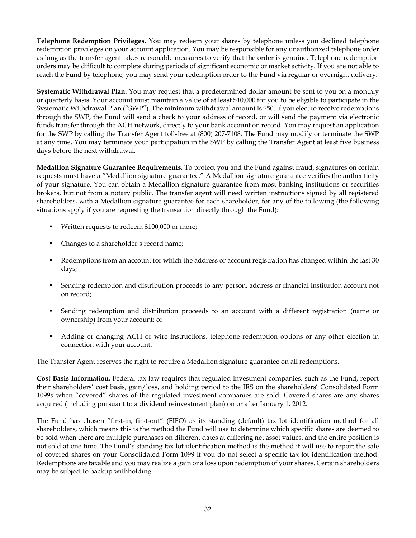**Telephone Redemption Privileges.** You may redeem your shares by telephone unless you declined telephone redemption privileges on your account application. You may be responsible for any unauthorized telephone order as long as the transfer agent takes reasonable measures to verify that the order is genuine. Telephone redemption orders may be difficult to complete during periods of significant economic or market activity. If you are not able to reach the Fund by telephone, you may send your redemption order to the Fund via regular or overnight delivery.

**Systematic Withdrawal Plan.** You may request that a predetermined dollar amount be sent to you on a monthly or quarterly basis. Your account must maintain a value of at least \$10,000 for you to be eligible to participate in the Systematic Withdrawal Plan ("SWP"). The minimum withdrawal amount is \$50. If you elect to receive redemptions through the SWP, the Fund will send a check to your address of record, or will send the payment via electronic funds transfer through the ACH network, directly to your bank account on record. You may request an application for the SWP by calling the Transfer Agent toll-free at (800) 207-7108. The Fund may modify or terminate the SWP at any time. You may terminate your participation in the SWP by calling the Transfer Agent at least five business days before the next withdrawal.

**Medallion Signature Guarantee Requirements.** To protect you and the Fund against fraud, signatures on certain requests must have a "Medallion signature guarantee." A Medallion signature guarantee verifies the authenticity of your signature. You can obtain a Medallion signature guarantee from most banking institutions or securities brokers, but not from a notary public. The transfer agent will need written instructions signed by all registered shareholders, with a Medallion signature guarantee for each shareholder, for any of the following (the following situations apply if you are requesting the transaction directly through the Fund):

- Written requests to redeem \$100,000 or more;
- Changes to a shareholder's record name;
- Redemptions from an account for which the address or account registration has changed within the last 30 days;
- Sending redemption and distribution proceeds to any person, address or financial institution account not on record;
- Sending redemption and distribution proceeds to an account with a different registration (name or ownership) from your account; or
- Adding or changing ACH or wire instructions, telephone redemption options or any other election in connection with your account.

The Transfer Agent reserves the right to require a Medallion signature guarantee on all redemptions.

**Cost Basis Information.** Federal tax law requires that regulated investment companies, such as the Fund, report their shareholders' cost basis, gain/loss, and holding period to the IRS on the shareholders' Consolidated Form 1099s when "covered" shares of the regulated investment companies are sold. Covered shares are any shares acquired (including pursuant to a dividend reinvestment plan) on or after January 1, 2012.

The Fund has chosen "first-in, first-out" (FIFO) as its standing (default) tax lot identification method for all shareholders, which means this is the method the Fund will use to determine which specific shares are deemed to be sold when there are multiple purchases on different dates at differing net asset values, and the entire position is not sold at one time. The Fund's standing tax lot identification method is the method it will use to report the sale of covered shares on your Consolidated Form 1099 if you do not select a specific tax lot identification method. Redemptions are taxable and you may realize a gain or a loss upon redemption of your shares. Certain shareholders may be subject to backup withholding.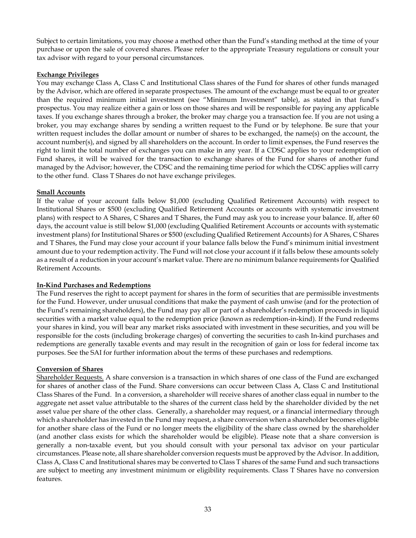Subject to certain limitations, you may choose a method other than the Fund's standing method at the time of your purchase or upon the sale of covered shares. Please refer to the appropriate Treasury regulations or consult your tax advisor with regard to your personal circumstances.

### **Exchange Privileges**

You may exchange Class A, Class C and Institutional Class shares of the Fund for shares of other funds managed by the Advisor, which are offered in separate prospectuses. The amount of the exchange must be equal to or greater than the required minimum initial investment (see "Minimum Investment" table), as stated in that fund's prospectus. You may realize either a gain or loss on those shares and will be responsible for paying any applicable taxes. If you exchange shares through a broker, the broker may charge you a transaction fee. If you are not using a broker, you may exchange shares by sending a written request to the Fund or by telephone. Be sure that your written request includes the dollar amount or number of shares to be exchanged, the name(s) on the account, the account number(s), and signed by all shareholders on the account. In order to limit expenses, the Fund reserves the right to limit the total number of exchanges you can make in any year. If a CDSC applies to your redemption of Fund shares, it will be waived for the transaction to exchange shares of the Fund for shares of another fund managed by the Advisor; however, the CDSC and the remaining time period for which the CDSC applies will carry to the other fund. Class T Shares do not have exchange privileges.

### **Small Accounts**

If the value of your account falls below \$1,000 (excluding Qualified Retirement Accounts) with respect to Institutional Shares or \$500 (excluding Qualified Retirement Accounts or accounts with systematic investment plans) with respect to A Shares, C Shares and T Shares, the Fund may ask you to increase your balance. If, after 60 days, the account value is still below \$1,000 (excluding Qualified Retirement Accounts or accounts with systematic investment plans) for Institutional Shares or \$500 (excluding Qualified Retirement Accounts) for A Shares, C Shares and T Shares, the Fund may close your account if your balance falls below the Fund's minimum initial investment amount due to your redemption activity. The Fund will not close your account if it falls below these amounts solely as a result of a reduction in your account's market value. There are no minimum balance requirements for Qualified Retirement Accounts.

#### **In-Kind Purchases and Redemptions**

The Fund reserves the right to accept payment for shares in the form of securities that are permissible investments for the Fund. However, under unusual conditions that make the payment of cash unwise (and for the protection of the Fund's remaining shareholders), the Fund may pay all or part of a shareholder's redemption proceeds in liquid securities with a market value equal to the redemption price (known as redemption-in-kind). If the Fund redeems your shares in kind, you will bear any market risks associated with investment in these securities, and you will be responsible for the costs (including brokerage charges) of converting the securities to cash In-kind purchases and redemptions are generally taxable events and may result in the recognition of gain or loss for federal income tax purposes. See the SAI for further information about the terms of these purchases and redemptions.

## **Conversion of Shares**

Shareholder Requests. A share conversion is a transaction in which shares of one class of the Fund are exchanged for shares of another class of the Fund. Share conversions can occur between Class A, Class C and Institutional Class Shares of the Fund. In a conversion, a shareholder will receive shares of another class equal in number to the aggregate net asset value attributable to the shares of the current class held by the shareholder divided by the net asset value per share of the other class. Generally, a shareholder may request, or a financial intermediary through which a shareholder has invested in the Fund may request, a share conversion when a shareholder becomes eligible for another share class of the Fund or no longer meets the eligibility of the share class owned by the shareholder (and another class exists for which the shareholder would be eligible). Please note that a share conversion is generally a non-taxable event, but you should consult with your personal tax advisor on your particular circumstances. Please note, all share shareholder conversion requests must be approved by the Advisor. In addition, Class A, Class C and Institutional shares may be converted to Class T shares of the same Fund and such transactions are subject to meeting any investment minimum or eligibility requirements. Class T Shares have no conversion features.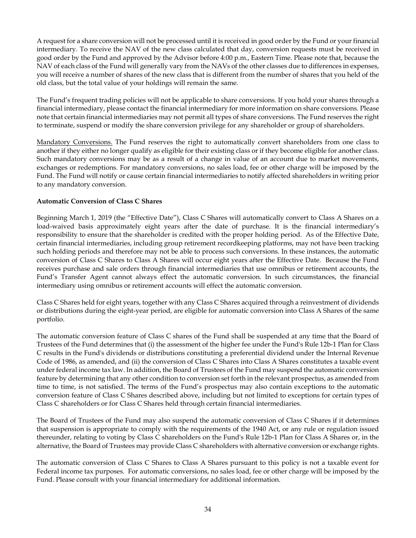A request for a share conversion will not be processed until it is received in good order by the Fund or your financial intermediary. To receive the NAV of the new class calculated that day, conversion requests must be received in good order by the Fund and approved by the Advisor before 4:00 p.m., Eastern Time. Please note that, because the NAV of each class of the Fund will generally vary from the NAVs of the other classes due to differences in expenses, you will receive a number of shares of the new class that is different from the number of shares that you held of the old class, but the total value of your holdings will remain the same.

The Fund's frequent trading policies will not be applicable to share conversions. If you hold your shares through a financial intermediary, please contact the financial intermediary for more information on share conversions. Please note that certain financial intermediaries may not permit all types of share conversions. The Fund reserves the right to terminate, suspend or modify the share conversion privilege for any shareholder or group of shareholders.

Mandatory Conversions. The Fund reserves the right to automatically convert shareholders from one class to another if they either no longer qualify as eligible for their existing class or if they become eligible for another class. Such mandatory conversions may be as a result of a change in value of an account due to market movements, exchanges or redemptions. For mandatory conversions, no sales load, fee or other charge will be imposed by the Fund. The Fund will notify or cause certain financial intermediaries to notify affected shareholders in writing prior to any mandatory conversion.

## **Automatic Conversion of Class C Shares**

Beginning March 1, 2019 (the "Effective Date"), Class C Shares will automatically convert to Class A Shares on a load-waived basis approximately eight years after the date of purchase. It is the financial intermediary's responsibility to ensure that the shareholder is credited with the proper holding period. As of the Effective Date, certain financial intermediaries, including group retirement recordkeeping platforms, may not have been tracking such holding periods and therefore may not be able to process such conversions. In these instances, the automatic conversion of Class C Shares to Class A Shares will occur eight years after the Effective Date. Because the Fund receives purchase and sale orders through financial intermediaries that use omnibus or retirement accounts, the Fund's Transfer Agent cannot always effect the automatic conversion. In such circumstances, the financial intermediary using omnibus or retirement accounts will effect the automatic conversion.

Class C Shares held for eight years, together with any Class C Shares acquired through a reinvestment of dividends or distributions during the eight-year period, are eligible for automatic conversion into Class A Shares of the same portfolio.

The automatic conversion feature of Class C shares of the Fund shall be suspended at any time that the Board of Trustees of the Fund determines that (i) the assessment of the higher fee under the Fund's Rule 12b-1 Plan for Class C results in the Fund's dividends or distributions constituting a preferential dividend under the Internal Revenue Code of 1986, as amended, and (ii) the conversion of Class C Shares into Class A Shares constitutes a taxable event under federal income tax law. In addition, the Board of Trustees of the Fund may suspend the automatic conversion feature by determining that any other condition to conversion set forth in the relevant prospectus, as amended from time to time, is not satisfied. The terms of the Fund's prospectus may also contain exceptions to the automatic conversion feature of Class C Shares described above, including but not limited to exceptions for certain types of Class C shareholders or for Class C Shares held through certain financial intermediaries.

The Board of Trustees of the Fund may also suspend the automatic conversion of Class C Shares if it determines that suspension is appropriate to comply with the requirements of the 1940 Act, or any rule or regulation issued thereunder, relating to voting by Class C shareholders on the Fund's Rule 12b-1 Plan for Class A Shares or, in the alternative, the Board of Trustees may provide Class C shareholders with alternative conversion or exchange rights.

The automatic conversion of Class C Shares to Class A Shares pursuant to this policy is not a taxable event for Federal income tax purposes. For automatic conversions, no sales load, fee or other charge will be imposed by the Fund. Please consult with your financial intermediary for additional information.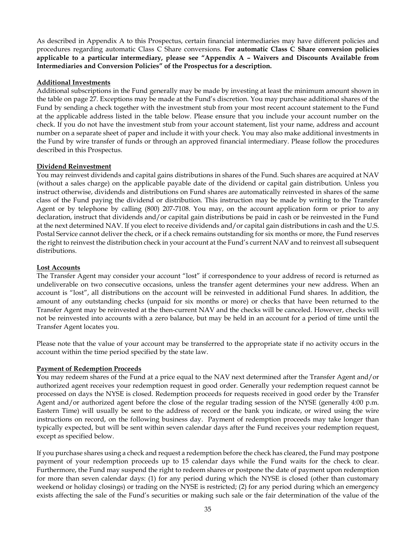As described in Appendix A to this Prospectus, certain financial intermediaries may have different policies and procedures regarding automatic Class C Share conversions. **For automatic Class C Share conversion policies applicable to a particular intermediary, please see "Appendix A – Waivers and Discounts Available from Intermediaries and Conversion Policies" of the Prospectus for a description.**

### **Additional Investments**

Additional subscriptions in the Fund generally may be made by investing at least the minimum amount shown in the table on page 27. Exceptions may be made at the Fund's discretion. You may purchase additional shares of the Fund by sending a check together with the investment stub from your most recent account statement to the Fund at the applicable address listed in the table below. Please ensure that you include your account number on the check. If you do not have the investment stub from your account statement, list your name, address and account number on a separate sheet of paper and include it with your check. You may also make additional investments in the Fund by wire transfer of funds or through an approved financial intermediary. Please follow the procedures described in this Prospectus.

### **Dividend Reinvestment**

You may reinvest dividends and capital gains distributions in shares of the Fund. Such shares are acquired at NAV (without a sales charge) on the applicable payable date of the dividend or capital gain distribution. Unless you instruct otherwise, dividends and distributions on Fund shares are automatically reinvested in shares of the same class of the Fund paying the dividend or distribution. This instruction may be made by writing to the Transfer Agent or by telephone by calling (800) 207-7108. You may, on the account application form or prior to any declaration, instruct that dividends and/or capital gain distributions be paid in cash or be reinvested in the Fund at the next determined NAV. If you elect to receive dividends and/or capital gain distributions in cash and the U.S. Postal Service cannot deliver the check, or if a check remains outstanding for six months or more, the Fund reserves the right to reinvest the distribution check in your account at the Fund's current NAV and to reinvest all subsequent distributions.

### **Lost Accounts**

The Transfer Agent may consider your account "lost" if correspondence to your address of record is returned as undeliverable on two consecutive occasions, unless the transfer agent determines your new address. When an account is "lost", all distributions on the account will be reinvested in additional Fund shares. In addition, the amount of any outstanding checks (unpaid for six months or more) or checks that have been returned to the Transfer Agent may be reinvested at the then-current NAV and the checks will be canceled. However, checks will not be reinvested into accounts with a zero balance, but may be held in an account for a period of time until the Transfer Agent locates you.

Please note that the value of your account may be transferred to the appropriate state if no activity occurs in the account within the time period specified by the state law.

## **Payment of Redemption Proceeds**

**Y**ou may redeem shares of the Fund at a price equal to the NAV next determined after the Transfer Agent and/or authorized agent receives your redemption request in good order. Generally your redemption request cannot be processed on days the NYSE is closed. Redemption proceeds for requests received in good order by the Transfer Agent and/or authorized agent before the close of the regular trading session of the NYSE (generally 4:00 p.m. Eastern Time) will usually be sent to the address of record or the bank you indicate, or wired using the wire instructions on record, on the following business day. Payment of redemption proceeds may take longer than typically expected, but will be sent within seven calendar days after the Fund receives your redemption request, except as specified below.

If you purchase shares using a check and request a redemption before the check has cleared, the Fund may postpone payment of your redemption proceeds up to 15 calendar days while the Fund waits for the check to clear. Furthermore, the Fund may suspend the right to redeem shares or postpone the date of payment upon redemption for more than seven calendar days: (1) for any period during which the NYSE is closed (other than customary weekend or holiday closings) or trading on the NYSE is restricted; (2) for any period during which an emergency exists affecting the sale of the Fund's securities or making such sale or the fair determination of the value of the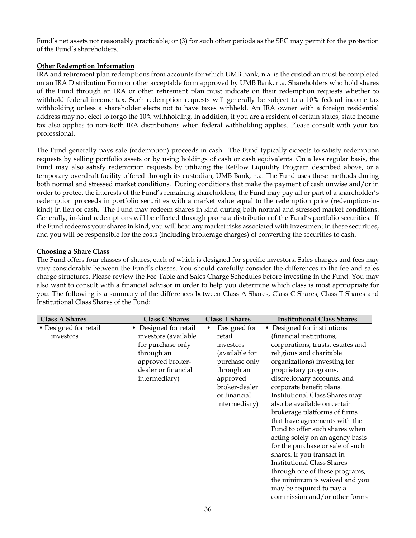Fund's net assets not reasonably practicable; or (3) for such other periods as the SEC may permit for the protection of the Fund's shareholders.

## **Other Redemption Information**

IRA and retirement plan redemptions from accounts for which UMB Bank, n.a. is the custodian must be completed on an IRA Distribution Form or other acceptable form approved by UMB Bank, n.a. Shareholders who hold shares of the Fund through an IRA or other retirement plan must indicate on their redemption requests whether to withhold federal income tax. Such redemption requests will generally be subject to a 10% federal income tax withholding unless a shareholder elects not to have taxes withheld. An IRA owner with a foreign residential address may not elect to forgo the 10% withholding. In addition, if you are a resident of certain states, state income tax also applies to non-Roth IRA distributions when federal withholding applies. Please consult with your tax professional.

The Fund generally pays sale (redemption) proceeds in cash. The Fund typically expects to satisfy redemption requests by selling portfolio assets or by using holdings of cash or cash equivalents. On a less regular basis, the Fund may also satisfy redemption requests by utilizing the ReFlow Liquidity Program described above, or a temporary overdraft facility offered through its custodian, UMB Bank, n.a. The Fund uses these methods during both normal and stressed market conditions. During conditions that make the payment of cash unwise and/or in order to protect the interests of the Fund's remaining shareholders, the Fund may pay all or part of a shareholder's redemption proceeds in portfolio securities with a market value equal to the redemption price (redemption-inkind) in lieu of cash. The Fund may redeem shares in kind during both normal and stressed market conditions. Generally, in-kind redemptions will be effected through pro rata distribution of the Fund's portfolio securities. If the Fund redeems your shares in kind, you will bear any market risks associated with investment in these securities, and you will be responsible for the costs (including brokerage charges) of converting the securities to cash.

## **Choosing a Share Class**

The Fund offers four classes of shares, each of which is designed for specific investors. Sales charges and fees may vary considerably between the Fund's classes. You should carefully consider the differences in the fee and sales charge structures. Please review the Fee Table and Sales Charge Schedules before investing in the Fund. You may also want to consult with a financial advisor in order to help you determine which class is most appropriate for you. The following is a summary of the differences between Class A Shares, Class C Shares, Class T Shares and Institutional Class Shares of the Fund:

| <b>Class A Shares</b>              | <b>Class C Shares</b>                                                                       | <b>Class T Shares</b>                                                                     | <b>Institutional Class Shares</b>                                                                                                                                                                                                                                                                                                                                                                                                                                                                                                                                |
|------------------------------------|---------------------------------------------------------------------------------------------|-------------------------------------------------------------------------------------------|------------------------------------------------------------------------------------------------------------------------------------------------------------------------------------------------------------------------------------------------------------------------------------------------------------------------------------------------------------------------------------------------------------------------------------------------------------------------------------------------------------------------------------------------------------------|
| • Designed for retail<br>investors | Designed for retail<br>$\bullet$<br>investors (available<br>for purchase only<br>through an | Designed for<br>$\bullet$<br>retail<br>investors<br>(available for                        | Designed for institutions<br>٠<br>(financial institutions,<br>corporations, trusts, estates and<br>religious and charitable                                                                                                                                                                                                                                                                                                                                                                                                                                      |
|                                    | approved broker-<br>dealer or financial<br>intermediary)                                    | purchase only<br>through an<br>approved<br>broker-dealer<br>or financial<br>intermediary) | organizations) investing for<br>proprietary programs,<br>discretionary accounts, and<br>corporate benefit plans.<br>Institutional Class Shares may<br>also be available on certain<br>brokerage platforms of firms<br>that have agreements with the<br>Fund to offer such shares when<br>acting solely on an agency basis<br>for the purchase or sale of such<br>shares. If you transact in<br><b>Institutional Class Shares</b><br>through one of these programs,<br>the minimum is waived and you<br>may be required to pay a<br>commission and/or other forms |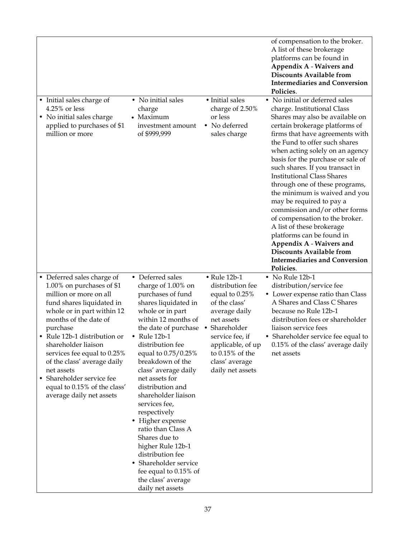|        |                                                                                                                                                                                                                                                                                                                                                                                                           |                                                                                                                                                                                                                                                                                                                                                                                                                                                                                                                                                             |                                                                                                                                                                                                                                    | of compensation to the broker.<br>A list of these brokerage<br>platforms can be found in<br>Appendix A - Waivers and<br><b>Discounts Available from</b><br><b>Intermediaries and Conversion</b><br>Policies.                                                                                                                                                                                                                                                                                                                                                                                                                                                                                           |
|--------|-----------------------------------------------------------------------------------------------------------------------------------------------------------------------------------------------------------------------------------------------------------------------------------------------------------------------------------------------------------------------------------------------------------|-------------------------------------------------------------------------------------------------------------------------------------------------------------------------------------------------------------------------------------------------------------------------------------------------------------------------------------------------------------------------------------------------------------------------------------------------------------------------------------------------------------------------------------------------------------|------------------------------------------------------------------------------------------------------------------------------------------------------------------------------------------------------------------------------------|--------------------------------------------------------------------------------------------------------------------------------------------------------------------------------------------------------------------------------------------------------------------------------------------------------------------------------------------------------------------------------------------------------------------------------------------------------------------------------------------------------------------------------------------------------------------------------------------------------------------------------------------------------------------------------------------------------|
|        | • Initial sales charge of<br>4.25% or less<br>• No initial sales charge<br>applied to purchases of \$1<br>million or more                                                                                                                                                                                                                                                                                 | • No initial sales<br>charge<br>• Maximum<br>investment amount<br>of \$999,999                                                                                                                                                                                                                                                                                                                                                                                                                                                                              | · Initial sales<br>charge of 2.50%<br>or less<br>• No deferred<br>sales charge                                                                                                                                                     | • No initial or deferred sales<br>charge. Institutional Class<br>Shares may also be available on<br>certain brokerage platforms of<br>firms that have agreements with<br>the Fund to offer such shares<br>when acting solely on an agency<br>basis for the purchase or sale of<br>such shares. If you transact in<br><b>Institutional Class Shares</b><br>through one of these programs,<br>the minimum is waived and you<br>may be required to pay a<br>commission and/or other forms<br>of compensation to the broker.<br>A list of these brokerage<br>platforms can be found in<br>Appendix A - Waivers and<br><b>Discounts Available from</b><br><b>Intermediaries and Conversion</b><br>Policies. |
| ٠<br>٠ | • Deferred sales charge of<br>1.00% on purchases of \$1<br>million or more on all<br>fund shares liquidated in<br>whole or in part within 12<br>months of the date of<br>purchase<br>Rule 12b-1 distribution or<br>shareholder liaison<br>services fee equal to 0.25%<br>of the class' average daily<br>net assets<br>Shareholder service fee<br>equal to 0.15% of the class'<br>average daily net assets | • Deferred sales<br>charge of 1.00% on<br>purchases of fund<br>shares liquidated in<br>whole or in part<br>within 12 months of<br>the date of purchase<br>• Rule $12b-1$<br>distribution fee<br>equal to 0.75/0.25%<br>breakdown of the<br>class' average daily<br>net assets for<br>distribution and<br>shareholder liaison<br>services fee,<br>respectively<br>• Higher expense<br>ratio than Class A<br>Shares due to<br>higher Rule 12b-1<br>distribution fee<br>Shareholder service<br>fee equal to 0.15% of<br>the class' average<br>daily net assets | $\bullet$ Rule 12b-1<br>distribution fee<br>equal to 0.25%<br>of the class'<br>average daily<br>net assets<br>Shareholder<br>٠<br>service fee, if<br>applicable, of up<br>to $0.15\%$ of the<br>class' average<br>daily net assets | • No Rule 12b-1<br>distribution/service fee<br>• Lower expense ratio than Class<br>A Shares and Class C Shares<br>because no Rule 12b-1<br>distribution fees or shareholder<br>liaison service fees<br>• Shareholder service fee equal to<br>0.15% of the class' average daily<br>net assets                                                                                                                                                                                                                                                                                                                                                                                                           |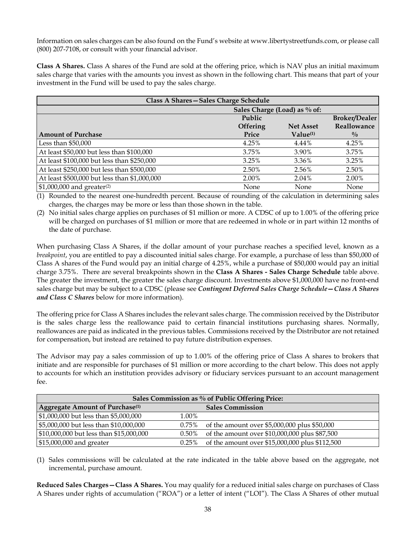Information on sales charges can be also found on the Fund's website at www.libertystreetfunds.com, or please call (800) 207-7108, or consult with your financial advisor.

**Class A Shares.** Class A shares of the Fund are sold at the offering price, which is NAV plus an initial maximum sales charge that varies with the amounts you invest as shown in the following chart. This means that part of your investment in the Fund will be used to pay the sales charge.

| Class A Shares-Sales Charge Schedule         |          |                      |                      |  |  |  |  |  |  |
|----------------------------------------------|----------|----------------------|----------------------|--|--|--|--|--|--|
| Sales Charge (Load) as % of:                 |          |                      |                      |  |  |  |  |  |  |
|                                              | Public   |                      | <b>Broker/Dealer</b> |  |  |  |  |  |  |
|                                              | Offering | <b>Net Asset</b>     | Reallowance          |  |  |  |  |  |  |
| <b>Amount of Purchase</b>                    | Price    | Value <sup>(1)</sup> | $\frac{0}{0}$        |  |  |  |  |  |  |
| Less than \$50,000                           | 4.25%    | $4.44\%$             | 4.25%                |  |  |  |  |  |  |
| At least \$50,000 but less than \$100,000    | 3.75%    | 3.90%                | 3.75%                |  |  |  |  |  |  |
| At least \$100,000 but less than \$250,000   | 3.25%    | 3.36%                | 3.25%                |  |  |  |  |  |  |
| At least \$250,000 but less than \$500,000   | 2.50%    | 2.56%                | 2.50%                |  |  |  |  |  |  |
| At least \$500,000 but less than \$1,000,000 | 2.00%    | 2.04%                | 2.00%                |  |  |  |  |  |  |
| $$1,000,000$ and greater <sup>(2)</sup>      | None     | None                 | None                 |  |  |  |  |  |  |

(1) Rounded to the nearest one-hundredth percent. Because of rounding of the calculation in determining sales charges, the charges may be more or less than those shown in the table.

(2) No initial sales charge applies on purchases of \$1 million or more. A CDSC of up to 1.00% of the offering price will be charged on purchases of \$1 million or more that are redeemed in whole or in part within 12 months of the date of purchase.

When purchasing Class A Shares, if the dollar amount of your purchase reaches a specified level, known as a *breakpoint*, you are entitled to pay a discounted initial sales charge. For example, a purchase of less than \$50,000 of Class A shares of the Fund would pay an initial charge of 4.25%, while a purchase of \$50,000 would pay an initial charge 3.75%. There are several breakpoints shown in the **Class A Shares - Sales Charge Schedule** table above. The greater the investment, the greater the sales charge discount. Investments above \$1,000,000 have no front-end sales charge but may be subject to a CDSC (please see *Contingent Deferred Sales Charge Schedule—Class A Shares and Class C Shares* below for more information).

The offering price for Class A Shares includes the relevant sales charge. The commission received by the Distributor is the sales charge less the reallowance paid to certain financial institutions purchasing shares. Normally, reallowances are paid as indicated in the previous tables. Commissions received by the Distributor are not retained for compensation, but instead are retained to pay future distribution expenses.

The Advisor may pay a sales commission of up to 1.00% of the offering price of Class A shares to brokers that initiate and are responsible for purchases of \$1 million or more according to the chart below. This does not apply to accounts for which an institution provides advisory or fiduciary services pursuant to an account management fee.

| Sales Commission as % of Public Offering Price: |          |                                                |  |  |  |  |  |  |
|-------------------------------------------------|----------|------------------------------------------------|--|--|--|--|--|--|
| Aggregate Amount of Purchase <sup>(1)</sup>     |          | <b>Sales Commission</b>                        |  |  |  |  |  |  |
| \$1,000,000 but less than \$5,000,000           | 1.00%    |                                                |  |  |  |  |  |  |
| \$5,000,000 but less than \$10,000,000          | $0.75\%$ | of the amount over \$5,000,000 plus \$50,000   |  |  |  |  |  |  |
| \$10,000,000 but less than \$15,000,000         | 0.50%    | of the amount over \$10,000,000 plus \$87,500  |  |  |  |  |  |  |
| \$15,000,000 and greater                        | $0.25\%$ | of the amount over \$15,000,000 plus \$112,500 |  |  |  |  |  |  |

(1) Sales commissions will be calculated at the rate indicated in the table above based on the aggregate, not incremental, purchase amount.

**Reduced Sales Charges—Class A Shares.** You may qualify for a reduced initial sales charge on purchases of Class A Shares under rights of accumulation ("ROA") or a letter of intent ("LOI"). The Class A Shares of other mutual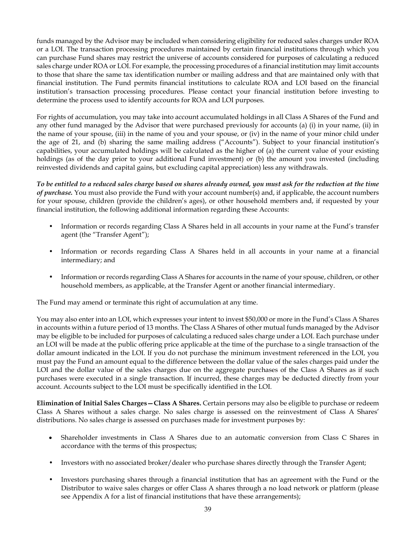funds managed by the Advisor may be included when considering eligibility for reduced sales charges under ROA or a LOI. The transaction processing procedures maintained by certain financial institutions through which you can purchase Fund shares may restrict the universe of accounts considered for purposes of calculating a reduced sales charge under ROA or LOI. For example, the processing procedures of a financial institution may limit accounts to those that share the same tax identification number or mailing address and that are maintained only with that financial institution. The Fund permits financial institutions to calculate ROA and LOI based on the financial institution's transaction processing procedures. Please contact your financial institution before investing to determine the process used to identify accounts for ROA and LOI purposes.

For rights of accumulation, you may take into account accumulated holdings in all Class A Shares of the Fund and any other fund managed by the Advisor that were purchased previously for accounts (a) (i) in your name, (ii) in the name of your spouse, (iii) in the name of you and your spouse, or (iv) in the name of your minor child under the age of 21, and (b) sharing the same mailing address ("Accounts"). Subject to your financial institution's capabilities, your accumulated holdings will be calculated as the higher of (a) the current value of your existing holdings (as of the day prior to your additional Fund investment) or (b) the amount you invested (including reinvested dividends and capital gains, but excluding capital appreciation) less any withdrawals.

*To be entitled to a reduced sales charge based on shares already owned, you must ask for the reduction at the time of purchase.* You must also provide the Fund with your account number(s) and, if applicable, the account numbers for your spouse, children (provide the children's ages), or other household members and, if requested by your financial institution, the following additional information regarding these Accounts:

- Information or records regarding Class A Shares held in all accounts in your name at the Fund's transfer agent (the "Transfer Agent");
- Information or records regarding Class A Shares held in all accounts in your name at a financial intermediary; and
- Information or records regarding Class A Shares for accounts in the name of your spouse, children, or other household members, as applicable, at the Transfer Agent or another financial intermediary.

The Fund may amend or terminate this right of accumulation at any time.

You may also enter into an LOI, which expresses your intent to invest \$50,000 or more in the Fund's Class A Shares in accounts within a future period of 13 months. The Class A Shares of other mutual funds managed by the Advisor may be eligible to be included for purposes of calculating a reduced sales charge under a LOI. Each purchase under an LOI will be made at the public offering price applicable at the time of the purchase to a single transaction of the dollar amount indicated in the LOI. If you do not purchase the minimum investment referenced in the LOI, you must pay the Fund an amount equal to the difference between the dollar value of the sales charges paid under the LOI and the dollar value of the sales charges due on the aggregate purchases of the Class A Shares as if such purchases were executed in a single transaction. If incurred, these charges may be deducted directly from your account. Accounts subject to the LOI must be specifically identified in the LOI.

**Elimination of Initial Sales Charges—Class A Shares.** Certain persons may also be eligible to purchase or redeem Class A Shares without a sales charge. No sales charge is assessed on the reinvestment of Class A Shares' distributions. No sales charge is assessed on purchases made for investment purposes by:

- Shareholder investments in Class A Shares due to an automatic conversion from Class C Shares in accordance with the terms of this prospectus;
- Investors with no associated broker/dealer who purchase shares directly through the Transfer Agent;
- Investors purchasing shares through a financial institution that has an agreement with the Fund or the Distributor to waive sales charges or offer Class A shares through a no load network or platform (please see Appendix A for a list of financial institutions that have these arrangements);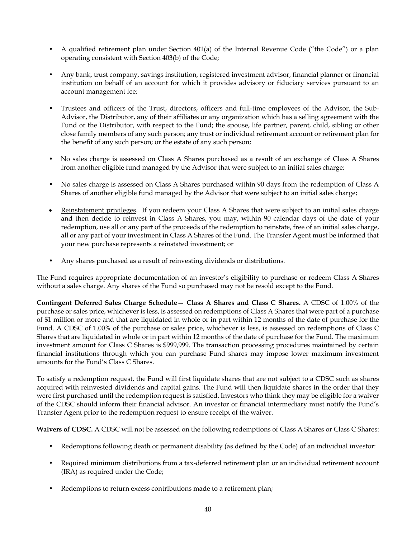- A qualified retirement plan under Section 401(a) of the Internal Revenue Code ("the Code") or a plan operating consistent with Section 403(b) of the Code;
- Any bank, trust company, savings institution, registered investment advisor, financial planner or financial institution on behalf of an account for which it provides advisory or fiduciary services pursuant to an account management fee;
- Trustees and officers of the Trust, directors, officers and full-time employees of the Advisor, the Sub-Advisor, the Distributor, any of their affiliates or any organization which has a selling agreement with the Fund or the Distributor, with respect to the Fund; the spouse, life partner, parent, child, sibling or other close family members of any such person; any trust or individual retirement account or retirement plan for the benefit of any such person; or the estate of any such person;
- No sales charge is assessed on Class A Shares purchased as a result of an exchange of Class A Shares from another eligible fund managed by the Advisor that were subject to an initial sales charge;
- No sales charge is assessed on Class A Shares purchased within 90 days from the redemption of Class A Shares of another eligible fund managed by the Advisor that were subject to an initial sales charge;
- Reinstatement privileges. If you redeem your Class A Shares that were subject to an initial sales charge and then decide to reinvest in Class A Shares, you may, within 90 calendar days of the date of your redemption, use all or any part of the proceeds of the redemption to reinstate, free of an initial sales charge, all or any part of your investment in Class A Shares of the Fund. The Transfer Agent must be informed that your new purchase represents a reinstated investment; or
- Any shares purchased as a result of reinvesting dividends or distributions.

The Fund requires appropriate documentation of an investor's eligibility to purchase or redeem Class A Shares without a sales charge. Any shares of the Fund so purchased may not be resold except to the Fund.

**Contingent Deferred Sales Charge Schedule— Class A Shares and Class C Shares.** A CDSC of 1.00% of the purchase or sales price, whichever is less, is assessed on redemptions of Class A Shares that were part of a purchase of \$1 million or more and that are liquidated in whole or in part within 12 months of the date of purchase for the Fund. A CDSC of 1.00% of the purchase or sales price, whichever is less, is assessed on redemptions of Class C Shares that are liquidated in whole or in part within 12 months of the date of purchase for the Fund. The maximum investment amount for Class C Shares is \$999,999. The transaction processing procedures maintained by certain financial institutions through which you can purchase Fund shares may impose lower maximum investment amounts for the Fund's Class C Shares.

To satisfy a redemption request, the Fund will first liquidate shares that are not subject to a CDSC such as shares acquired with reinvested dividends and capital gains. The Fund will then liquidate shares in the order that they were first purchased until the redemption request is satisfied. Investors who think they may be eligible for a waiver of the CDSC should inform their financial advisor. An investor or financial intermediary must notify the Fund's Transfer Agent prior to the redemption request to ensure receipt of the waiver.

Waivers of CDSC. A CDSC will not be assessed on the following redemptions of Class A Shares or Class C Shares:

- Redemptions following death or permanent disability (as defined by the Code) of an individual investor:
- Required minimum distributions from a tax-deferred retirement plan or an individual retirement account (IRA) as required under the Code;
- Redemptions to return excess contributions made to a retirement plan;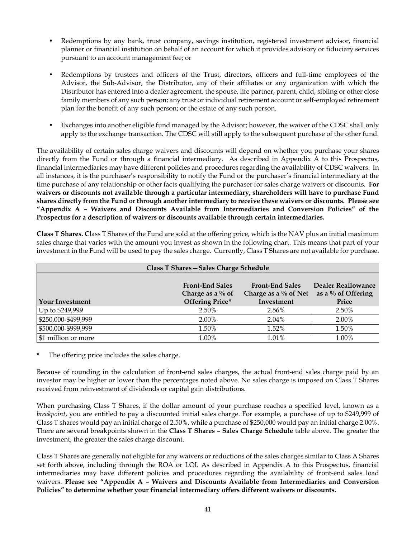- Redemptions by any bank, trust company, savings institution, registered investment advisor, financial planner or financial institution on behalf of an account for which it provides advisory or fiduciary services pursuant to an account management fee; or
- Redemptions by trustees and officers of the Trust, directors, officers and full-time employees of the Advisor, the Sub-Advisor, the Distributor, any of their affiliates or any organization with which the Distributor has entered into a dealer agreement, the spouse, life partner, parent, child, sibling or other close family members of any such person; any trust or individual retirement account or self-employed retirement plan for the benefit of any such person; or the estate of any such person.
- Exchanges into another eligible fund managed by the Advisor; however, the waiver of the CDSC shall only apply to the exchange transaction. The CDSC will still apply to the subsequent purchase of the other fund.

The availability of certain sales charge waivers and discounts will depend on whether you purchase your shares directly from the Fund or through a financial intermediary. As described in Appendix A to this Prospectus, financial intermediaries may have different policies and procedures regarding the availability of CDSC waivers. In all instances, it is the purchaser's responsibility to notify the Fund or the purchaser's financial intermediary at the time purchase of any relationship or other facts qualifying the purchaser for sales charge waivers or discounts. **For waivers or discounts not available through a particular intermediary, shareholders will have to purchase Fund shares directly from the Fund or through another intermediary to receive these waivers or discounts. Please see "Appendix A – Waivers and Discounts Available from Intermediaries and Conversion Policies" of the Prospectus for a description of waivers or discounts available through certain intermediaries.**

**Class T Shares. C**lass T Shares of the Fund are sold at the offering price, which is the NAV plus an initial maximum sales charge that varies with the amount you invest as shown in the following chart. This means that part of your investment in the Fund will be used to pay the sales charge. Currently, Class T Shares are not available for purchase.

| Class T Shares - Sales Charge Schedule |                                               |                                                   |                                                    |  |  |  |  |  |  |  |
|----------------------------------------|-----------------------------------------------|---------------------------------------------------|----------------------------------------------------|--|--|--|--|--|--|--|
|                                        | <b>Front-End Sales</b><br>Charge as a $\%$ of | <b>Front-End Sales</b><br>Charge as a $\%$ of Net | <b>Dealer Reallowance</b><br>as a $\%$ of Offering |  |  |  |  |  |  |  |
| <b>Your Investment</b>                 | <b>Offering Price*</b>                        | Investment                                        | Price                                              |  |  |  |  |  |  |  |
| Up to \$249,999                        | 2.50%                                         | 2.56%                                             | 2.50%                                              |  |  |  |  |  |  |  |
| \$250,000-\$499,999                    | 2.00%                                         | 2.04%                                             | 2.00%                                              |  |  |  |  |  |  |  |
| \$500,000-\$999,999                    | 1.50%                                         | 1.52%                                             | 1.50%                                              |  |  |  |  |  |  |  |
| \$1 million or more                    | 1.00%                                         | $1.01\%$                                          | 1.00%                                              |  |  |  |  |  |  |  |

The offering price includes the sales charge.

Because of rounding in the calculation of front-end sales charges, the actual front-end sales charge paid by an investor may be higher or lower than the percentages noted above. No sales charge is imposed on Class T Shares received from reinvestment of dividends or capital gain distributions.

When purchasing Class T Shares, if the dollar amount of your purchase reaches a specified level, known as a *breakpoint*, you are entitled to pay a discounted initial sales charge. For example, a purchase of up to \$249,999 of Class T shares would pay an initial charge of 2.50%, while a purchase of \$250,000 would pay an initial charge 2.00%. There are several breakpoints shown in the **Class T Shares – Sales Charge Schedule** table above. The greater the investment, the greater the sales charge discount.

Class T Shares are generally not eligible for any waivers or reductions of the sales charges similar to Class A Shares set forth above, including through the ROA or LOI. As described in Appendix A to this Prospectus, financial intermediaries may have different policies and procedures regarding the availability of front-end sales load waivers. **Please see "Appendix A – Waivers and Discounts Available from Intermediaries and Conversion Policies" to determine whether your financial intermediary offers different waivers or discounts.**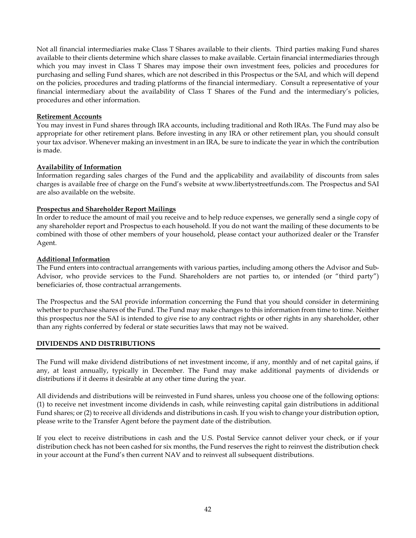Not all financial intermediaries make Class T Shares available to their clients. Third parties making Fund shares available to their clients determine which share classes to make available. Certain financial intermediaries through which you may invest in Class T Shares may impose their own investment fees, policies and procedures for purchasing and selling Fund shares, which are not described in this Prospectus or the SAI, and which will depend on the policies, procedures and trading platforms of the financial intermediary. Consult a representative of your financial intermediary about the availability of Class T Shares of the Fund and the intermediary's policies, procedures and other information.

### **Retirement Accounts**

You may invest in Fund shares through IRA accounts, including traditional and Roth IRAs. The Fund may also be appropriate for other retirement plans. Before investing in any IRA or other retirement plan, you should consult your tax advisor. Whenever making an investment in an IRA, be sure to indicate the year in which the contribution is made.

### **Availability of Information**

Information regarding sales charges of the Fund and the applicability and availability of discounts from sales charges is available free of charge on the Fund's website at www.libertystreetfunds.com. The Prospectus and SAI are also available on the website.

### **Prospectus and Shareholder Report Mailings**

In order to reduce the amount of mail you receive and to help reduce expenses, we generally send a single copy of any shareholder report and Prospectus to each household. If you do not want the mailing of these documents to be combined with those of other members of your household, please contact your authorized dealer or the Transfer Agent.

### **Additional Information**

The Fund enters into contractual arrangements with various parties, including among others the Advisor and Sub-Advisor, who provide services to the Fund. Shareholders are not parties to, or intended (or "third party") beneficiaries of, those contractual arrangements.

The Prospectus and the SAI provide information concerning the Fund that you should consider in determining whether to purchase shares of the Fund. The Fund may make changes to this information from time to time. Neither this prospectus nor the SAI is intended to give rise to any contract rights or other rights in any shareholder, other than any rights conferred by federal or state securities laws that may not be waived.

## <span id="page-43-0"></span>**DIVIDENDS AND DISTRIBUTIONS**

The Fund will make dividend distributions of net investment income, if any, monthly and of net capital gains, if any, at least annually, typically in December. The Fund may make additional payments of dividends or distributions if it deems it desirable at any other time during the year.

All dividends and distributions will be reinvested in Fund shares, unless you choose one of the following options: (1) to receive net investment income dividends in cash, while reinvesting capital gain distributions in additional Fund shares; or (2) to receive all dividends and distributions in cash. If you wish to change your distribution option, please write to the Transfer Agent before the payment date of the distribution.

If you elect to receive distributions in cash and the U.S. Postal Service cannot deliver your check, or if your distribution check has not been cashed for six months, the Fund reserves the right to reinvest the distribution check in your account at the Fund's then current NAV and to reinvest all subsequent distributions.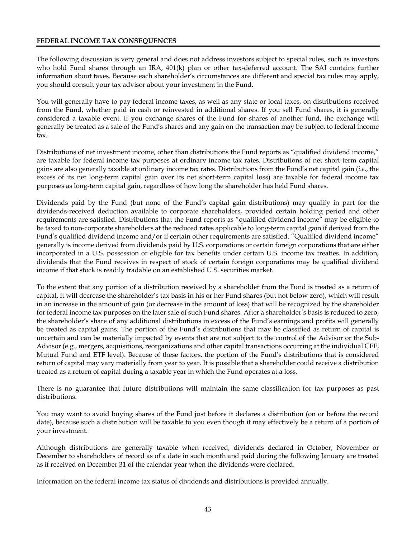#### <span id="page-44-0"></span>**FEDERAL INCOME TAX CONSEQUENCES**

The following discussion is very general and does not address investors subject to special rules, such as investors who hold Fund shares through an IRA, 401(k) plan or other tax-deferred account. The SAI contains further information about taxes. Because each shareholder's circumstances are different and special tax rules may apply, you should consult your tax advisor about your investment in the Fund.

You will generally have to pay federal income taxes, as well as any state or local taxes, on distributions received from the Fund, whether paid in cash or reinvested in additional shares. If you sell Fund shares, it is generally considered a taxable event. If you exchange shares of the Fund for shares of another fund, the exchange will generally be treated as a sale of the Fund's shares and any gain on the transaction may be subject to federal income tax.

Distributions of net investment income, other than distributions the Fund reports as "qualified dividend income," are taxable for federal income tax purposes at ordinary income tax rates. Distributions of net short-term capital gains are also generally taxable at ordinary income tax rates. Distributions from the Fund's net capital gain (*i.e*., the excess of its net long-term capital gain over its net short-term capital loss) are taxable for federal income tax purposes as long-term capital gain, regardless of how long the shareholder has held Fund shares.

Dividends paid by the Fund (but none of the Fund's capital gain distributions) may qualify in part for the dividends-received deduction available to corporate shareholders, provided certain holding period and other requirements are satisfied. Distributions that the Fund reports as "qualified dividend income" may be eligible to be taxed to non-corporate shareholders at the reduced rates applicable to long-term capital gain if derived from the Fund's qualified dividend income and/or if certain other requirements are satisfied. "Qualified dividend income" generally is income derived from dividends paid by U.S. corporations or certain foreign corporations that are either incorporated in a U.S. possession or eligible for tax benefits under certain U.S. income tax treaties. In addition, dividends that the Fund receives in respect of stock of certain foreign corporations may be qualified dividend income if that stock is readily tradable on an established U.S. securities market.

To the extent that any portion of a distribution received by a shareholder from the Fund is treated as a return of capital, it will decrease the shareholder's tax basis in his or her Fund shares (but not below zero), which will result in an increase in the amount of gain (or decrease in the amount of loss) that will be recognized by the shareholder for federal income tax purposes on the later sale of such Fund shares. After a shareholder's basis is reduced to zero, the shareholder's share of any additional distributions in excess of the Fund's earnings and profits will generally be treated as capital gains. The portion of the Fund's distributions that may be classified as return of capital is uncertain and can be materially impacted by events that are not subject to the control of the Advisor or the Sub-Advisor (e.g., mergers, acquisitions, reorganizations and other capital transactions occurring at the individual CEF, Mutual Fund and ETF level). Because of these factors, the portion of the Fund's distributions that is considered return of capital may vary materially from year to year. It is possible that a shareholder could receive a distribution treated as a return of capital during a taxable year in which the Fund operates at a loss.

There is no guarantee that future distributions will maintain the same classification for tax purposes as past distributions.

You may want to avoid buying shares of the Fund just before it declares a distribution (on or before the record date), because such a distribution will be taxable to you even though it may effectively be a return of a portion of your investment.

Although distributions are generally taxable when received, dividends declared in October, November or December to shareholders of record as of a date in such month and paid during the following January are treated as if received on December 31 of the calendar year when the dividends were declared.

Information on the federal income tax status of dividends and distributions is provided annually.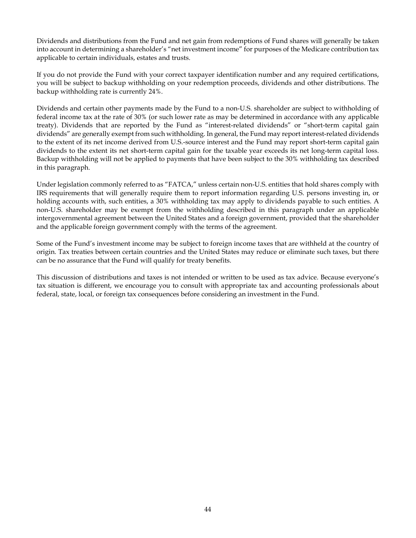Dividends and distributions from the Fund and net gain from redemptions of Fund shares will generally be taken into account in determining a shareholder's "net investment income" for purposes of the Medicare contribution tax applicable to certain individuals, estates and trusts.

If you do not provide the Fund with your correct taxpayer identification number and any required certifications, you will be subject to backup withholding on your redemption proceeds, dividends and other distributions. The backup withholding rate is currently 24%.

Dividends and certain other payments made by the Fund to a non-U.S. shareholder are subject to withholding of federal income tax at the rate of 30% (or such lower rate as may be determined in accordance with any applicable treaty). Dividends that are reported by the Fund as "interest-related dividends" or "short-term capital gain dividends" are generally exempt from such withholding. In general, the Fund may report interest-related dividends to the extent of its net income derived from U.S.-source interest and the Fund may report short-term capital gain dividends to the extent its net short-term capital gain for the taxable year exceeds its net long-term capital loss. Backup withholding will not be applied to payments that have been subject to the 30% withholding tax described in this paragraph.

Under legislation commonly referred to as "FATCA," unless certain non-U.S. entities that hold shares comply with IRS requirements that will generally require them to report information regarding U.S. persons investing in, or holding accounts with, such entities, a 30% withholding tax may apply to dividends payable to such entities. A non-U.S. shareholder may be exempt from the withholding described in this paragraph under an applicable intergovernmental agreement between the United States and a foreign government, provided that the shareholder and the applicable foreign government comply with the terms of the agreement.

Some of the Fund's investment income may be subject to foreign income taxes that are withheld at the country of origin. Tax treaties between certain countries and the United States may reduce or eliminate such taxes, but there can be no assurance that the Fund will qualify for treaty benefits.

This discussion of distributions and taxes is not intended or written to be used as tax advice. Because everyone's tax situation is different, we encourage you to consult with appropriate tax and accounting professionals about federal, state, local, or foreign tax consequences before considering an investment in the Fund.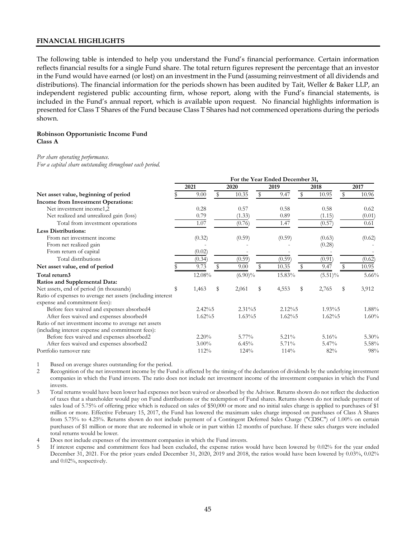#### <span id="page-46-0"></span>**FINANCIAL HIGHLIGHTS**

The following table is intended to help you understand the Fund's financial performance. Certain information reflects financial results for a single Fund share. The total return figures represent the percentage that an investor in the Fund would have earned (or lost) on an investment in the Fund (assuming reinvestment of all dividends and distributions). The financial information for the periods shown has been audited by Tait, Weller & Baker LLP, an independent registered public accounting firm, whose report, along with the Fund's financial statements, is included in the Fund's annual report, which is available upon request. No financial highlights information is presented for Class T Shares of the Fund because Class T Shares had not commenced operations during the periods shown.

#### **Robinson Opportunistic Income Fund Class A**

#### *Per share operating performance.*

*For a capital share outstanding throughout each period.*

|                                                             | For the Year Ended December 31, |           |    |            |    |           |    |            |    |        |
|-------------------------------------------------------------|---------------------------------|-----------|----|------------|----|-----------|----|------------|----|--------|
|                                                             |                                 | 2021      |    | 2020       |    | 2019      |    | 2018       |    | 2017   |
| Net asset value, beginning of period                        |                                 | 9.00      | S  | 10.35      | \$ | 9.47      | \$ | 10.95      | \$ | 10.96  |
| Income from Investment Operations:                          |                                 |           |    |            |    |           |    |            |    |        |
| Net investment income 1,2                                   |                                 | 0.28      |    | 0.57       |    | 0.58      |    | 0.58       |    | 0.62   |
| Net realized and unrealized gain (loss)                     |                                 | 0.79      |    | (1.33)     |    | 0.89      |    | (1.15)     |    | (0.01) |
| Total from investment operations                            |                                 | 1.07      |    | (0.76)     |    | 1.47      |    | (0.57)     |    | 0.61   |
| <b>Less Distributions:</b>                                  |                                 |           |    |            |    |           |    |            |    |        |
| From net investment income                                  |                                 | (0.32)    |    | (0.59)     |    | (0.59)    |    | (0.63)     |    | (0.62) |
| From net realized gain                                      |                                 |           |    |            |    |           |    | (0.28)     |    |        |
| From return of capital                                      |                                 | (0.02)    |    |            |    |           |    |            |    |        |
| Total distributions                                         |                                 | (0.34)    |    | (0.59)     |    | (0.59)    |    | (0.91)     |    | (0.62) |
| Net asset value, end of period                              |                                 | 9.73      | S  | 9.00       | S. | 10.35     | S  | 9.47       | \$ | 10.95  |
| Total return3                                               |                                 | 12.08%    |    | $(6.90)\%$ |    | 15.83%    |    | $(5.51)\%$ |    | 5.66%  |
| Ratios and Supplemental Data:                               |                                 |           |    |            |    |           |    |            |    |        |
| Net assets, end of period (in thousands)                    |                                 | 1,463     | \$ | 2,061      | \$ | 4,553     | \$ | 2,765      | \$ | 3,912  |
| Ratio of expenses to average net assets (including interest |                                 |           |    |            |    |           |    |            |    |        |
| expense and commitment fees):                               |                                 |           |    |            |    |           |    |            |    |        |
| Before fees waived and expenses absorbed4                   |                                 | $2.42\%5$ |    | $2.31\%$   |    | $2.12\%5$ |    | 1.93%5     |    | 1.88%  |
| After fees waived and expenses absorbed4                    |                                 | $1.62\%5$ |    | $1.63\%5$  |    | $1.62\%5$ |    | $1.62\%5$  |    | 1.60%  |
| Ratio of net investment income to average net assets        |                                 |           |    |            |    |           |    |            |    |        |
| (including interest expense and commitment fees):           |                                 |           |    |            |    |           |    |            |    |        |
| Before fees waived and expenses absorbed2                   |                                 | $2.20\%$  |    | $5.77\%$   |    | $5.21\%$  |    | 5.16%      |    | 5.30%  |
| After fees waived and expenses absorbed2                    |                                 | $3.00\%$  |    | 6.45%      |    | 5.71%     |    | 5.47%      |    | 5.58%  |
| Portfolio turnover rate                                     |                                 | 112%      |    | 124%       |    | 114%      |    | 82%        |    | 98%    |

1 Based on average shares outstanding for the period.

2 Recognition of the net investment income by the Fund is affected by the timing of the declaration of dividends by the underlying investment companies in which the Fund invests. The ratio does not include net investment income of the investment companies in which the Fund invests.

3 Total returns would have been lower had expenses not been waived or absorbed by the Advisor. Returns shown do not reflect the deduction of taxes that a shareholder would pay on Fund distributions or the redemption of Fund shares. Returns shown do not include payment of sales load of 5.75% of offering price which is reduced on sales of \$50,000 or more and no initial sales charge is applied to purchases of \$1 million or more. Effective February 15, 2017, the Fund has lowered the maximum sales charge imposed on purchases of Class A Shares from 5.75% to 4.25%. Returns shown do not include payment of a Contingent Deferred Sales Charge ("CDSC") of 1.00% on certain purchases of \$1 million or more that are redeemed in whole or in part within 12 months of purchase. If these sales charges were included total returns would be lower.

Does not include expenses of the investment companies in which the Fund invests.

5 If interest expense and commitment fees had been excluded, the expense ratios would have been lowered by 0.02% for the year ended December 31, 2021. For the prior years ended December 31, 2020, 2019 and 2018, the ratios would have been lowered by 0.03%, 0.02% and 0.02%, respectively.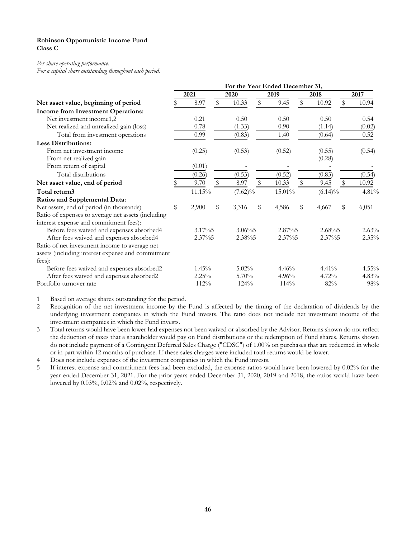#### **Robinson Opportunistic Income Fund Class C**

#### *Per share operating performance.*

*For a capital share outstanding throughout each period.*

|                                                    | For the Year Ended December 31, |          |    |            |    |        |    |            |    |          |
|----------------------------------------------------|---------------------------------|----------|----|------------|----|--------|----|------------|----|----------|
|                                                    |                                 | 2021     |    | 2020       |    | 2019   |    | 2018       |    | 2017     |
| Net asset value, beginning of period               |                                 | 8.97     | \$ | 10.33      | \$ | 9.45   | \$ | 10.92      | \$ | 10.94    |
| <b>Income from Investment Operations:</b>          |                                 |          |    |            |    |        |    |            |    |          |
| Net investment income1,2                           |                                 | 0.21     |    | 0.50       |    | 0.50   |    | 0.50       |    | 0.54     |
| Net realized and unrealized gain (loss)            |                                 | 0.78     |    | (1.33)     |    | 0.90   |    | (1.14)     |    | (0.02)   |
| Total from investment operations                   |                                 | 0.99     |    | (0.83)     |    | 1.40   |    | (0.64)     |    | 0.52     |
| <b>Less Distributions:</b>                         |                                 |          |    |            |    |        |    |            |    |          |
| From net investment income                         |                                 | (0.25)   |    | (0.53)     |    | (0.52) |    | (0.55)     |    | (0.54)   |
| From net realized gain                             |                                 |          |    |            |    |        |    | (0.28)     |    |          |
| From return of capital                             |                                 | (0.01)   |    |            |    |        |    |            |    |          |
| Total distributions                                |                                 | (0.26)   |    | (0.53)     |    | (0.52) |    | (0.83)     |    | (0.54)   |
| Net asset value, end of period                     |                                 | 9.70     | \$ | 8.97       | \$ | 10.33  | \$ | 9.45       | \$ | 10.92    |
| Total return3                                      |                                 | 11.15%   |    | $(7.62)\%$ |    | 15.01% |    | $(6.14)\%$ |    | 4.81%    |
| Ratios and Supplemental Data:                      |                                 |          |    |            |    |        |    |            |    |          |
| Net assets, end of period (in thousands)           | \$                              | 2,900    | \$ | 3,316      | \$ | 4,586  | \$ | 4,667      | \$ | 6,051    |
| Ratio of expenses to average net assets (including |                                 |          |    |            |    |        |    |            |    |          |
| interest expense and commitment fees):             |                                 |          |    |            |    |        |    |            |    |          |
| Before fees waived and expenses absorbed4          |                                 | 3.17%5   |    | $3.06\%$   |    | 2.87%5 |    | 2.68%5     |    | 2.63%    |
| After fees waived and expenses absorbed4           |                                 | 2.37%5   |    | 2.38%5     |    | 2.37%5 |    | 2.37%5     |    | $2.35\%$ |
| Ratio of net investment income to average net      |                                 |          |    |            |    |        |    |            |    |          |
| assets (including interest expense and commitment  |                                 |          |    |            |    |        |    |            |    |          |
| fees):                                             |                                 |          |    |            |    |        |    |            |    |          |
| Before fees waived and expenses absorbed2          |                                 | $1.45\%$ |    | $5.02\%$   |    | 4.46%  |    | 4.41%      |    | 4.55%    |
| After fees waived and expenses absorbed2           |                                 | 2.25%    |    | 5.70%      |    | 4.96%  |    | 4.72%      |    | 4.83%    |
| Portfolio turnover rate                            |                                 | 112%     |    | 124%       |    | 114%   |    | 82%        |    | 98%      |

1 Based on average shares outstanding for the period.

2 Recognition of the net investment income by the Fund is affected by the timing of the declaration of dividends by the underlying investment companies in which the Fund invests. The ratio does not include net investment income of the investment companies in which the Fund invests.

3 Total returns would have been lower had expenses not been waived or absorbed by the Advisor. Returns shown do not reflect the deduction of taxes that a shareholder would pay on Fund distributions or the redemption of Fund shares. Returns shown do not include payment of a Contingent Deferred Sales Charge ("CDSC") of 1.00% on purchases that are redeemed in whole or in part within 12 months of purchase. If these sales charges were included total returns would be lower.

4 Does not include expenses of the investment companies in which the Fund invests.

5 If interest expense and commitment fees had been excluded, the expense ratios would have been lowered by 0.02% for the year ended December 31, 2021. For the prior years ended December 31, 2020, 2019 and 2018, the ratios would have been lowered by 0.03%, 0.02% and 0.02%, respectively.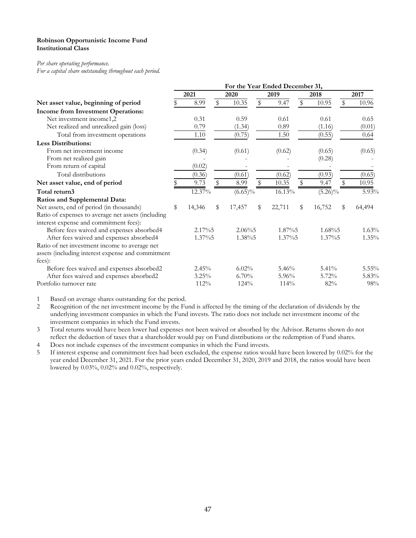#### **Robinson Opportunistic Income Fund Institutional Class**

#### *Per share operating performance.*

*For a capital share outstanding throughout each period.*

|                                                    | For the Year Ended December 31, |        |    |            |    |          |    |            |    |        |  |
|----------------------------------------------------|---------------------------------|--------|----|------------|----|----------|----|------------|----|--------|--|
|                                                    |                                 | 2021   |    | 2020       |    | 2019     |    | 2018       |    | 2017   |  |
| Net asset value, beginning of period               |                                 | 8.99   | \$ | 10.35      | \$ | 9.47     | \$ | 10.95      | \$ | 10.96  |  |
| <b>Income from Investment Operations:</b>          |                                 |        |    |            |    |          |    |            |    |        |  |
| Net investment income1,2                           |                                 | 0.31   |    | 0.59       |    | 0.61     |    | 0.61       |    | 0.65   |  |
| Net realized and unrealized gain (loss)            |                                 | 0.79   |    | (1.34)     |    | 0.89     |    | (1.16)     |    | (0.01) |  |
| Total from investment operations                   |                                 | 1.10   |    | (0.75)     |    | 1.50     |    | (0.55)     |    | 0.64   |  |
| <b>Less Distributions:</b>                         |                                 |        |    |            |    |          |    |            |    |        |  |
| From net investment income                         |                                 | (0.34) |    | (0.61)     |    | (0.62)   |    | (0.65)     |    | (0.65) |  |
| From net realized gain                             |                                 |        |    |            |    |          |    | (0.28)     |    |        |  |
| From return of capital                             |                                 | (0.02) |    |            |    |          |    |            |    |        |  |
| Total distributions                                |                                 | (0.36) |    | (0.61)     |    | (0.62)   |    | (0.93)     |    | (0.65) |  |
| Net asset value, end of period                     |                                 | 9.73   | \$ | 8.99       | \$ | 10.35    | \$ | 9.47       | \$ | 10.95  |  |
| Total return3                                      |                                 | 12.37% |    | $(6.65)\%$ |    | 16.13%   |    | $(5.26)\%$ |    | 5.93%  |  |
| Ratios and Supplemental Data:                      |                                 |        |    |            |    |          |    |            |    |        |  |
| Net assets, end of period (in thousands)           | \$                              | 14,346 | \$ | 17,457     | \$ | 22,711   | \$ | 16,752     | \$ | 64,494 |  |
| Ratio of expenses to average net assets (including |                                 |        |    |            |    |          |    |            |    |        |  |
| interest expense and commitment fees):             |                                 |        |    |            |    |          |    |            |    |        |  |
| Before fees waived and expenses absorbed4          |                                 | 2.17%5 |    | $2.06\%5$  |    | 1.87%5   |    | 1.68%5     |    | 1.63%  |  |
| After fees waived and expenses absorbed4           |                                 | 1.37%5 |    | 1.38%5     |    | 1.37%5   |    | 1.37%5     |    | 1.35%  |  |
| Ratio of net investment income to average net      |                                 |        |    |            |    |          |    |            |    |        |  |
| assets (including interest expense and commitment  |                                 |        |    |            |    |          |    |            |    |        |  |
| fees):                                             |                                 |        |    |            |    |          |    |            |    |        |  |
| Before fees waived and expenses absorbed2          |                                 | 2.45%  |    | 6.02%      |    | 5.46%    |    | $5.41\%$   |    | 5.55%  |  |
| After fees waived and expenses absorbed2           |                                 | 3.25%  |    | 6.70%      |    | $5.96\%$ |    | 5.72%      |    | 5.83%  |  |
| Portfolio turnover rate                            |                                 | 112%   |    | 124%       |    | 114%     |    | 82%        |    | 98%    |  |

1 Based on average shares outstanding for the period.

2 Recognition of the net investment income by the Fund is affected by the timing of the declaration of dividends by the underlying investment companies in which the Fund invests. The ratio does not include net investment income of the investment companies in which the Fund invests.

3 Total returns would have been lower had expenses not been waived or absorbed by the Advisor. Returns shown do not reflect the deduction of taxes that a shareholder would pay on Fund distributions or the redemption of Fund shares. 4 Does not include expenses of the investment companies in which the Fund invests.

5 If interest expense and commitment fees had been excluded, the expense ratios would have been lowered by 0.02% for the year ended December 31, 2021. For the prior years ended December 31, 2020, 2019 and 2018, the ratios would have been lowered by 0.03%, 0.02% and 0.02%, respectively.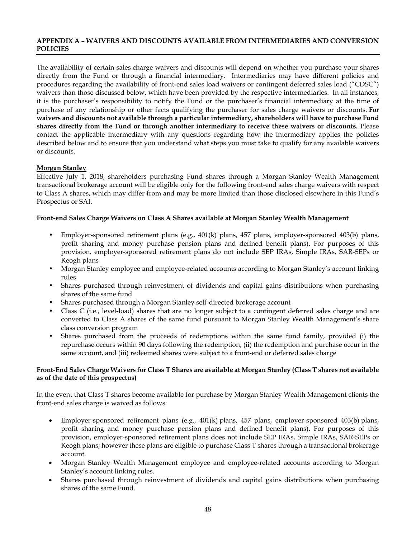### <span id="page-49-0"></span>**APPENDIX A – WAIVERS AND DISCOUNTS AVAILABLE FROM INTERMEDIARIES AND CONVERSION POLICIES**

The availability of certain sales charge waivers and discounts will depend on whether you purchase your shares directly from the Fund or through a financial intermediary. Intermediaries may have different policies and procedures regarding the availability of front-end sales load waivers or contingent deferred sales load ("CDSC") waivers than those discussed below, which have been provided by the respective intermediaries. In all instances, it is the purchaser's responsibility to notify the Fund or the purchaser's financial intermediary at the time of purchase of any relationship or other facts qualifying the purchaser for sales charge waivers or discounts. **For waivers and discounts not available through a particular intermediary, shareholders will have to purchase Fund shares directly from the Fund or through another intermediary to receive these waivers or discounts.** Please contact the applicable intermediary with any questions regarding how the intermediary applies the policies described below and to ensure that you understand what steps you must take to qualify for any available waivers or discounts.

## **Morgan Stanley**

Effective July 1, 2018, shareholders purchasing Fund shares through a Morgan Stanley Wealth Management transactional brokerage account will be eligible only for the following front-end sales charge waivers with respect to Class A shares, which may differ from and may be more limited than those disclosed elsewhere in this Fund's Prospectus or SAI.

### **Front-end Sales Charge Waivers on Class A Shares available at Morgan Stanley Wealth Management**

- Employer-sponsored retirement plans (e.g., 401(k) plans, 457 plans, employer-sponsored 403(b) plans, profit sharing and money purchase pension plans and defined benefit plans). For purposes of this provision, employer-sponsored retirement plans do not include SEP IRAs, Simple IRAs, SAR-SEPs or Keogh plans
- Morgan Stanley employee and employee-related accounts according to Morgan Stanley's account linking rules
- Shares purchased through reinvestment of dividends and capital gains distributions when purchasing shares of the same fund
- Shares purchased through a Morgan Stanley self-directed brokerage account
- Class C (i.e., level-load) shares that are no longer subject to a contingent deferred sales charge and are converted to Class A shares of the same fund pursuant to Morgan Stanley Wealth Management's share class conversion program
- Shares purchased from the proceeds of redemptions within the same fund family, provided (i) the repurchase occurs within 90 days following the redemption, (ii) the redemption and purchase occur in the same account, and (iii) redeemed shares were subject to a front-end or deferred sales charge

## **Front-End Sales Charge Waivers for Class T Shares are available at Morgan Stanley (Class T shares not available as of the date of this prospectus)**

In the event that Class T shares become available for purchase by Morgan Stanley Wealth Management clients the front-end sales charge is waived as follows:

- Employer-sponsored retirement plans (e.g., 401(k) plans, 457 plans, employer-sponsored 403(b) plans, profit sharing and money purchase pension plans and defined benefit plans). For purposes of this provision, employer-sponsored retirement plans does not include SEP IRAs, Simple IRAs, SAR-SEPs or Keogh plans; however these plans are eligible to purchase Class T shares through a transactional brokerage account.
- Morgan Stanley Wealth Management employee and employee-related accounts according to Morgan Stanley's account linking rules.
- Shares purchased through reinvestment of dividends and capital gains distributions when purchasing shares of the same Fund.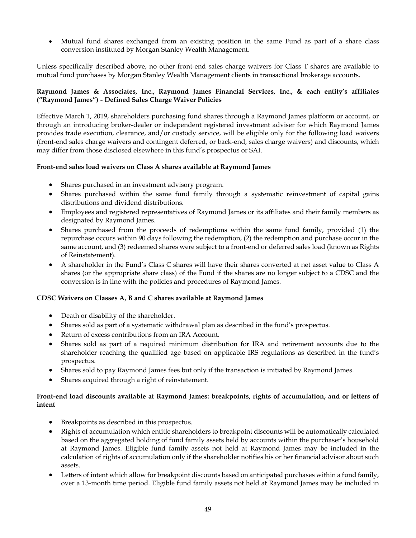• Mutual fund shares exchanged from an existing position in the same Fund as part of a share class conversion instituted by Morgan Stanley Wealth Management.

Unless specifically described above, no other front-end sales charge waivers for Class T shares are available to mutual fund purchases by Morgan Stanley Wealth Management clients in transactional brokerage accounts.

## **Raymond James & Associates, Inc., Raymond James Financial Services, Inc., & each entity's affiliates ("Raymond James") - Defined Sales Charge Waiver Policies**

Effective March 1, 2019, shareholders purchasing fund shares through a Raymond James platform or account, or through an introducing broker-dealer or independent registered investment adviser for which Raymond James provides trade execution, clearance, and/or custody service, will be eligible only for the following load waivers (front-end sales charge waivers and contingent deferred, or back-end, sales charge waivers) and discounts, which may differ from those disclosed elsewhere in this fund's prospectus or SAI.

## **Front-end sales load waivers on Class A shares available at Raymond James**

- Shares purchased in an investment advisory program.
- Shares purchased within the same fund family through a systematic reinvestment of capital gains distributions and dividend distributions.
- Employees and registered representatives of Raymond James or its affiliates and their family members as designated by Raymond James.
- Shares purchased from the proceeds of redemptions within the same fund family, provided (1) the repurchase occurs within 90 days following the redemption, (2) the redemption and purchase occur in the same account, and (3) redeemed shares were subject to a front-end or deferred sales load (known as Rights of Reinstatement).
- A shareholder in the Fund's Class C shares will have their shares converted at net asset value to Class A shares (or the appropriate share class) of the Fund if the shares are no longer subject to a CDSC and the conversion is in line with the policies and procedures of Raymond James.

## **CDSC Waivers on Classes A, B and C shares available at Raymond James**

- Death or disability of the shareholder.
- Shares sold as part of a systematic withdrawal plan as described in the fund's prospectus.
- Return of excess contributions from an IRA Account.
- Shares sold as part of a required minimum distribution for IRA and retirement accounts due to the shareholder reaching the qualified age based on applicable IRS regulations as described in the fund's prospectus.
- Shares sold to pay Raymond James fees but only if the transaction is initiated by Raymond James.
- Shares acquired through a right of reinstatement.

## **Front-end load discounts available at Raymond James: breakpoints, rights of accumulation, and or letters of intent**

- Breakpoints as described in this prospectus.
- Rights of accumulation which entitle shareholders to breakpoint discounts will be automatically calculated based on the aggregated holding of fund family assets held by accounts within the purchaser's household at Raymond James. Eligible fund family assets not held at Raymond James may be included in the calculation of rights of accumulation only if the shareholder notifies his or her financial advisor about such assets.
- Letters of intent which allow for breakpoint discounts based on anticipated purchases within a fund family, over a 13-month time period. Eligible fund family assets not held at Raymond James may be included in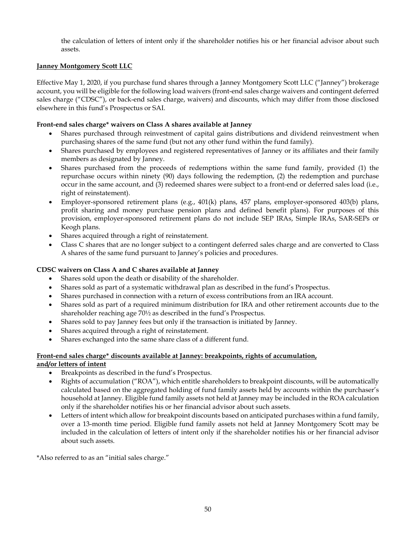the calculation of letters of intent only if the shareholder notifies his or her financial advisor about such assets.

## **Janney Montgomery Scott LLC**

Effective May 1, 2020, if you purchase fund shares through a Janney Montgomery Scott LLC ("Janney") brokerage account, you will be eligible for the following load waivers (front-end sales charge waivers and contingent deferred sales charge ("CDSC"), or back-end sales charge, waivers) and discounts, which may differ from those disclosed elsewhere in this fund's Prospectus or SAI.

## **Front-end sales charge\* waivers on Class A shares available at Janney**

- Shares purchased through reinvestment of capital gains distributions and dividend reinvestment when purchasing shares of the same fund (but not any other fund within the fund family).
- Shares purchased by employees and registered representatives of Janney or its affiliates and their family members as designated by Janney.
- Shares purchased from the proceeds of redemptions within the same fund family, provided (1) the repurchase occurs within ninety (90) days following the redemption, (2) the redemption and purchase occur in the same account, and (3) redeemed shares were subject to a front-end or deferred sales load (i.e., right of reinstatement).
- Employer-sponsored retirement plans (e.g., 401(k) plans, 457 plans, employer-sponsored 403(b) plans, profit sharing and money purchase pension plans and defined benefit plans). For purposes of this provision, employer-sponsored retirement plans do not include SEP IRAs, Simple IRAs, SAR-SEPs or Keogh plans.
- Shares acquired through a right of reinstatement.
- Class C shares that are no longer subject to a contingent deferred sales charge and are converted to Class A shares of the same fund pursuant to Janney's policies and procedures.

#### **CDSC waivers on Class A and C shares available at Janney**

- Shares sold upon the death or disability of the shareholder.
- Shares sold as part of a systematic withdrawal plan as described in the fund's Prospectus.
- Shares purchased in connection with a return of excess contributions from an IRA account.
- Shares sold as part of a required minimum distribution for IRA and other retirement accounts due to the shareholder reaching age 70½ as described in the fund's Prospectus.
- Shares sold to pay Janney fees but only if the transaction is initiated by Janney.
- Shares acquired through a right of reinstatement.
- Shares exchanged into the same share class of a different fund.

## **Front-end sales charge\* discounts available at Janney: breakpoints, rights of accumulation,**

#### **and/or letters of intent**

- Breakpoints as described in the fund's Prospectus.
- Rights of accumulation ("ROA"), which entitle shareholders to breakpoint discounts, will be automatically calculated based on the aggregated holding of fund family assets held by accounts within the purchaser's household at Janney. Eligible fund family assets not held at Janney may be included in the ROA calculation only if the shareholder notifies his or her financial advisor about such assets.
- Letters of intent which allow for breakpoint discounts based on anticipated purchases within a fund family, over a 13-month time period. Eligible fund family assets not held at Janney Montgomery Scott may be included in the calculation of letters of intent only if the shareholder notifies his or her financial advisor about such assets.

\*Also referred to as an "initial sales charge."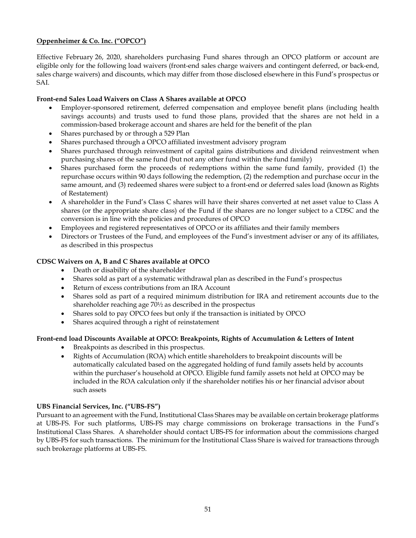## **Oppenheimer & Co. Inc. ("OPCO")**

Effective February 26, 2020, shareholders purchasing Fund shares through an OPCO platform or account are eligible only for the following load waivers (front-end sales charge waivers and contingent deferred, or back-end, sales charge waivers) and discounts, which may differ from those disclosed elsewhere in this Fund's prospectus or SAI.

## **Front-end Sales Load Waivers on Class A Shares available at OPCO**

- Employer-sponsored retirement, deferred compensation and employee benefit plans (including health savings accounts) and trusts used to fund those plans, provided that the shares are not held in a commission-based brokerage account and shares are held for the benefit of the plan
- Shares purchased by or through a 529 Plan
- Shares purchased through a OPCO affiliated investment advisory program
- Shares purchased through reinvestment of capital gains distributions and dividend reinvestment when purchasing shares of the same fund (but not any other fund within the fund family)
- Shares purchased form the proceeds of redemptions within the same fund family, provided (1) the repurchase occurs within 90 days following the redemption, (2) the redemption and purchase occur in the same amount, and (3) redeemed shares were subject to a front-end or deferred sales load (known as Rights of Restatement)
- A shareholder in the Fund's Class C shares will have their shares converted at net asset value to Class A shares (or the appropriate share class) of the Fund if the shares are no longer subject to a CDSC and the conversion is in line with the policies and procedures of OPCO
- Employees and registered representatives of OPCO or its affiliates and their family members
- Directors or Trustees of the Fund, and employees of the Fund's investment adviser or any of its affiliates, as described in this prospectus

## **CDSC Waivers on A, B and C Shares available at OPCO**

- Death or disability of the shareholder
- Shares sold as part of a systematic withdrawal plan as described in the Fund's prospectus
- Return of excess contributions from an IRA Account
- Shares sold as part of a required minimum distribution for IRA and retirement accounts due to the shareholder reaching age 70½ as described in the prospectus
- Shares sold to pay OPCO fees but only if the transaction is initiated by OPCO
- Shares acquired through a right of reinstatement

## **Front-end load Discounts Available at OPCO: Breakpoints, Rights of Accumulation & Letters of Intent**

- Breakpoints as described in this prospectus.
- Rights of Accumulation (ROA) which entitle shareholders to breakpoint discounts will be automatically calculated based on the aggregated holding of fund family assets held by accounts within the purchaser's household at OPCO. Eligible fund family assets not held at OPCO may be included in the ROA calculation only if the shareholder notifies his or her financial advisor about such assets

## **UBS Financial Services, Inc. ("UBS-FS")**

Pursuant to an agreement with the Fund, Institutional Class Shares may be available on certain brokerage platforms at UBS-FS. For such platforms, UBS-FS may charge commissions on brokerage transactions in the Fund's Institutional Class Shares. A shareholder should contact UBS-FS for information about the commissions charged by UBS-FS for such transactions. The minimum for the Institutional Class Share is waived for transactions through such brokerage platforms at UBS-FS.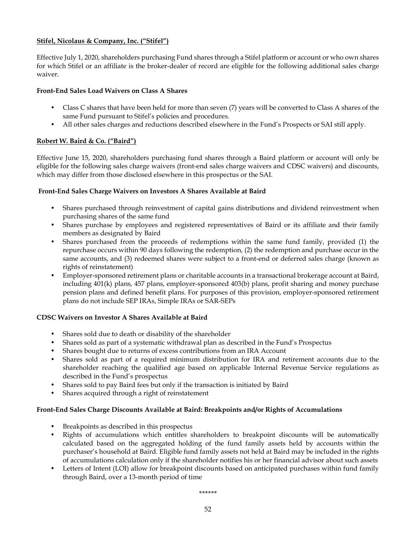## **Stifel, Nicolaus & Company, Inc. ("Stifel")**

Effective July 1, 2020, shareholders purchasing Fund shares through a Stifel platform or account or who own shares for which Stifel or an affiliate is the broker-dealer of record are eligible for the following additional sales charge waiver.

## **Front-End Sales Load Waivers on Class A Shares**

- Class C shares that have been held for more than seven (7) years will be converted to Class A shares of the same Fund pursuant to Stifel's policies and procedures.
- All other sales charges and reductions described elsewhere in the Fund's Prospects or SAI still apply.

## **Robert W. Baird & Co. ("Baird")**

Effective June 15, 2020, shareholders purchasing fund shares through a Baird platform or account will only be eligible for the following sales charge waivers (front-end sales charge waivers and CDSC waivers) and discounts, which may differ from those disclosed elsewhere in this prospectus or the SAI.

## **Front-End Sales Charge Waivers on Investors A Shares Available at Baird**

- Shares purchased through reinvestment of capital gains distributions and dividend reinvestment when purchasing shares of the same fund
- Shares purchase by employees and registered representatives of Baird or its affiliate and their family members as designated by Baird
- Shares purchased from the proceeds of redemptions within the same fund family, provided (1) the repurchase occurs within 90 days following the redemption, (2) the redemption and purchase occur in the same accounts, and (3) redeemed shares were subject to a front-end or deferred sales charge (known as rights of reinstatement)
- Employer-sponsored retirement plans or charitable accounts in a transactional brokerage account at Baird, including 401(k) plans, 457 plans, employer-sponsored 403(b) plans, profit sharing and money purchase pension plans and defined benefit plans. For purposes of this provision, employer-sponsored retirement plans do not include SEP IRAs, Simple IRAs or SAR-SEPs

## **CDSC Waivers on Investor A Shares Available at Baird**

- Shares sold due to death or disability of the shareholder
- Shares sold as part of a systematic withdrawal plan as described in the Fund's Prospectus
- Shares bought due to returns of excess contributions from an IRA Account
- Shares sold as part of a required minimum distribution for IRA and retirement accounts due to the shareholder reaching the qualified age based on applicable Internal Revenue Service regulations as described in the Fund's prospectus
- Shares sold to pay Baird fees but only if the transaction is initiated by Baird
- Shares acquired through a right of reinstatement

## **Front-End Sales Charge Discounts Available at Baird: Breakpoints and/or Rights of Accumulations**

- Breakpoints as described in this prospectus
- Rights of accumulations which entitles shareholders to breakpoint discounts will be automatically calculated based on the aggregated holding of the fund family assets held by accounts within the purchaser's household at Baird. Eligible fund family assets not held at Baird may be included in the rights of accumulations calculation only if the shareholder notifies his or her financial advisor about such assets
- Letters of Intent (LOI) allow for breakpoint discounts based on anticipated purchases within fund family through Baird, over a 13-month period of time

*\*\*\*\*\*\**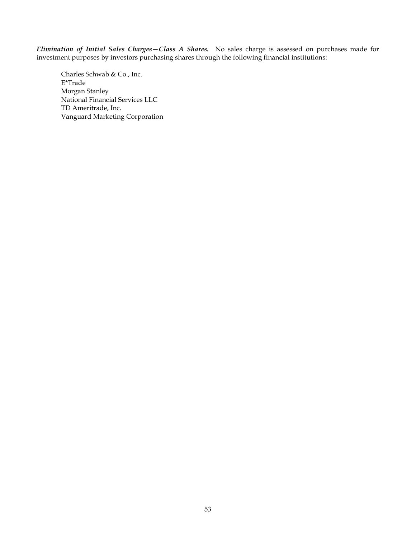*Elimination of Initial Sales Charges—Class A Shares.* No sales charge is assessed on purchases made for investment purposes by investors purchasing shares through the following financial institutions:

Charles Schwab & Co., Inc. E\*Trade Morgan Stanley National Financial Services LLC TD Ameritrade, Inc. Vanguard Marketing Corporation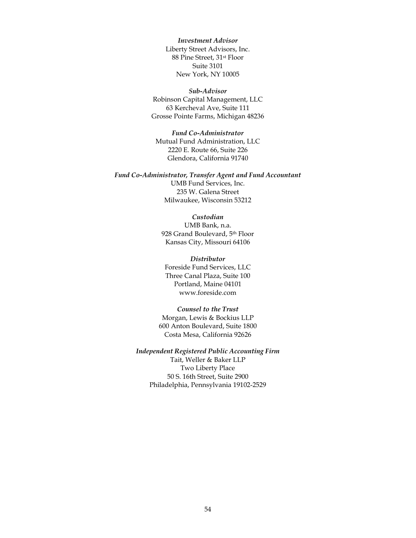*Investment Advisor* Liberty Street Advisors, Inc. 88 Pine Street, 31st Floor Suite 3101 New York, NY 10005

#### *Sub-Advisor*

Robinson Capital Management, LLC 63 Kercheval Ave, Suite 111 Grosse Pointe Farms, Michigan 48236

#### *Fund Co-Administrator*

Mutual Fund Administration, LLC 2220 E. Route 66, Suite 226 Glendora, California 91740

#### *Fund Co-Administrator, Transfer Agent and Fund Accountant*

UMB Fund Services, Inc. 235 W. Galena Street Milwaukee, Wisconsin 53212

#### *Custodian*

UMB Bank, n.a. 928 Grand Boulevard, 5th Floor Kansas City, Missouri 64106

#### *Distributor*

Foreside Fund Services, LLC Three Canal Plaza, Suite 100 Portland, Maine 04101 www.foreside.com

## *Counsel to the Trust*

Morgan, Lewis & Bockius LLP 600 Anton Boulevard, Suite 1800 Costa Mesa, California 92626

### *Independent Registered Public Accounting Firm*

Tait, Weller & Baker LLP Two Liberty Place 50 S. 16th Street, Suite 2900 Philadelphia, Pennsylvania 19102-2529